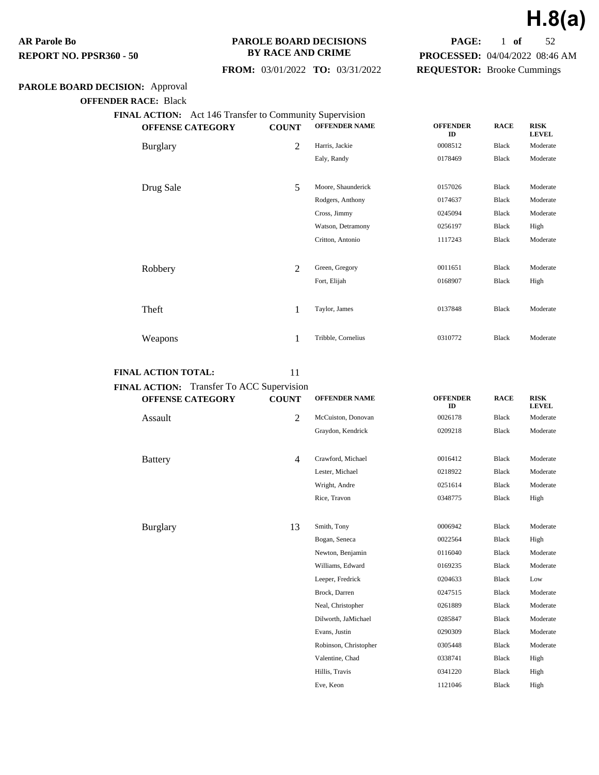#### **PAROLE BOARD DECISIONS BY RACE AND CRIME**

 **FROM:** 03/01/2022 **TO:** 03/31/2022

## **PAROLE BOARD DECISION:** Approval

**OFFENDER RACE:** Black

| FINAL ACTION: Act 146 Transfer to Community Supervision |                         |                |                      |                       |              |                             |  |  |  |
|---------------------------------------------------------|-------------------------|----------------|----------------------|-----------------------|--------------|-----------------------------|--|--|--|
|                                                         | <b>OFFENSE CATEGORY</b> | <b>COUNT</b>   | <b>OFFENDER NAME</b> | <b>OFFENDER</b><br>ID | <b>RACE</b>  | <b>RISK</b><br><b>LEVEL</b> |  |  |  |
|                                                         | <b>Burglary</b>         | $\overline{2}$ | Harris, Jackie       | 0008512               | Black        | Moderate                    |  |  |  |
|                                                         |                         |                | Ealy, Randy          | 0178469               | Black        | Moderate                    |  |  |  |
|                                                         |                         |                |                      |                       |              |                             |  |  |  |
|                                                         | Drug Sale               | 5              | Moore, Shaunderick   | 0157026               | Black        | Moderate                    |  |  |  |
|                                                         |                         |                | Rodgers, Anthony     | 0174637               | Black        | Moderate                    |  |  |  |
|                                                         |                         |                | Cross, Jimmy         | 0245094               | <b>Black</b> | Moderate                    |  |  |  |
|                                                         |                         |                | Watson, Detramony    | 0256197               | Black        | High                        |  |  |  |
|                                                         |                         |                | Critton, Antonio     | 1117243               | <b>Black</b> | Moderate                    |  |  |  |
|                                                         |                         |                |                      |                       |              |                             |  |  |  |
|                                                         | Robbery                 | 2              | Green, Gregory       | 0011651               | Black        | Moderate                    |  |  |  |
|                                                         |                         |                | Fort, Elijah         | 0168907               | Black        | High                        |  |  |  |
|                                                         |                         |                |                      |                       |              |                             |  |  |  |
|                                                         | Theft                   | 1              | Taylor, James        | 0137848               | Black        | Moderate                    |  |  |  |
|                                                         |                         |                |                      |                       |              |                             |  |  |  |
|                                                         | Weapons                 | 1              | Tribble, Cornelius   | 0310772               | <b>Black</b> | Moderate                    |  |  |  |
|                                                         |                         |                |                      |                       |              |                             |  |  |  |

#### **FINAL ACTION TOTAL:** 11

| FINAL ACTION: Transfer To ACC Supervision |                |                       |                       |              |                             |
|-------------------------------------------|----------------|-----------------------|-----------------------|--------------|-----------------------------|
| <b>OFFENSE CATEGORY</b>                   | <b>COUNT</b>   | <b>OFFENDER NAME</b>  | <b>OFFENDER</b><br>ID | <b>RACE</b>  | <b>RISK</b><br><b>LEVEL</b> |
| Assault                                   | $\overline{2}$ | McCuiston, Donovan    | 0026178               | <b>Black</b> | Moderate                    |
|                                           |                | Graydon, Kendrick     | 0209218               | <b>Black</b> | Moderate                    |
| <b>Battery</b>                            | $\overline{4}$ | Crawford, Michael     | 0016412               | Black        | Moderate                    |
|                                           |                | Lester, Michael       | 0218922               | <b>Black</b> | Moderate                    |
|                                           |                | Wright, Andre         | 0251614               | <b>Black</b> | Moderate                    |
|                                           |                | Rice, Travon          | 0348775               | <b>Black</b> | High                        |
| <b>Burglary</b>                           | 13             | Smith, Tony           | 0006942               | <b>Black</b> | Moderate                    |
|                                           |                | Bogan, Seneca         | 0022564               | <b>Black</b> | High                        |
|                                           |                | Newton, Benjamin      | 0116040               | <b>Black</b> | Moderate                    |
|                                           |                | Williams, Edward      | 0169235               | Black        | Moderate                    |
|                                           |                | Leeper, Fredrick      | 0204633               | <b>Black</b> | Low                         |
|                                           |                | Brock, Darren         | 0247515               | <b>Black</b> | Moderate                    |
|                                           |                | Neal, Christopher     | 0261889               | Black        | Moderate                    |
|                                           |                | Dilworth, JaMichael   | 0285847               | Black        | Moderate                    |
|                                           |                | Evans, Justin         | 0290309               | Black        | Moderate                    |
|                                           |                | Robinson, Christopher | 0305448               | <b>Black</b> | Moderate                    |
|                                           |                | Valentine, Chad       | 0338741               | <b>Black</b> | High                        |
|                                           |                | Hillis, Travis        | 0341220               | <b>Black</b> | High                        |
|                                           |                | Eve, Keon             | 1121046               | Black        | High                        |



**PAGE:** 1 **of** 52 **PROCESSED:** 04/04/2022 08:46 AM

**REQUESTOR:** Brooke Cummings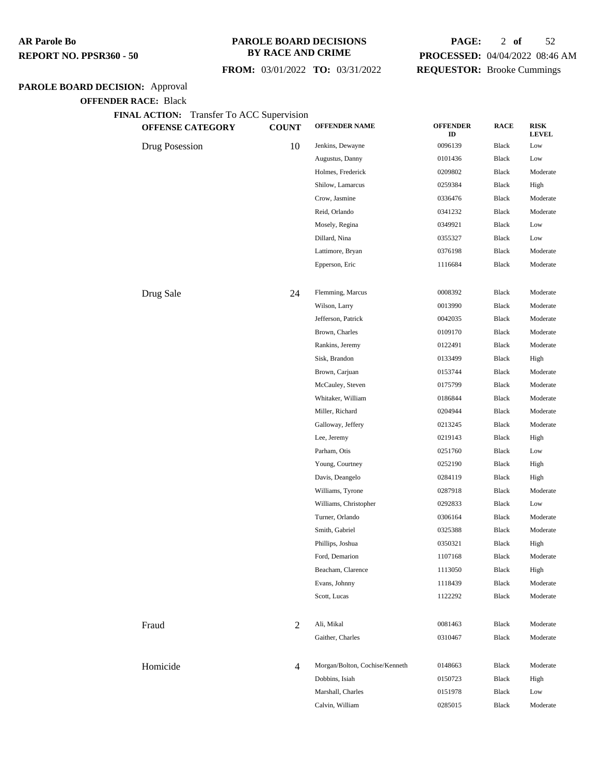#### **PAROLE BOARD DECISIONS BY RACE AND CRIME**

## **FROM:** 03/01/2022 **TO:** 03/31/2022

## **PAGE:** 2 **of** 52 **PROCESSED:** 04/04/2022 08:46 AM **REQUESTOR:** Brooke Cummings

## **PAROLE BOARD DECISION:** Approval

**OFFENDER RACE:** Black

| <b>EXAMPLE ACTION.</b> Transier To ACC Supervision<br>OFFENSE CATEGORY | <b>COUNT</b>   | <b>OFFENDER NAME</b>           | <b>OFFENDER</b><br>ID | <b>RACE</b>  | <b>RISK</b><br><b>LEVEL</b> |
|------------------------------------------------------------------------|----------------|--------------------------------|-----------------------|--------------|-----------------------------|
| Drug Posession                                                         | 10             | Jenkins, Dewayne               | 0096139               | Black        | Low                         |
|                                                                        |                | Augustus, Danny                | 0101436               | Black        | Low                         |
|                                                                        |                | Holmes, Frederick              | 0209802               | Black        | Moderate                    |
|                                                                        |                | Shilow, Lamarcus               | 0259384               | Black        | High                        |
|                                                                        |                | Crow, Jasmine                  | 0336476               | Black        | Moderate                    |
|                                                                        |                | Reid, Orlando                  | 0341232               | Black        | Moderate                    |
|                                                                        |                | Mosely, Regina                 | 0349921               | Black        | Low                         |
|                                                                        |                | Dillard, Nina                  | 0355327               | Black        | Low                         |
|                                                                        |                | Lattimore, Bryan               | 0376198               | Black        | Moderate                    |
|                                                                        |                | Epperson, Eric                 | 1116684               | Black        | Moderate                    |
| Drug Sale                                                              | 24             | Flemming, Marcus               | 0008392               | Black        | Moderate                    |
|                                                                        |                | Wilson, Larry                  | 0013990               | Black        | Moderate                    |
|                                                                        |                | Jefferson, Patrick             | 0042035               | Black        | Moderate                    |
|                                                                        |                | Brown, Charles                 | 0109170               | Black        | Moderate                    |
|                                                                        |                | Rankins, Jeremy                | 0122491               | Black        | Moderate                    |
|                                                                        |                | Sisk, Brandon                  | 0133499               | Black        | High                        |
|                                                                        |                | Brown, Carjuan                 | 0153744               | Black        | Moderate                    |
|                                                                        |                | McCauley, Steven               | 0175799               | <b>Black</b> | Moderate                    |
|                                                                        |                | Whitaker, William              | 0186844               | Black        | Moderate                    |
|                                                                        |                | Miller, Richard                | 0204944               | Black        | Moderate                    |
|                                                                        |                | Galloway, Jeffery              | 0213245               | Black        | Moderate                    |
|                                                                        |                | Lee, Jeremy                    | 0219143               | Black        | High                        |
|                                                                        |                | Parham, Otis                   | 0251760               | Black        | Low                         |
|                                                                        |                | Young, Courtney                | 0252190               | Black        | High                        |
|                                                                        |                | Davis, Deangelo                | 0284119               | Black        | High                        |
|                                                                        |                | Williams, Tyrone               | 0287918               | Black        | Moderate                    |
|                                                                        |                | Williams, Christopher          | 0292833               | Black        | Low                         |
|                                                                        |                | Turner, Orlando                | 0306164               | Black        | Moderate                    |
|                                                                        |                | Smith, Gabriel                 | 0325388               | Black        | Moderate                    |
|                                                                        |                | Phillips, Joshua               | 0350321               | Black        | High                        |
|                                                                        |                | Ford, Demarion                 | 1107168               | Black        | Moderate                    |
|                                                                        |                | Beacham, Clarence              | 1113050               | Black        | High                        |
|                                                                        |                | Evans, Johnny                  | 1118439               | Black        | Moderate                    |
|                                                                        |                | Scott, Lucas                   | 1122292               | Black        | Moderate                    |
| Fraud                                                                  | 2              | Ali, Mikal                     | 0081463               | Black        | Moderate                    |
|                                                                        |                | Gaither, Charles               | 0310467               | <b>Black</b> | Moderate                    |
| Homicide                                                               | $\overline{4}$ | Morgan/Bolton, Cochise/Kenneth | 0148663               | Black        | Moderate                    |
|                                                                        |                | Dobbins, Isiah                 | 0150723               | <b>Black</b> | High                        |
|                                                                        |                | Marshall, Charles              | 0151978               | Black        | Low                         |
|                                                                        |                | Calvin, William                | 0285015               | Black        | Moderate                    |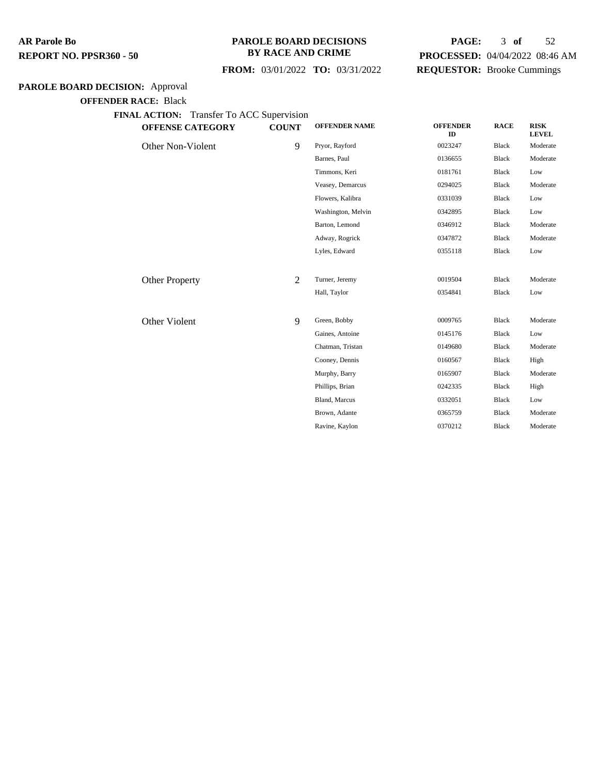#### **PAROLE BOARD DECISIONS BY RACE AND CRIME**

## **PAGE:** 3 **of** 52 **PROCESSED:** 04/04/2022 08:46 AM **REQUESTOR:** Brooke Cummings

## **FROM:** 03/01/2022 **TO:** 03/31/2022

## **PAROLE BOARD DECISION:** Approval

**OFFENDER RACE:** Black

| <b>OFFENSE CATEGORY</b> | <b>COUNT</b> | <b>OFFENDER NAME</b> | <b>OFFENDER</b><br>ID | <b>RACE</b>  | <b>RISK</b><br><b>LEVEL</b> |
|-------------------------|--------------|----------------------|-----------------------|--------------|-----------------------------|
| Other Non-Violent       | 9            | Pryor, Rayford       | 0023247               | <b>Black</b> | Moderate                    |
|                         |              | Barnes, Paul         | 0136655               | <b>Black</b> | Moderate                    |
|                         |              | Timmons, Keri        | 0181761               | <b>Black</b> | Low                         |
|                         |              | Veasey, Demarcus     | 0294025               | <b>Black</b> | Moderate                    |
|                         |              | Flowers, Kalibra     | 0331039               | <b>Black</b> | Low                         |
|                         |              | Washington, Melvin   | 0342895               | <b>Black</b> | Low                         |
|                         |              | Barton, Lemond       | 0346912               | <b>Black</b> | Moderate                    |
|                         |              | Adway, Rogrick       | 0347872               | <b>Black</b> | Moderate                    |
|                         |              | Lyles, Edward        | 0355118               | <b>Black</b> | Low                         |
|                         |              |                      |                       |              |                             |
| <b>Other Property</b>   | 2            | Turner, Jeremy       | 0019504               | <b>Black</b> | Moderate                    |
|                         |              | Hall, Taylor         | 0354841               | <b>Black</b> | Low                         |
|                         |              |                      |                       |              |                             |
| Other Violent           | 9            | Green, Bobby         | 0009765               | <b>Black</b> | Moderate                    |
|                         |              | Gaines, Antoine      | 0145176               | <b>Black</b> | Low                         |
|                         |              | Chatman, Tristan     | 0149680               | <b>Black</b> | Moderate                    |
|                         |              | Cooney, Dennis       | 0160567               | <b>Black</b> | High                        |
|                         |              | Murphy, Barry        | 0165907               | <b>Black</b> | Moderate                    |
|                         |              | Phillips, Brian      | 0242335               | <b>Black</b> | High                        |
|                         |              | Bland, Marcus        | 0332051               | <b>Black</b> | Low                         |
|                         |              | Brown, Adante        | 0365759               | <b>Black</b> | Moderate                    |
|                         |              | Ravine, Kaylon       | 0370212               | <b>Black</b> | Moderate                    |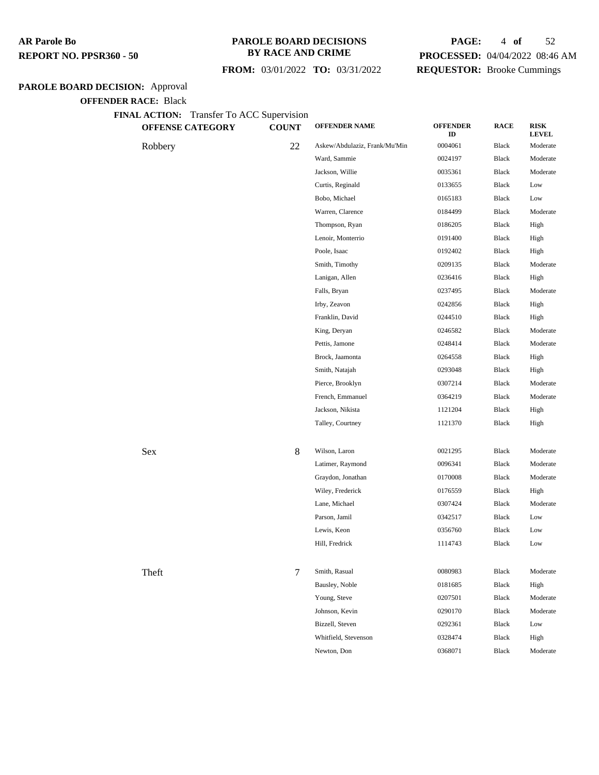#### **PAROLE BOARD DECISIONS BY RACE AND CRIME**

## **FROM:** 03/01/2022 **TO:** 03/31/2022

## **PAGE:** 4 **of** 52 **PROCESSED:** 04/04/2022 08:46 AM

**REQUESTOR:** Brooke Cummings

## **PAROLE BOARD DECISION:** Approval

**OFFENDER RACE:** Black

|         | <b>OFFENSE CATEGORY</b> | <b>COUNT</b> | <b>OFFENDER NAME</b>          | <b>OFFENDER</b><br>ID | <b>RACE</b> | <b>RISK</b><br><b>LEVEL</b> |
|---------|-------------------------|--------------|-------------------------------|-----------------------|-------------|-----------------------------|
| Robbery |                         | 22           | Askew/Abdulaziz, Frank/Mu'Min | 0004061               | Black       | Moderate                    |
|         |                         |              | Ward, Sammie                  | 0024197               | Black       | Moderate                    |
|         |                         |              | Jackson, Willie               | 0035361               | Black       | Moderate                    |
|         |                         |              | Curtis, Reginald              | 0133655               | Black       | Low                         |
|         |                         |              | Bobo, Michael                 | 0165183               | Black       | Low                         |
|         |                         |              | Warren, Clarence              | 0184499               | Black       | Moderate                    |
|         |                         |              | Thompson, Ryan                | 0186205               | Black       | High                        |
|         |                         |              | Lenoir, Monterrio             | 0191400               | Black       | High                        |
|         |                         |              | Poole, Isaac                  | 0192402               | Black       | High                        |
|         |                         |              | Smith, Timothy                | 0209135               | Black       | Moderate                    |
|         |                         |              | Lanigan, Allen                | 0236416               | Black       | High                        |
|         |                         |              | Falls, Bryan                  | 0237495               | Black       | Moderate                    |
|         |                         |              | Irby, Zeavon                  | 0242856               | Black       | High                        |
|         |                         |              | Franklin, David               | 0244510               | Black       | High                        |
|         |                         |              | King, Deryan                  | 0246582               | Black       | Moderate                    |
|         |                         |              | Pettis, Jamone                | 0248414               | Black       | Moderate                    |
|         |                         |              | Brock, Jaamonta               | 0264558               | Black       | High                        |
|         |                         |              | Smith, Natajah                | 0293048               | Black       | High                        |
|         |                         |              | Pierce, Brooklyn              | 0307214               | Black       | Moderate                    |
|         |                         |              | French, Emmanuel              | 0364219               | Black       | Moderate                    |
|         |                         |              | Jackson, Nikista              | 1121204               | Black       | High                        |
|         |                         |              | Talley, Courtney              | 1121370               | Black       | High                        |
| Sex     |                         | 8            | Wilson, Laron                 | 0021295               | Black       | Moderate                    |
|         |                         |              | Latimer, Raymond              | 0096341               | Black       | Moderate                    |
|         |                         |              | Graydon, Jonathan             | 0170008               | Black       | Moderate                    |
|         |                         |              | Wiley, Frederick              | 0176559               | Black       | High                        |
|         |                         |              | Lane, Michael                 | 0307424               | Black       | Moderate                    |
|         |                         |              | Parson, Jamil                 | 0342517               | Black       | Low                         |
|         |                         |              | Lewis, Keon                   | 0356760               | Black       | Low                         |
|         |                         |              | Hill, Fredrick                | 1114743               | Black       | Low                         |
| Theft   |                         | 7            | Smith, Rasual                 | 0080983               | Black       | Moderate                    |
|         |                         |              | Bausley, Noble                | 0181685               | Black       | High                        |
|         |                         |              | Young, Steve                  | 0207501               | Black       | Moderate                    |
|         |                         |              | Johnson, Kevin                | 0290170               | Black       | Moderate                    |
|         |                         |              | Bizzell, Steven               | 0292361               | Black       | Low                         |
|         |                         |              | Whitfield, Stevenson          | 0328474               | Black       | High                        |
|         |                         |              | Newton, Don                   | 0368071               | Black       | Moderate                    |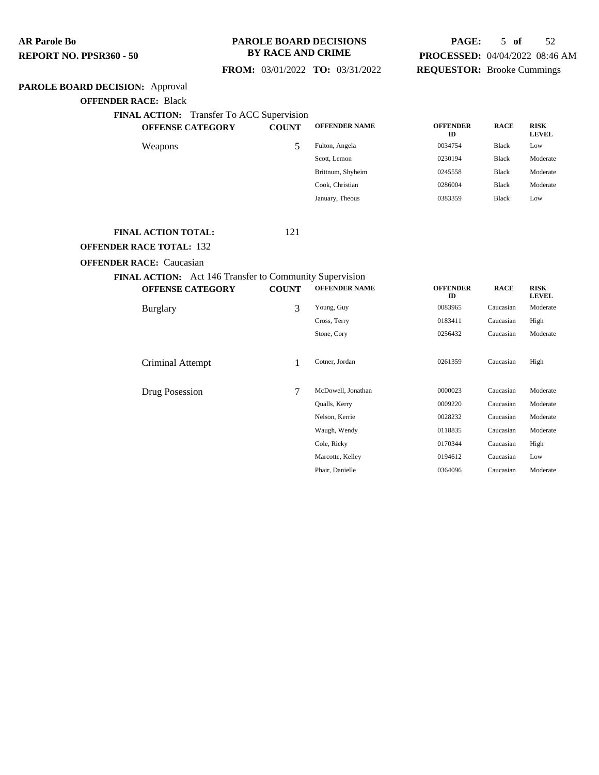#### **PAROLE BOARD DECISIONS BY RACE AND CRIME**

## **PAGE:** 5 **of** 52 **PROCESSED:** 04/04/2022 08:46 AM **REQUESTOR:** Brooke Cummings

**RACE RISK**

 **FROM:** 03/01/2022 **TO:** 03/31/2022

## **PAROLE BOARD DECISION:** Approval

**OFFENDER RACE:** Black

**FINAL ACTION:** Transfer To ACC Supervision

| <b>OFFENSE CATEGORY</b> | <b>COUNT</b>          | <b>OFFENDER NAME</b> | <b>OFFENDER</b><br>ID | <b>RACE</b>  | <b>RISK</b><br><b>LEVEL</b> |
|-------------------------|-----------------------|----------------------|-----------------------|--------------|-----------------------------|
| Weapons                 | $\tilde{\phantom{a}}$ | Fulton, Angela       | 0034754               | Black        | Low                         |
|                         |                       | Scott, Lemon         | 0230194               | <b>Black</b> | Moderate                    |
|                         |                       | Brittnum, Shyheim    | 0245558               | <b>Black</b> | Moderate                    |
|                         |                       | Cook, Christian      | 0286004               | <b>Black</b> | Moderate                    |
|                         |                       | January, Theous      | 0383359               | <b>Black</b> | Low                         |
|                         |                       |                      |                       |              |                             |

#### **FINAL ACTION TOTAL:** 121

**OFFENDER RACE TOTAL:** 132

#### **OFFENDER RACE:** Caucasian

#### **FINAL ACTION:** Act 146 Transfer to Community Supervision<br> **OFFENSE CATEGORY** COUNT OFFENDER NAM **OFFENSE CATEGORY COUNT OFFENDER NAME OFFENDER**

|                  |   |                    | ID      |           | <b>LEVEL</b> |
|------------------|---|--------------------|---------|-----------|--------------|
| Burglary         | 3 | Young, Guy         | 0083965 | Caucasian | Moderate     |
|                  |   | Cross, Terry       | 0183411 | Caucasian | High         |
|                  |   | Stone, Cory        | 0256432 | Caucasian | Moderate     |
|                  |   |                    |         |           |              |
| Criminal Attempt |   | Cotner, Jordan     | 0261359 | Caucasian | High         |
|                  |   |                    |         |           |              |
| Drug Posession   | 7 | McDowell, Jonathan | 0000023 | Caucasian | Moderate     |
|                  |   | Qualls, Kerry      | 0009220 | Caucasian | Moderate     |
|                  |   | Nelson, Kerrie     | 0028232 | Caucasian | Moderate     |
|                  |   | Waugh, Wendy       | 0118835 | Caucasian | Moderate     |
|                  |   | Cole, Ricky        | 0170344 | Caucasian | High         |
|                  |   | Marcotte, Kelley   | 0194612 | Caucasian | Low          |
|                  |   | Phair, Danielle    | 0364096 | Caucasian | Moderate     |
|                  |   |                    |         |           |              |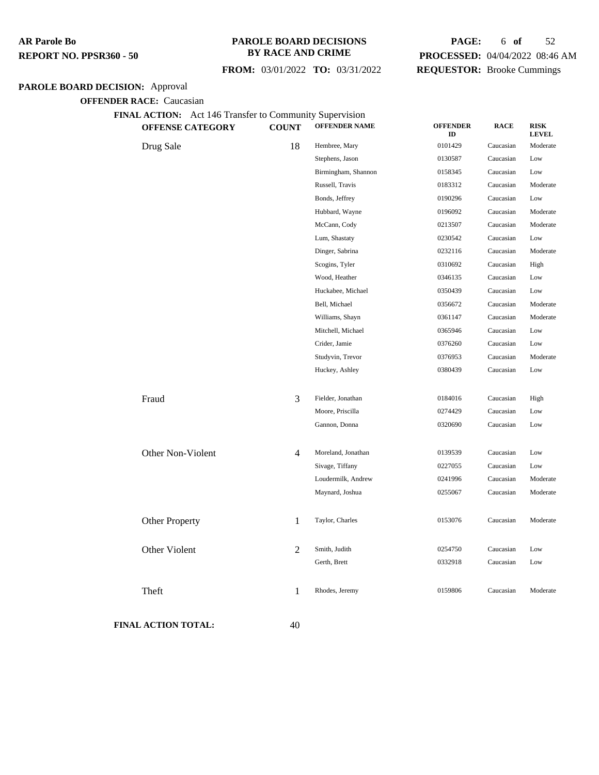#### **PAROLE BOARD DECISIONS BY RACE AND CRIME**

 **FROM:** 03/01/2022 **TO:** 03/31/2022

## **PAGE:** 6 **of** 52 **PROCESSED:** 04/04/2022 08:46 AM **REQUESTOR:** Brooke Cummings

## **PAROLE BOARD DECISION:** Approval

**OFFENDER RACE:** Caucasian

## **FINAL ACTION:** Act 146 Transfer to Community Supervision

|                            | OFFENSE CATEGORY      | <b>COUNT</b>   | <b>OFFENDER NAME</b> | <b>OFFENDER</b><br>ID | <b>RACE</b> | <b>RISK</b><br><b>LEVEL</b> |
|----------------------------|-----------------------|----------------|----------------------|-----------------------|-------------|-----------------------------|
| Drug Sale                  |                       | 18             | Hembree, Mary        | 0101429               | Caucasian   | Moderate                    |
|                            |                       |                | Stephens, Jason      | 0130587               | Caucasian   | Low                         |
|                            |                       |                | Birmingham, Shannon  | 0158345               | Caucasian   | Low                         |
|                            |                       |                | Russell, Travis      | 0183312               | Caucasian   | Moderate                    |
|                            |                       |                | Bonds, Jeffrey       | 0190296               | Caucasian   | Low                         |
|                            |                       |                | Hubbard, Wayne       | 0196092               | Caucasian   | Moderate                    |
|                            |                       |                | McCann, Cody         | 0213507               | Caucasian   | Moderate                    |
|                            |                       |                | Lum, Shastaty        | 0230542               | Caucasian   | Low                         |
|                            |                       |                | Dinger, Sabrina      | 0232116               | Caucasian   | Moderate                    |
|                            |                       |                | Scogins, Tyler       | 0310692               | Caucasian   | High                        |
|                            |                       |                | Wood, Heather        | 0346135               | Caucasian   | Low                         |
|                            |                       |                | Huckabee, Michael    | 0350439               | Caucasian   | Low                         |
|                            |                       |                | Bell, Michael        | 0356672               | Caucasian   | Moderate                    |
|                            |                       |                | Williams, Shayn      | 0361147               | Caucasian   | Moderate                    |
|                            |                       |                | Mitchell, Michael    | 0365946               | Caucasian   | Low                         |
|                            |                       |                | Crider, Jamie        | 0376260               | Caucasian   | Low                         |
|                            |                       |                | Studyvin, Trevor     | 0376953               | Caucasian   | Moderate                    |
|                            |                       |                | Huckey, Ashley       | 0380439               | Caucasian   | Low                         |
| Fraud                      |                       | 3              | Fielder, Jonathan    | 0184016               | Caucasian   | High                        |
|                            |                       |                | Moore, Priscilla     | 0274429               | Caucasian   | Low                         |
|                            |                       |                | Gannon, Donna        | 0320690               | Caucasian   | Low                         |
|                            | Other Non-Violent     | 4              | Moreland, Jonathan   | 0139539               | Caucasian   | Low                         |
|                            |                       |                | Sivage, Tiffany      | 0227055               | Caucasian   | Low                         |
|                            |                       |                | Loudermilk, Andrew   | 0241996               | Caucasian   | Moderate                    |
|                            |                       |                | Maynard, Joshua      | 0255067               | Caucasian   | Moderate                    |
|                            | <b>Other Property</b> | $\mathbf{1}$   | Taylor, Charles      | 0153076               | Caucasian   | Moderate                    |
|                            | Other Violent         | $\overline{2}$ | Smith, Judith        | 0254750               | Caucasian   | Low                         |
|                            |                       |                | Gerth, Brett         | 0332918               | Caucasian   | Low                         |
| Theft                      |                       | 1              | Rhodes, Jeremy       | 0159806               | Caucasian   | Moderate                    |
| <b>FINAL ACTION TOTAL:</b> |                       | 40             |                      |                       |             |                             |
|                            |                       |                |                      |                       |             |                             |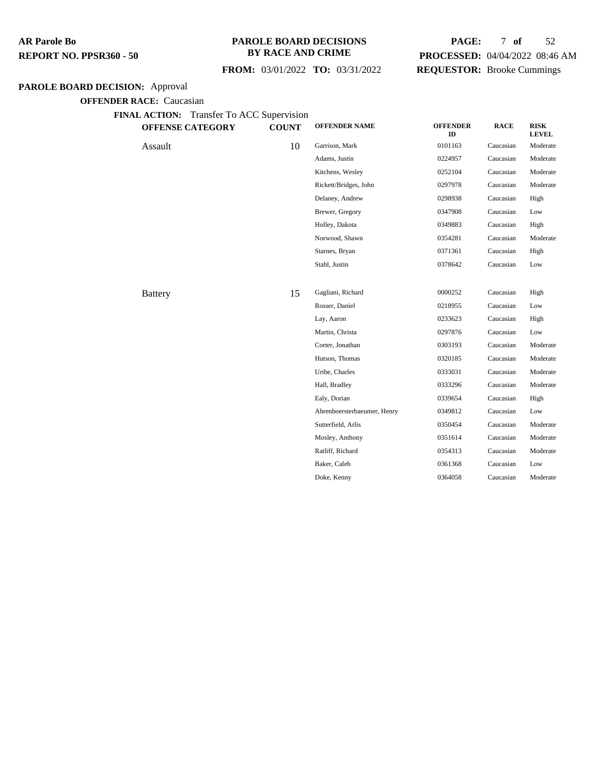#### **PAROLE BOARD DECISIONS BY RACE AND CRIME**

## **FROM:** 03/01/2022 **TO:** 03/31/2022

## **PAGE:** 7 **of** 52 **PROCESSED:** 04/04/2022 08:46 AM **REQUESTOR:** Brooke Cummings

## **PAROLE BOARD DECISION:** Approval

| <b>OFFENSE CATEGORY</b> | <b>COUNT</b> | <b>OFFENDER NAME</b>        | <b>OFFENDER</b><br>ID | <b>RACE</b> | <b>RISK</b><br><b>LEVEL</b> |
|-------------------------|--------------|-----------------------------|-----------------------|-------------|-----------------------------|
| Assault                 | 10           | Garrison, Mark              | 0101163               | Caucasian   | Moderate                    |
|                         |              | Adams, Justin               | 0224957               | Caucasian   | Moderate                    |
|                         |              | Kitchens, Wesley            | 0252104               | Caucasian   | Moderate                    |
|                         |              | Rickett/Bridges, John       | 0297978               | Caucasian   | Moderate                    |
|                         |              | Delaney, Andrew             | 0298938               | Caucasian   | High                        |
|                         |              | Brewer, Gregory             | 0347908               | Caucasian   | Low                         |
|                         |              | Holley, Dakota              | 0349883               | Caucasian   | High                        |
|                         |              | Norwood, Shawn              | 0354281               | Caucasian   | Moderate                    |
|                         |              | Starnes, Bryan              | 0371361               | Caucasian   | High                        |
|                         |              | Stahl, Justin               | 0378642               | Caucasian   | Low                         |
| <b>Battery</b>          | 15           | Gagliani, Richard           | 0000252               | Caucasian   | High                        |
|                         |              | Rosser, Daniel              | 0218955               | Caucasian   | Low                         |
|                         |              | Lay, Aaron                  | 0233623               | Caucasian   | High                        |
|                         |              | Martin, Christa             | 0297876               | Caucasian   | Low                         |
|                         |              | Corter, Jonathan            | 0303193               | Caucasian   | Moderate                    |
|                         |              | Hutson, Thomas              | 0320185               | Caucasian   | Moderate                    |
|                         |              | Uribe, Charles              | 0333031               | Caucasian   | Moderate                    |
|                         |              | Hall, Bradley               | 0333296               | Caucasian   | Moderate                    |
|                         |              | Ealy, Dorian                | 0339654               | Caucasian   | High                        |
|                         |              | Ahrenhoersterbaeumer, Henry | 0349812               | Caucasian   | Low                         |
|                         |              | Sutterfield, Arlis          | 0350454               | Caucasian   | Moderate                    |
|                         |              | Mosley, Anthony             | 0351614               | Caucasian   | Moderate                    |
|                         |              | Ratliff, Richard            | 0354313               | Caucasian   | Moderate                    |
|                         |              | Baker, Caleb                | 0361368               | Caucasian   | Low                         |
|                         |              | Doke, Kenny                 | 0364058               | Caucasian   | Moderate                    |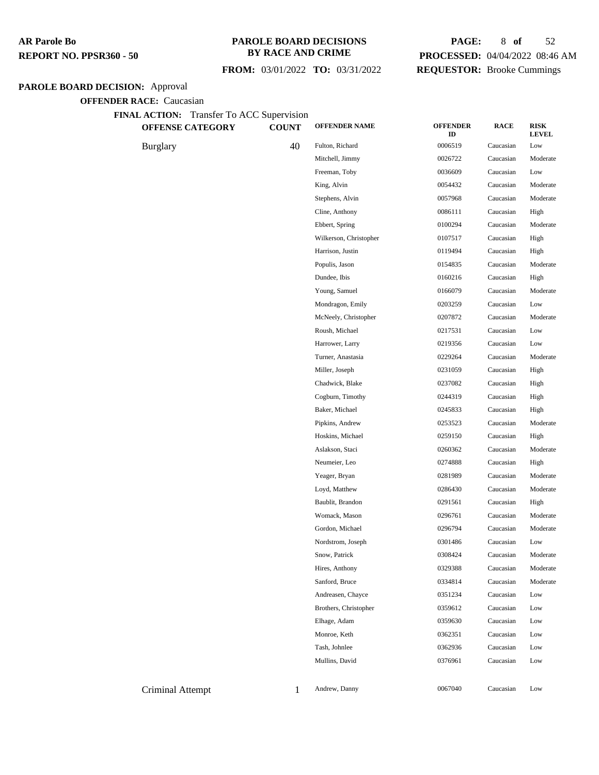#### **PAROLE BOARD DECISIONS BY RACE AND CRIME**

## **FROM:** 03/01/2022 **TO:** 03/31/2022

## **PAGE:** 8 **of** 52 **PROCESSED:** 04/04/2022 08:46 AM **REQUESTOR:** Brooke Cummings

## **PAROLE BOARD DECISION:** Approval

| <b>OFFENSE CATEGORY</b> | <b>COUNT</b> | <b>OFFENDER NAME</b>   | <b>OFFENDER</b><br>ID | <b>RACE</b> | <b>RISK</b><br><b>LEVEL</b> |
|-------------------------|--------------|------------------------|-----------------------|-------------|-----------------------------|
| <b>Burglary</b>         | 40           | Fulton, Richard        | 0006519               | Caucasian   | Low                         |
|                         |              | Mitchell, Jimmy        | 0026722               | Caucasian   | Moderate                    |
|                         |              | Freeman, Toby          | 0036609               | Caucasian   | Low                         |
|                         |              | King, Alvin            | 0054432               | Caucasian   | Moderate                    |
|                         |              | Stephens, Alvin        | 0057968               | Caucasian   | Moderate                    |
|                         |              | Cline, Anthony         | 0086111               | Caucasian   | High                        |
|                         |              | Ebbert, Spring         | 0100294               | Caucasian   | Moderate                    |
|                         |              | Wilkerson, Christopher | 0107517               | Caucasian   | High                        |
|                         |              | Harrison, Justin       | 0119494               | Caucasian   | High                        |
|                         |              | Populis, Jason         | 0154835               | Caucasian   | Moderate                    |
|                         |              | Dundee, Ibis           | 0160216               | Caucasian   | High                        |
|                         |              | Young, Samuel          | 0166079               | Caucasian   | Moderate                    |
|                         |              | Mondragon, Emily       | 0203259               | Caucasian   | Low                         |
|                         |              | McNeely, Christopher   | 0207872               | Caucasian   | Moderate                    |
|                         |              | Roush, Michael         | 0217531               | Caucasian   | Low                         |
|                         |              | Harrower, Larry        | 0219356               | Caucasian   | Low                         |
|                         |              | Turner, Anastasia      | 0229264               | Caucasian   | Moderate                    |
|                         |              | Miller, Joseph         | 0231059               | Caucasian   | High                        |
|                         |              | Chadwick, Blake        | 0237082               | Caucasian   | High                        |
|                         |              | Cogburn, Timothy       | 0244319               | Caucasian   | High                        |
|                         |              | Baker, Michael         | 0245833               | Caucasian   | High                        |
|                         |              | Pipkins, Andrew        | 0253523               | Caucasian   | Moderate                    |
|                         |              | Hoskins, Michael       | 0259150               | Caucasian   | High                        |
|                         |              | Aslakson, Staci        | 0260362               | Caucasian   | Moderate                    |
|                         |              | Neumeier, Leo          | 0274888               | Caucasian   | High                        |
|                         |              | Yeager, Bryan          | 0281989               | Caucasian   | Moderate                    |
|                         |              | Loyd, Matthew          | 0286430               | Caucasian   | Moderate                    |
|                         |              | Baublit, Brandon       | 0291561               | Caucasian   | High                        |
|                         |              | Womack, Mason          | 0296761               | Caucasian   | Moderate                    |
|                         |              | Gordon, Michael        | 0296794               | Caucasian   | Moderate                    |
|                         |              | Nordstrom, Joseph      | 0301486               | Caucasian   | Low                         |
|                         |              | Snow, Patrick          | 0308424               | Caucasian   | Moderate                    |
|                         |              | Hires, Anthony         | 0329388               | Caucasian   | Moderate                    |
|                         |              | Sanford, Bruce         | 0334814               | Caucasian   | Moderate                    |
|                         |              | Andreasen, Chayce      | 0351234               | Caucasian   | Low                         |
|                         |              | Brothers, Christopher  | 0359612               | Caucasian   | Low                         |
|                         |              | Elhage, Adam           | 0359630               | Caucasian   | Low                         |
|                         |              | Monroe, Keth           | 0362351               | Caucasian   | Low                         |
|                         |              | Tash, Johnlee          | 0362936               | Caucasian   | Low                         |
|                         |              | Mullins, David         | 0376961               | Caucasian   | Low                         |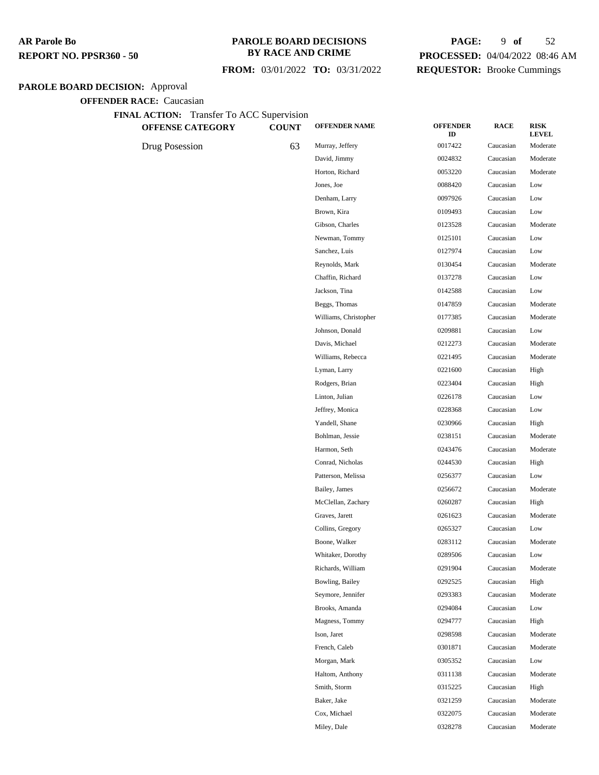#### **PAROLE BOARD DECISIONS BY RACE AND CRIME**

## **FROM:** 03/01/2022 **TO:** 03/31/2022

## **PAGE:** 9 **of** 52 **PROCESSED:** 04/04/2022 08:46 AM **REQUESTOR:** Brooke Cummings

## **PAROLE BOARD DECISION:** Approval

| FINAL ACTION: Transfer To ACC Supervision<br><b>OFFENSE CATEGORY</b> | <b>COUNT</b> | <b>OFFENDER NAME</b>  | <b>OFFENDER</b> | <b>RACE</b> | <b>RISK</b>              |
|----------------------------------------------------------------------|--------------|-----------------------|-----------------|-------------|--------------------------|
| Drug Posession                                                       | 63           | Murray, Jeffery       | ID<br>0017422   | Caucasian   | <b>LEVEL</b><br>Moderate |
|                                                                      |              | David, Jimmy          | 0024832         | Caucasian   | Moderate                 |
|                                                                      |              | Horton, Richard       | 0053220         | Caucasian   | Moderate                 |
|                                                                      |              | Jones, Joe            | 0088420         | Caucasian   | Low                      |
|                                                                      |              | Denham, Larry         | 0097926         | Caucasian   | Low                      |
|                                                                      |              | Brown, Kira           | 0109493         | Caucasian   | Low                      |
|                                                                      |              | Gibson, Charles       | 0123528         | Caucasian   | Moderate                 |
|                                                                      |              | Newman, Tommy         | 0125101         | Caucasian   | Low                      |
|                                                                      |              | Sanchez, Luis         | 0127974         | Caucasian   | Low                      |
|                                                                      |              | Reynolds, Mark        | 0130454         | Caucasian   | Moderate                 |
|                                                                      |              | Chaffin, Richard      | 0137278         | Caucasian   | Low                      |
|                                                                      |              | Jackson, Tina         | 0142588         | Caucasian   | Low                      |
|                                                                      |              | Beggs, Thomas         | 0147859         | Caucasian   | Moderate                 |
|                                                                      |              | Williams, Christopher | 0177385         | Caucasian   | Moderate                 |
|                                                                      |              | Johnson, Donald       | 0209881         | Caucasian   | Low                      |
|                                                                      |              | Davis, Michael        | 0212273         | Caucasian   | Moderate                 |
|                                                                      |              | Williams, Rebecca     | 0221495         | Caucasian   | Moderate                 |
|                                                                      |              | Lyman, Larry          | 0221600         | Caucasian   | High                     |
|                                                                      |              | Rodgers, Brian        | 0223404         | Caucasian   | High                     |
|                                                                      |              | Linton, Julian        | 0226178         | Caucasian   | Low                      |
|                                                                      |              | Jeffrey, Monica       | 0228368         | Caucasian   | Low                      |
|                                                                      |              | Yandell, Shane        | 0230966         | Caucasian   | High                     |
|                                                                      |              | Bohlman, Jessie       | 0238151         | Caucasian   | Moderate                 |
|                                                                      |              | Harmon, Seth          | 0243476         | Caucasian   | Moderate                 |
|                                                                      |              | Conrad, Nicholas      | 0244530         | Caucasian   | High                     |
|                                                                      |              | Patterson, Melissa    | 0256377         | Caucasian   | Low                      |
|                                                                      |              | Bailey, James         | 0256672         | Caucasian   | Moderate                 |
|                                                                      |              | McClellan, Zachary    | 0260287         | Caucasian   | High                     |
|                                                                      |              | Graves, Jarett        | 0261623         | Caucasian   | Moderate                 |
|                                                                      |              | Collins, Gregory      | 0265327         | Caucasian   | Low                      |
|                                                                      |              | Boone, Walker         | 0283112         | Caucasian   | Moderate                 |
|                                                                      |              | Whitaker, Dorothy     | 0289506         | Caucasian   | Low                      |
|                                                                      |              | Richards, William     | 0291904         | Caucasian   | Moderate                 |
|                                                                      |              | Bowling, Bailey       | 0292525         | Caucasian   | High                     |
|                                                                      |              | Seymore, Jennifer     | 0293383         | Caucasian   | Moderate                 |
|                                                                      |              | Brooks, Amanda        | 0294084         | Caucasian   | Low                      |
|                                                                      |              | Magness, Tommy        | 0294777         | Caucasian   | High                     |
|                                                                      |              | Ison, Jaret           | 0298598         | Caucasian   | Moderate                 |
|                                                                      |              | French, Caleb         | 0301871         | Caucasian   | Moderate                 |
|                                                                      |              | Morgan, Mark          | 0305352         | Caucasian   | Low                      |
|                                                                      |              | Haltom, Anthony       | 0311138         | Caucasian   | Moderate                 |
|                                                                      |              | Smith, Storm          | 0315225         | Caucasian   | High                     |
|                                                                      |              | Baker, Jake           | 0321259         | Caucasian   | Moderate                 |
|                                                                      |              | Cox, Michael          | 0322075         | Caucasian   | Moderate                 |
|                                                                      |              | Miley, Dale           | 0328278         | Caucasian   | Moderate                 |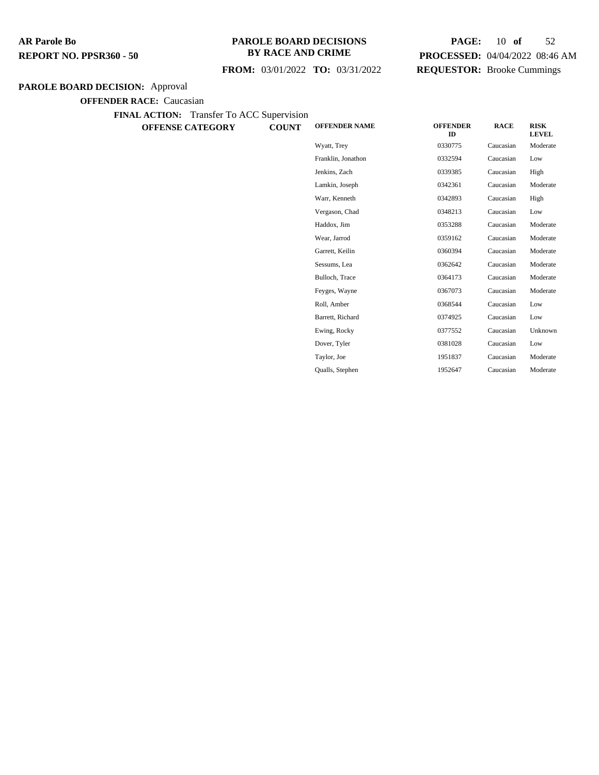#### **PAROLE BOARD DECISIONS BY RACE AND CRIME**

## **FROM:** 03/01/2022 **TO:** 03/31/2022

## **PAGE:** 10 **of** 52 **PROCESSED:** 04/04/2022 08:46 AM **REQUESTOR:** Brooke Cummings

## **PAROLE BOARD DECISION:** Approval

**OFFENDER RACE:** Caucasian

**FINAL ACTION:** Transfer To ACC Supervision

**OFFENSE CATEGORY COUNT** 

| <b>OFFENDER NAME</b> | <b>OFFENDER</b><br>ID | <b>RACE</b> | <b>RISK</b><br><b>LEVEL</b> |
|----------------------|-----------------------|-------------|-----------------------------|
| Wyatt, Trey          | 0330775               | Caucasian   | Moderate                    |
| Franklin, Jonathon   | 0332594               | Caucasian   | Low                         |
| Jenkins, Zach        | 0339385               | Caucasian   | High                        |
| Lamkin, Joseph       | 0342361               | Caucasian   | Moderate                    |
| Warr, Kenneth        | 0342893               | Caucasian   | High                        |
| Vergason, Chad       | 0348213               | Caucasian   | Low                         |
| Haddox. Jim          | 0353288               | Caucasian   | Moderate                    |
| Wear, Jarrod         | 0359162               | Caucasian   | Moderate                    |
| Garrett, Keilin      | 0360394               | Caucasian   | Moderate                    |
| Sessums, Lea         | 0362642               | Caucasian   | Moderate                    |
| Bulloch, Trace       | 0364173               | Caucasian   | Moderate                    |
| Feyges, Wayne        | 0367073               | Caucasian   | Moderate                    |
| Roll, Amber          | 0368544               | Caucasian   | Low                         |
| Barrett, Richard     | 0374925               | Caucasian   | Low                         |
| Ewing, Rocky         | 0377552               | Caucasian   | Unknown                     |
| Dover, Tyler         | 0381028               | Caucasian   | Low                         |
| Taylor, Joe          | 1951837               | Caucasian   | Moderate                    |

Qualls, Stephen 1952647 Caucasian Moderate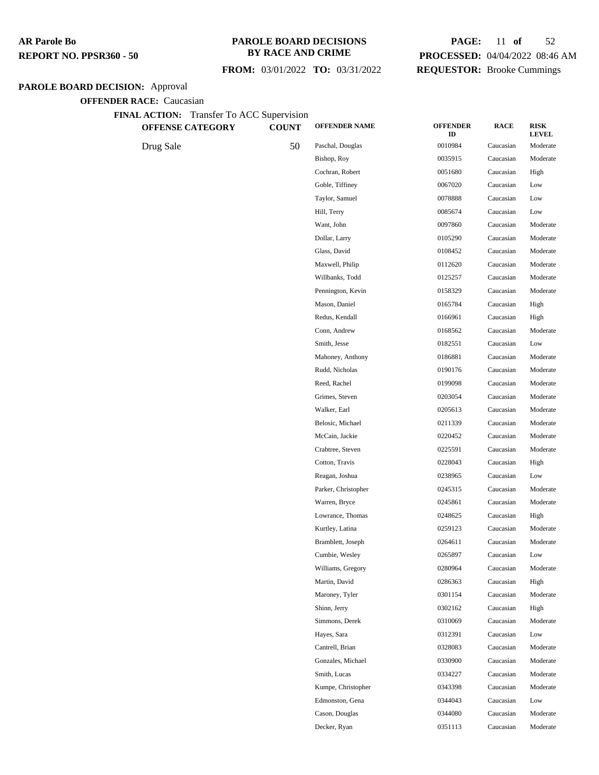### **PAROLE BOARD DECISIONS BY RACE AND CRIME**

## **FROM:** 03/01/2022 **TO:** 03/31/2022

## **PAGE:** 11 **of** 52 **PROCESSED:** 04/04/2022 08:46 AM **REQUESTOR:** Brooke Cummings

## **PAROLE BOARD DECISION:** Approval

| FINAL ACTION: Transfer To ACC Supervision<br><b>OFFENSE CATEGORY</b> | <b>COUNT</b> | <b>OFFENDER NAME</b> | <b>OFFENDER</b> | <b>RACE</b> | <b>RISK</b>              |
|----------------------------------------------------------------------|--------------|----------------------|-----------------|-------------|--------------------------|
|                                                                      |              | Paschal, Douglas     | ID<br>0010984   | Caucasian   | <b>LEVEL</b><br>Moderate |
| Drug Sale                                                            | 50           | Bishop, Roy          | 0035915         | Caucasian   | Moderate                 |
|                                                                      |              | Cochran, Robert      | 0051680         | Caucasian   | High                     |
|                                                                      |              | Goble, Tiffiney      | 0067020         | Caucasian   | Low                      |
|                                                                      |              | Taylor, Samuel       | 0078888         | Caucasian   | Low                      |
|                                                                      |              | Hill, Terry          | 0085674         | Caucasian   | Low                      |
|                                                                      |              | Want, John           | 0097860         | Caucasian   | Moderate                 |
|                                                                      |              | Dollar, Larry        | 0105290         | Caucasian   | Moderate                 |
|                                                                      |              | Glass, David         | 0108452         | Caucasian   | Moderate                 |
|                                                                      |              | Maxwell, Philip      | 0112620         | Caucasian   | Moderate                 |
|                                                                      |              | Willbanks, Todd      | 0125257         | Caucasian   | Moderate                 |
|                                                                      |              | Pennington, Kevin    | 0158329         | Caucasian   | Moderate                 |
|                                                                      |              | Mason, Daniel        | 0165784         | Caucasian   | High                     |
|                                                                      |              | Redus, Kendall       | 0166961         | Caucasian   | High                     |
|                                                                      |              | Conn, Andrew         | 0168562         | Caucasian   | Moderate                 |
|                                                                      |              | Smith, Jesse         | 0182551         | Caucasian   | Low                      |
|                                                                      |              | Mahoney, Anthony     | 0186881         | Caucasian   | Moderate                 |
|                                                                      |              | Rudd, Nicholas       | 0190176         | Caucasian   | Moderate                 |
|                                                                      |              | Reed, Rachel         | 0199098         | Caucasian   | Moderate                 |
|                                                                      |              | Grimes, Steven       | 0203054         | Caucasian   | Moderate                 |
|                                                                      |              | Walker, Earl         | 0205613         | Caucasian   | Moderate                 |
|                                                                      |              | Belosic, Michael     | 0211339         | Caucasian   | Moderate                 |
|                                                                      |              | McCain, Jackie       | 0220452         | Caucasian   | Moderate                 |
|                                                                      |              | Crabtree, Steven     | 0225591         | Caucasian   | Moderate                 |
|                                                                      |              | Cotton, Travis       | 0228043         | Caucasian   | High                     |
|                                                                      |              | Reagan, Joshua       | 0238965         | Caucasian   | Low                      |
|                                                                      |              | Parker, Christopher  | 0245315         | Caucasian   | Moderate                 |
|                                                                      |              | Warren, Bryce        | 0245861         | Caucasian   | Moderate                 |
|                                                                      |              | Lowrance, Thomas     | 0248625         | Caucasian   | High                     |
|                                                                      |              | Kurtley, Latina      | 0259123         | Caucasian   | Moderate                 |
|                                                                      |              | Bramblett, Joseph    | 0264611         | Caucasian   | Moderate                 |
|                                                                      |              | Cumbie, Wesley       | 0265897         | Caucasian   | Low                      |
|                                                                      |              | Williams, Gregory    | 0280964         | Caucasian   | Moderate                 |
|                                                                      |              | Martin, David        | 0286363         | Caucasian   | High                     |
|                                                                      |              | Maroney, Tyler       | 0301154         | Caucasian   | Moderate                 |
|                                                                      |              | Shinn, Jerry         | 0302162         | Caucasian   | High                     |
|                                                                      |              | Simmons, Derek       | 0310069         | Caucasian   | Moderate                 |
|                                                                      |              | Hayes, Sara          | 0312391         | Caucasian   | Low                      |
|                                                                      |              | Cantrell, Brian      | 0328083         | Caucasian   | Moderate                 |
|                                                                      |              | Gonzales, Michael    | 0330900         | Caucasian   | Moderate                 |
|                                                                      |              | Smith, Lucas         | 0334227         | Caucasian   | Moderate                 |
|                                                                      |              | Kumpe, Christopher   | 0343398         | Caucasian   | Moderate                 |
|                                                                      |              | Edmonston, Gena      | 0344043         | Caucasian   | Low                      |
|                                                                      |              | Cason, Douglas       | 0344080         | Caucasian   | Moderate                 |
|                                                                      |              | Decker, Ryan         | 0351113         | Caucasian   | Moderate                 |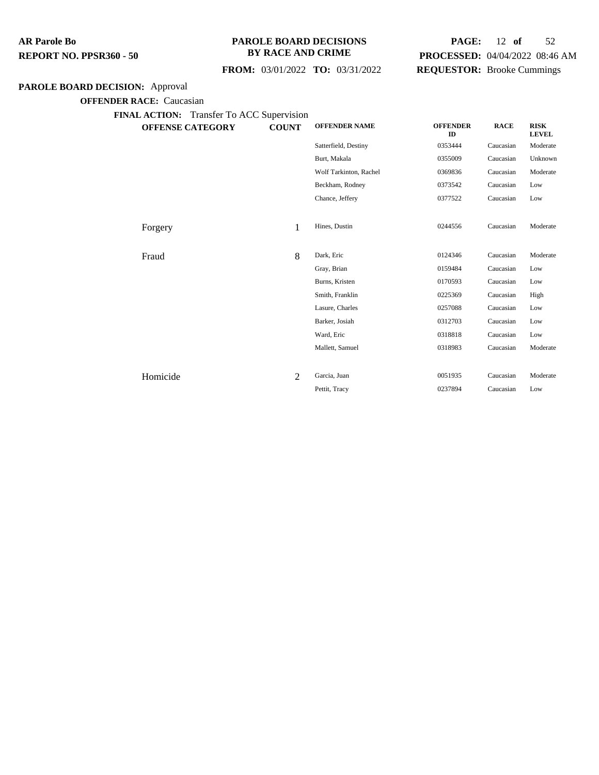#### **PAROLE BOARD DECISIONS BY RACE AND CRIME**

## **PAGE:** 12 **of** 52 **PROCESSED:** 04/04/2022 08:46 AM **REQUESTOR:** Brooke Cummings

## **FROM:** 03/01/2022 **TO:** 03/31/2022

## **PAROLE BOARD DECISION:** Approval

**OFFENDER RACE:** Caucasian

| <b>OFFENSE CATEGORY</b> | <b>COUNT</b>   | <b>OFFENDER NAME</b>   | <b>OFFENDER</b><br>ID | <b>RACE</b> | <b>RISK</b><br><b>LEVEL</b> |
|-------------------------|----------------|------------------------|-----------------------|-------------|-----------------------------|
|                         |                | Satterfield, Destiny   | 0353444               | Caucasian   | Moderate                    |
|                         |                | Burt, Makala           | 0355009               | Caucasian   | Unknown                     |
|                         |                | Wolf Tarkinton, Rachel | 0369836               | Caucasian   | Moderate                    |
|                         |                | Beckham, Rodney        | 0373542               | Caucasian   | Low                         |
|                         |                | Chance, Jeffery        | 0377522               | Caucasian   | Low                         |
|                         |                |                        |                       |             |                             |
| Forgery                 | 1              | Hines, Dustin          | 0244556               | Caucasian   | Moderate                    |
|                         |                |                        |                       |             |                             |
| Fraud                   | 8              | Dark, Eric             | 0124346               | Caucasian   | Moderate                    |
|                         |                | Gray, Brian            | 0159484               | Caucasian   | Low                         |
|                         |                | Burns, Kristen         | 0170593               | Caucasian   | Low                         |
|                         |                | Smith, Franklin        | 0225369               | Caucasian   | High                        |
|                         |                | Lasure, Charles        | 0257088               | Caucasian   | Low                         |
|                         |                | Barker, Josiah         | 0312703               | Caucasian   | Low                         |
|                         |                | Ward, Eric             | 0318818               | Caucasian   | Low                         |
|                         |                | Mallett, Samuel        | 0318983               | Caucasian   | Moderate                    |
|                         |                |                        |                       |             |                             |
| Homicide                | $\overline{2}$ | Garcia, Juan           | 0051935               | Caucasian   | Moderate                    |
|                         |                | Pettit, Tracy          | 0237894               | Caucasian   | Low                         |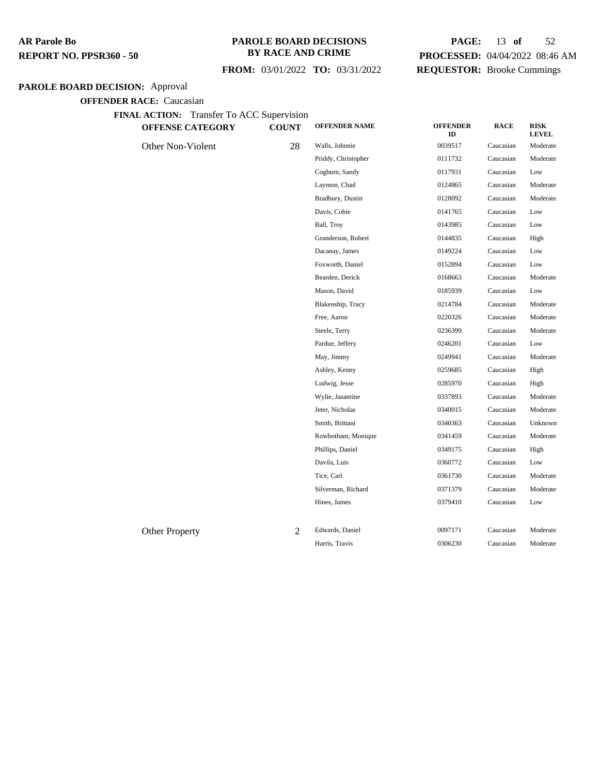#### **PAROLE BOARD DECISIONS BY RACE AND CRIME**

 **FROM:** 03/01/2022 **TO:** 03/31/2022

## **PAGE:** 13 **of** 52 **PROCESSED:** 04/04/2022 08:46 AM **REQUESTOR:** Brooke Cummings

## **PAROLE BOARD DECISION:** Approval

| <b>OFFENSE CATEGORY</b> | <b>COUNT</b>   | <b>OFFENDER NAME</b> | <b>OFFENDER</b><br>ID | <b>RACE</b> | <b>RISK</b><br><b>LEVEL</b> |
|-------------------------|----------------|----------------------|-----------------------|-------------|-----------------------------|
| Other Non-Violent       | 28             | Walls, Johnnie       | 0039517               | Caucasian   | Moderate                    |
|                         |                | Priddy, Christopher  | 0111732               | Caucasian   | Moderate                    |
|                         |                | Cogburn, Sandy       | 0117931               | Caucasian   | Low                         |
|                         |                | Laymon, Chad         | 0124865               | Caucasian   | Moderate                    |
|                         |                | Bradbury, Dustin     | 0128092               | Caucasian   | Moderate                    |
|                         |                | Davis, Cobie         | 0141765               | Caucasian   | Low                         |
|                         |                | Ball, Troy           | 0143985               | Caucasian   | Low                         |
|                         |                | Granderson, Robert   | 0144835               | Caucasian   | High                        |
|                         |                | Dacanay, James       | 0149224               | Caucasian   | Low                         |
|                         |                | Foxworth, Daniel     | 0152894               | Caucasian   | Low                         |
|                         |                | Bearden, Derick      | 0168663               | Caucasian   | Moderate                    |
|                         |                | Mason, David         | 0185939               | Caucasian   | Low                         |
|                         |                | Blakenship, Tracy    | 0214784               | Caucasian   | Moderate                    |
|                         |                | Free, Aaron          | 0220326               | Caucasian   | Moderate                    |
|                         |                | Steele, Terry        | 0236399               | Caucasian   | Moderate                    |
|                         |                | Pardue, Jeffery      | 0246201               | Caucasian   | Low                         |
|                         |                | May, Jimmy           | 0249941               | Caucasian   | Moderate                    |
|                         |                | Ashley, Kenny        | 0259685               | Caucasian   | High                        |
|                         |                | Ludwig, Jesse        | 0285970               | Caucasian   | High                        |
|                         |                | Wylie, Jasamine      | 0337893               | Caucasian   | Moderate                    |
|                         |                | Jeter, Nicholas      | 0340015               | Caucasian   | Moderate                    |
|                         |                | Smith, Brittani      | 0340363               | Caucasian   | Unknown                     |
|                         |                | Rowbotham, Monique   | 0341459               | Caucasian   | Moderate                    |
|                         |                | Phillips, Daniel     | 0349175               | Caucasian   | High                        |
|                         |                | Davila, Luis         | 0360772               | Caucasian   | Low                         |
|                         |                | Tice, Carl           | 0361730               | Caucasian   | Moderate                    |
|                         |                | Silverman, Richard   | 0371379               | Caucasian   | Moderate                    |
|                         |                | Hines, James         | 0379410               | Caucasian   | Low                         |
| <b>Other Property</b>   | $\overline{2}$ | Edwards, Daniel      | 0097171               | Caucasian   | Moderate                    |
|                         |                | Harris, Travis       | 0306230               | Caucasian   | Moderate                    |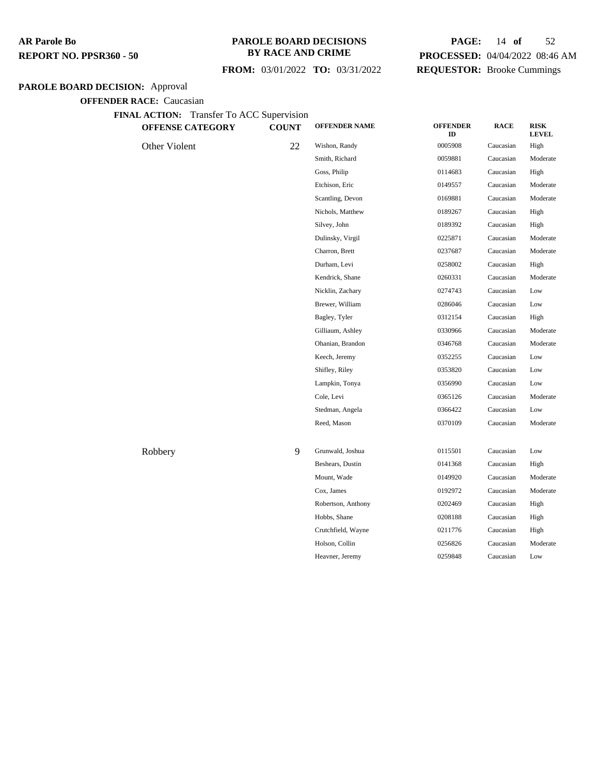## **PAROLE BOARD DECISIONS BY RACE AND CRIME**

## **FROM:** 03/01/2022 **TO:** 03/31/2022

## **PAGE:** 14 **of** 52 **PROCESSED:** 04/04/2022 08:46 AM **REQUESTOR:** Brooke Cummings

## **PAROLE BOARD DECISION:** Approval

| FINAL ACTION: Transfer To ACC Supervision<br><b>OFFENSE CATEGORY</b> | <b>COUNT</b> | <b>OFFENDER NAME</b> | <b>OFFENDER</b><br>ID | <b>RACE</b> | <b>RISK</b><br><b>LEVEL</b> |
|----------------------------------------------------------------------|--------------|----------------------|-----------------------|-------------|-----------------------------|
| Other Violent                                                        | 22           | Wishon, Randy        | 0005908               | Caucasian   | High                        |
|                                                                      |              | Smith, Richard       | 0059881               | Caucasian   | Moderate                    |
|                                                                      |              | Goss, Philip         | 0114683               | Caucasian   | High                        |
|                                                                      |              | Etchison, Eric       | 0149557               | Caucasian   | Moderate                    |
|                                                                      |              | Scantling, Devon     | 0169881               | Caucasian   | Moderate                    |
|                                                                      |              | Nichols, Matthew     | 0189267               | Caucasian   | High                        |
|                                                                      |              | Silvey, John         | 0189392               | Caucasian   | High                        |
|                                                                      |              | Dulinsky, Virgil     | 0225871               | Caucasian   | Moderate                    |
|                                                                      |              | Charron, Brett       | 0237687               | Caucasian   | Moderate                    |
|                                                                      |              | Durham, Levi         | 0258002               | Caucasian   | High                        |
|                                                                      |              | Kendrick, Shane      | 0260331               | Caucasian   | Moderate                    |
|                                                                      |              | Nicklin, Zachary     | 0274743               | Caucasian   | Low                         |
|                                                                      |              | Brewer, William      | 0286046               | Caucasian   | Low                         |
|                                                                      |              | Bagley, Tyler        | 0312154               | Caucasian   | High                        |
|                                                                      |              | Gilliaum, Ashley     | 0330966               | Caucasian   | Moderate                    |
|                                                                      |              | Ohanian, Brandon     | 0346768               | Caucasian   | Moderate                    |
|                                                                      |              | Keech, Jeremy        | 0352255               | Caucasian   | Low                         |
|                                                                      |              | Shifley, Riley       | 0353820               | Caucasian   | Low                         |
|                                                                      |              | Lampkin, Tonya       | 0356990               | Caucasian   | Low                         |
|                                                                      |              | Cole, Levi           | 0365126               | Caucasian   | Moderate                    |
|                                                                      |              | Stedman, Angela      | 0366422               | Caucasian   | Low                         |
|                                                                      |              | Reed, Mason          | 0370109               | Caucasian   | Moderate                    |
| Robbery                                                              | 9            | Grunwald, Joshua     | 0115501               | Caucasian   | Low                         |
|                                                                      |              | Beshears, Dustin     | 0141368               | Caucasian   | High                        |
|                                                                      |              | Mount, Wade          | 0149920               | Caucasian   | Moderate                    |
|                                                                      |              | Cox, James           | 0192972               | Caucasian   | Moderate                    |
|                                                                      |              | Robertson, Anthony   | 0202469               | Caucasian   | High                        |
|                                                                      |              | Hobbs, Shane         | 0208188               | Caucasian   | High                        |
|                                                                      |              | Crutchfield, Wayne   | 0211776               | Caucasian   | High                        |
|                                                                      |              | Holson, Collin       | 0256826               | Caucasian   | Moderate                    |
|                                                                      |              | Heavner, Jeremy      | 0259848               | Caucasian   | Low                         |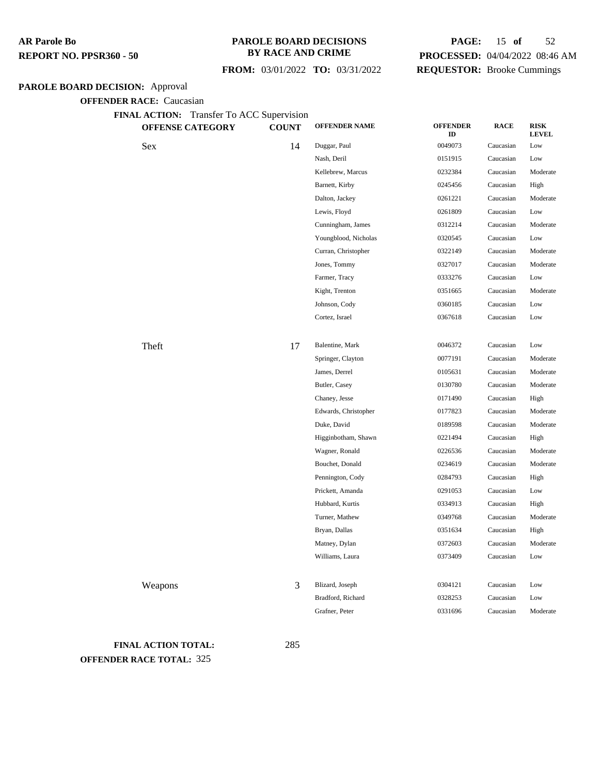#### **PAROLE BOARD DECISIONS BY RACE AND CRIME**

## **PAGE:** 15 **of** 52 **PROCESSED:** 04/04/2022 08:46 AM **Brooke Cummings**

Wagner, Ronald 0226536 Caucasian Moderate Bouchet, Donald 0234619 Caucasian Moderate Pennington, Cody 0284793 Caucasian High Prickett, Amanda 0291053 Caucasian Low Hubbard, Kurtis 0334913 Caucasian High Turner, Mathew 0349768 Caucasian Moderate Bryan, Dallas 0351634 Caucasian High Matney, Dylan 0372603 Caucasian Moderate Williams, Laura 0373409 Caucasian Low

Grafner, Peter 0331696 Caucasian Moderate

#### **PAROLE BOARD**

|                                 |                                           |              | FROM: 03/01/2022 TO: 03/31/2022 | <b>REQUESTOR:</b> Brooke Cumming |             |                             |
|---------------------------------|-------------------------------------------|--------------|---------------------------------|----------------------------------|-------------|-----------------------------|
| <b>RD DECISION: Approval</b>    |                                           |              |                                 |                                  |             |                             |
| <b>OFFENDER RACE: Caucasian</b> |                                           |              |                                 |                                  |             |                             |
|                                 | FINAL ACTION: Transfer To ACC Supervision |              |                                 |                                  |             |                             |
|                                 | <b>OFFENSE CATEGORY</b>                   | <b>COUNT</b> | <b>OFFENDER NAME</b>            | <b>OFFENDER</b><br>ID            | <b>RACE</b> | <b>RISK</b><br><b>LEVEL</b> |
| Sex                             |                                           | 14           | Duggar, Paul                    | 0049073                          | Caucasian   | Low                         |
|                                 |                                           |              | Nash, Deril                     | 0151915                          | Caucasian   | Low                         |
|                                 |                                           |              | Kellebrew, Marcus               | 0232384                          | Caucasian   | Moderate                    |
|                                 |                                           |              | Barnett, Kirby                  | 0245456                          | Caucasian   | High                        |
|                                 |                                           |              | Dalton, Jackey                  | 0261221                          | Caucasian   | Moderate                    |
|                                 |                                           |              | Lewis, Floyd                    | 0261809                          | Caucasian   | Low                         |
|                                 |                                           |              | Cunningham, James               | 0312214                          | Caucasian   | Moderate                    |
|                                 |                                           |              | Youngblood, Nicholas            | 0320545                          | Caucasian   | Low                         |
|                                 |                                           |              | Curran, Christopher             | 0322149                          | Caucasian   | Moderate                    |
|                                 |                                           |              | Jones, Tommy                    | 0327017                          | Caucasian   | Moderate                    |
|                                 |                                           |              | Farmer, Tracy                   | 0333276                          | Caucasian   | Low                         |
|                                 |                                           |              | Kight, Trenton                  | 0351665                          | Caucasian   | Moderate                    |
|                                 |                                           |              | Johnson, Cody                   | 0360185                          | Caucasian   | Low                         |
|                                 |                                           |              | Cortez, Israel                  | 0367618                          | Caucasian   | Low                         |
| Theft                           |                                           | 17           | Balentine, Mark                 | 0046372                          | Caucasian   | Low                         |
|                                 |                                           |              | Springer, Clayton               | 0077191                          | Caucasian   | Moderate                    |
|                                 |                                           |              | James, Derrel                   | 0105631                          | Caucasian   | Moderate                    |
|                                 |                                           |              | Butler, Casey                   | 0130780                          | Caucasian   | Moderate                    |
|                                 |                                           |              | Chaney, Jesse                   | 0171490                          | Caucasian   | High                        |
|                                 |                                           |              | Edwards, Christopher            | 0177823                          | Caucasian   | Moderate                    |
|                                 |                                           |              | Duke, David                     | 0189598                          | Caucasian   | Moderate                    |
|                                 |                                           |              | Higginbotham, Shawn             | 0221494                          | Caucasian   | High                        |

Weapons 3 Blizard, Joseph 0304121 Caucasian Low Bradford, Richard 0328253 Caucasian Low

**FINAL ACTION TOTAL:** 285 **OFFENDER RACE TOTAL:** 325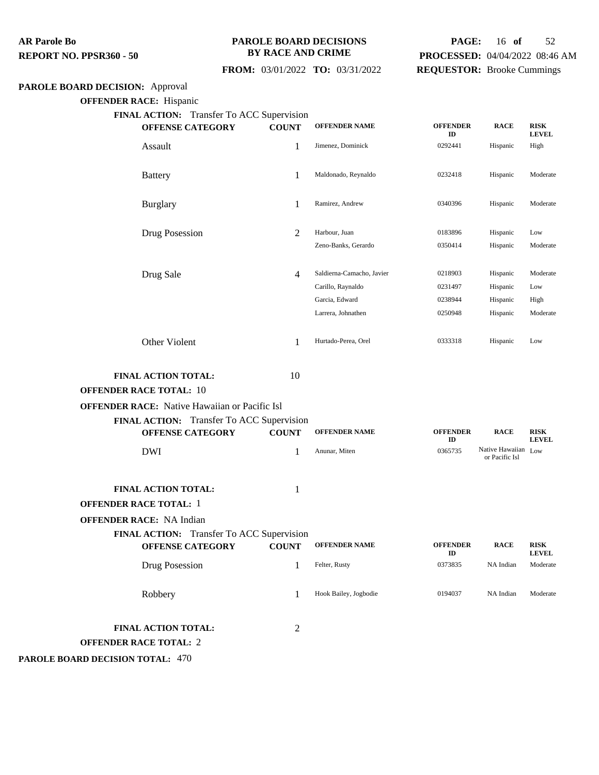#### **PAROLE BOARD DECISIONS BY RACE AND CRIME**

## **PAGE:** 16 **of** 52 **PROCESSED:** 04/04/2022 08:46 AM **REQUESTOR:** Brooke Cummings

## **FROM:** 03/01/2022 **TO:** 03/31/2022

## **PAROLE BOARD DECISION:** Approval

**OFFENDER RACE:** Hispanic

| FINAL ACTION: Transfer To ACC Supervision            |              |                           |                       |                                       |                             |
|------------------------------------------------------|--------------|---------------------------|-----------------------|---------------------------------------|-----------------------------|
| <b>OFFENSE CATEGORY</b>                              | <b>COUNT</b> | <b>OFFENDER NAME</b>      | <b>OFFENDER</b><br>ID | <b>RACE</b>                           | <b>RISK</b><br><b>LEVEL</b> |
| Assault                                              | 1            | Jimenez, Dominick         | 0292441               | Hispanic                              | High                        |
| <b>Battery</b>                                       | 1            | Maldonado, Reynaldo       | 0232418               | Hispanic                              | Moderate                    |
| <b>Burglary</b>                                      | 1            | Ramirez, Andrew           | 0340396               | Hispanic                              | Moderate                    |
| Drug Posession                                       | 2            | Harbour, Juan             | 0183896               | Hispanic                              | Low                         |
|                                                      |              | Zeno-Banks, Gerardo       | 0350414               | Hispanic                              | Moderate                    |
| Drug Sale                                            | 4            | Saldierna-Camacho, Javier | 0218903               | Hispanic                              | Moderate                    |
|                                                      |              | Carillo, Raynaldo         | 0231497               | Hispanic                              | Low                         |
|                                                      |              | Garcia, Edward            | 0238944               | Hispanic                              | High                        |
|                                                      |              | Larrera, Johnathen        | 0250948               | Hispanic                              | Moderate                    |
| Other Violent                                        | 1            | Hurtado-Perea, Orel       | 0333318               | Hispanic                              | Low                         |
| FINAL ACTION TOTAL:                                  | 10           |                           |                       |                                       |                             |
| <b>OFFENDER RACE TOTAL: 10</b>                       |              |                           |                       |                                       |                             |
| <b>OFFENDER RACE:</b> Native Hawaiian or Pacific Isl |              |                           |                       |                                       |                             |
| FINAL ACTION: Transfer To ACC Supervision            |              |                           |                       |                                       |                             |
| <b>OFFENSE CATEGORY</b>                              | <b>COUNT</b> | <b>OFFENDER NAME</b>      | <b>OFFENDER</b><br>ID | <b>RACE</b>                           | <b>RISK</b><br><b>LEVEL</b> |
| <b>DWI</b>                                           | 1            | Anunar, Miten             | 0365735               | Native Hawaiian Low<br>or Pacific Isl |                             |
| <b>FINAL ACTION TOTAL:</b>                           | 1            |                           |                       |                                       |                             |
| <b>OFFENDER RACE TOTAL: 1</b>                        |              |                           |                       |                                       |                             |
| <b>OFFENDER RACE: NA Indian</b>                      |              |                           |                       |                                       |                             |
| FINAL ACTION: Transfer To ACC Supervision            |              |                           |                       |                                       |                             |
| <b>OFFENSE CATEGORY</b>                              | <b>COUNT</b> | <b>OFFENDER NAME</b>      | <b>OFFENDER</b><br>ID | <b>RACE</b>                           | RISK<br><b>LEVEL</b>        |
| Drug Posession                                       | 1            | Felter, Rusty             | 0373835               | NA Indian                             | Moderate                    |
| Robbery                                              | 1            | Hook Bailey, Jogbodie     | 0194037               | NA Indian                             | Moderate                    |
| FINAL ACTION TOTAL:<br><b>OFFENDER RACE TOTAL: 2</b> | 2            |                           |                       |                                       |                             |

**PAROLE BOARD DECISION TOTAL:** 470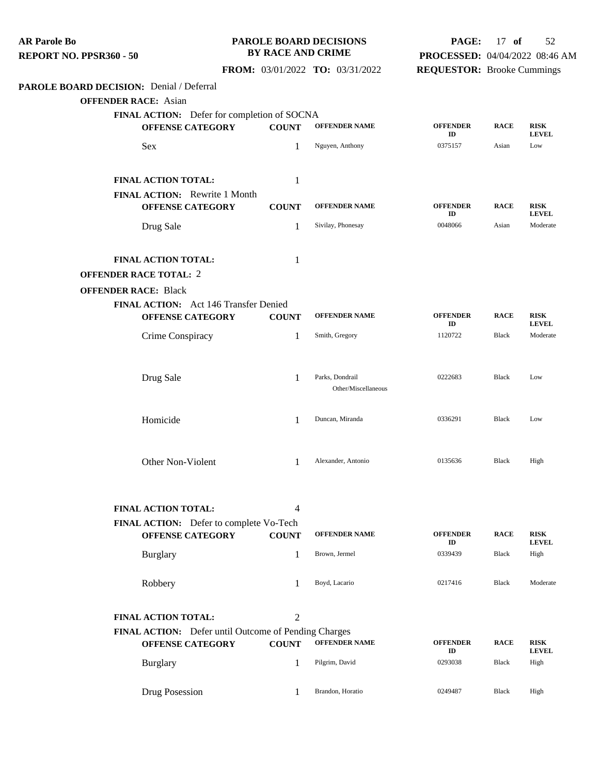| <b>AR Parole Bo</b><br>REPORT NO. PPSR360 - 50                         | <b>BY RACE AND CRIME</b> | PAROLE BOARD DECISIONS                 | PAGE:<br>PROCESSED: 04/04/2022 08:46 AM | $17$ of      | 52                          |
|------------------------------------------------------------------------|--------------------------|----------------------------------------|-----------------------------------------|--------------|-----------------------------|
|                                                                        |                          | FROM: 03/01/2022 TO: 03/31/2022        | <b>REQUESTOR:</b> Brooke Cummings       |              |                             |
| PAROLE BOARD DECISION: Denial / Deferral                               |                          |                                        |                                         |              |                             |
| <b>OFFENDER RACE: Asian</b>                                            |                          |                                        |                                         |              |                             |
| FINAL ACTION: Defer for completion of SOCNA<br><b>OFFENSE CATEGORY</b> | <b>COUNT</b>             | <b>OFFENDER NAME</b>                   | <b>OFFENDER</b><br>ID                   | <b>RACE</b>  | <b>RISK</b><br><b>LEVEL</b> |
| Sex                                                                    | 1                        | Nguyen, Anthony                        | 0375157                                 | Asian        | Low                         |
| FINAL ACTION TOTAL:                                                    | 1                        |                                        |                                         |              |                             |
| <b>FINAL ACTION:</b> Rewrite 1 Month<br><b>OFFENSE CATEGORY</b>        | <b>COUNT</b>             | <b>OFFENDER NAME</b>                   | <b>OFFENDER</b>                         | <b>RACE</b>  | <b>RISK</b>                 |
| Drug Sale                                                              | 1                        | Sivilay, Phonesay                      | ID<br>0048066                           | Asian        | <b>LEVEL</b><br>Moderate    |
|                                                                        |                          |                                        |                                         |              |                             |
| FINAL ACTION TOTAL:<br><b>OFFENDER RACE TOTAL: 2</b>                   | 1                        |                                        |                                         |              |                             |
| <b>OFFENDER RACE: Black</b>                                            |                          |                                        |                                         |              |                             |
| FINAL ACTION: Act 146 Transfer Denied<br><b>OFFENSE CATEGORY</b>       | <b>COUNT</b>             | <b>OFFENDER NAME</b>                   | <b>OFFENDER</b><br>ID                   | <b>RACE</b>  | <b>RISK</b><br><b>LEVEL</b> |
| Crime Conspiracy                                                       | 1                        | Smith, Gregory                         | 1120722                                 | Black        | Moderate                    |
| Drug Sale                                                              | -1                       | Parks, Dondrail<br>Other/Miscellaneous | 0222683                                 | Black        | Low                         |
| Homicide                                                               | 1                        | Duncan, Miranda                        | 0336291                                 | <b>Black</b> | Low                         |
| Other Non-Violent                                                      | 1                        | Alexander, Antonio                     | 0135636                                 | Black        | High                        |
| <b>FINAL ACTION TOTAL:</b>                                             | 4                        |                                        |                                         |              |                             |
| FINAL ACTION: Defer to complete Vo-Tech<br><b>OFFENSE CATEGORY</b>     | <b>COUNT</b>             | <b>OFFENDER NAME</b>                   | <b>OFFENDER</b><br>ID                   | <b>RACE</b>  | <b>RISK</b><br><b>LEVEL</b> |
| <b>Burglary</b>                                                        | 1                        | Brown, Jermel                          | 0339439                                 | Black        | High                        |
| Robbery                                                                | 1                        | Boyd, Lacario                          | 0217416                                 | Black        | Moderate                    |
| <b>FINAL ACTION TOTAL:</b>                                             | 2                        |                                        |                                         |              |                             |
| FINAL ACTION: Defer until Outcome of Pending Charges                   |                          |                                        |                                         |              |                             |
| <b>OFFENSE CATEGORY</b>                                                | <b>COUNT</b>             | <b>OFFENDER NAME</b>                   | <b>OFFENDER</b><br>ID                   | <b>RACE</b>  | <b>RISK</b><br><b>LEVEL</b> |
| <b>Burglary</b>                                                        | 1                        | Pilgrim, David                         | 0293038                                 | <b>Black</b> | High                        |
| Drug Posession                                                         | 1                        | Brandon, Horatio                       | 0249487                                 | Black        | High                        |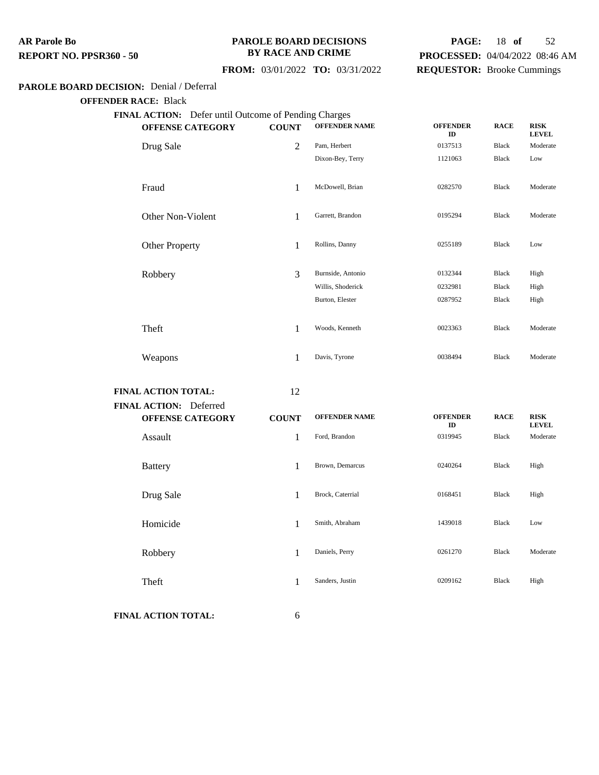#### **PAROLE BOARD DECISIONS BY RACE AND CRIME**

## **PAGE:** 18 **of** 52 **PROCESSED:** 04/04/2022 08:46 AM **REQUESTOR:** Brooke Cummings

## **FROM:** 03/01/2022 **TO:** 03/31/2022

#### **PAROLE BOARD DECISION:** Denial / Deferral

**OFFENDER RACE:** Black

| 2<br>1<br>1 | Pam, Herbert<br>Dixon-Bey, Terry<br>McDowell, Brian | 0137513<br>1121063<br>0282570 | Black<br>Black<br><b>Black</b> | Moderate<br>Low |
|-------------|-----------------------------------------------------|-------------------------------|--------------------------------|-----------------|
|             |                                                     |                               |                                |                 |
|             |                                                     |                               |                                |                 |
|             |                                                     |                               |                                | Moderate        |
|             | Garrett, Brandon                                    | 0195294                       | <b>Black</b>                   | Moderate        |
| 1           | Rollins, Danny                                      | 0255189                       | Black                          | Low             |
| 3           | Burnside, Antonio                                   | 0132344                       | Black                          | High            |
|             | Willis, Shoderick                                   | 0232981                       | Black                          | High            |
|             | Burton, Elester                                     | 0287952                       | Black                          | High            |
| 1           | Woods, Kenneth                                      | 0023363                       | <b>Black</b>                   | Moderate        |
| 1           | Davis, Tyrone                                       | 0038494                       | <b>Black</b>                   | Moderate        |
|             |                                                     |                               |                                |                 |

**FINAL ACTION TOTAL:** 12

| FINAL ACTION: Deferred | <b>OFFENSE CATEGORY</b> | <b>COUNT</b> | <b>OFFENDER NAME</b> | <b>OFFENDER</b><br>ID | <b>RACE</b>  | <b>RISK</b><br><b>LEVEL</b> |
|------------------------|-------------------------|--------------|----------------------|-----------------------|--------------|-----------------------------|
| Assault                |                         | 1            | Ford, Brandon        | 0319945               | <b>Black</b> | Moderate                    |
| <b>Battery</b>         |                         | 1            | Brown, Demarcus      | 0240264               | Black        | High                        |
| Drug Sale              |                         | 1            | Brock, Caterrial     | 0168451               | Black        | High                        |
| Homicide               |                         | 1            | Smith, Abraham       | 1439018               | Black        | Low                         |
| Robbery                |                         | 1            | Daniels, Perry       | 0261270               | <b>Black</b> | Moderate                    |
| Theft                  |                         | 1            | Sanders, Justin      | 0209162               | Black        | High                        |
|                        |                         |              |                      |                       |              |                             |

**FINAL ACTION TOTAL:** 6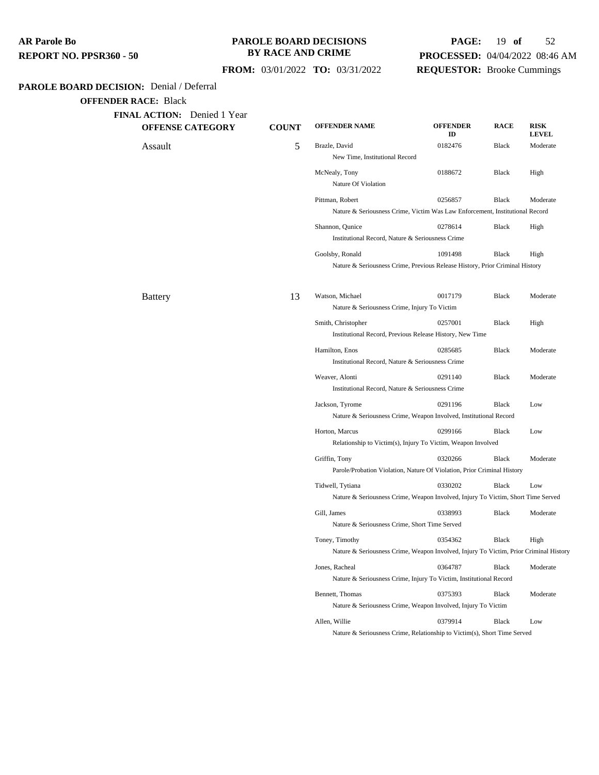| AR Parole Bo            |  |
|-------------------------|--|
| REPORT NO. PPSR360 - 50 |  |

## **PAROLE BOARD DECISIONS BY RACE AND CRIME**

## **PAGE:** 19 **of** 52 **PROCESSED:** 04/04/2022 08:46 AM **REQUESTOR:** Brooke Cummings

 **FROM:** 03/01/2022 **TO:** 03/31/2022

## **PAROLE BOARD DECISION:** Denial / Deferral

| <b>OFFENSE CATEGORY</b> | <b>COUNT</b> | <b>OFFENDER NAME</b>                                                                                    | <b>OFFENDER</b><br>ID | <b>RACE</b>  | <b>RISK</b><br><b>LEVEL</b> |
|-------------------------|--------------|---------------------------------------------------------------------------------------------------------|-----------------------|--------------|-----------------------------|
| Assault                 | 5            | Brazle, David<br>New Time, Institutional Record                                                         | 0182476               | <b>Black</b> | Moderate                    |
|                         |              | McNealy, Tony<br>Nature Of Violation                                                                    | 0188672               | <b>Black</b> | High                        |
|                         |              | Pittman, Robert<br>Nature & Seriousness Crime, Victim Was Law Enforcement, Institutional Record         | 0256857               | <b>Black</b> | Moderate                    |
|                         |              | Shannon, Qunice<br>Institutional Record, Nature & Seriousness Crime                                     | 0278614               | Black        | High                        |
|                         |              | Goolsby, Ronald<br>Nature & Seriousness Crime, Previous Release History, Prior Criminal History         | 1091498               | Black        | High                        |
| <b>Battery</b>          | 13           | Watson, Michael<br>Nature & Seriousness Crime, Injury To Victim                                         | 0017179               | <b>Black</b> | Moderate                    |
|                         |              | Smith, Christopher<br>Institutional Record, Previous Release History, New Time                          | 0257001               | <b>Black</b> | High                        |
|                         |              | Hamilton, Enos<br>Institutional Record, Nature & Seriousness Crime                                      | 0285685               | <b>Black</b> | Moderate                    |
|                         |              | Weaver, Alonti<br>Institutional Record, Nature & Seriousness Crime                                      | 0291140               | <b>Black</b> | Moderate                    |
|                         |              | Jackson, Tyrome<br>Nature & Seriousness Crime, Weapon Involved, Institutional Record                    | 0291196               | <b>Black</b> | Low                         |
|                         |              | Horton, Marcus<br>Relationship to Victim(s), Injury To Victim, Weapon Involved                          | 0299166               | <b>Black</b> | Low                         |
|                         |              | Griffin, Tony<br>Parole/Probation Violation, Nature Of Violation, Prior Criminal History                | 0320266               | Black        | Moderate                    |
|                         |              | Tidwell, Tytiana<br>Nature & Seriousness Crime, Weapon Involved, Injury To Victim, Short Time Served    | 0330202               | <b>Black</b> | Low                         |
|                         |              | Gill, James<br>Nature & Seriousness Crime, Short Time Served                                            | 0338993               | <b>Black</b> | Moderate                    |
|                         |              | Toney, Timothy<br>Nature & Seriousness Crime, Weapon Involved, Injury To Victim, Prior Criminal History | 0354362               | <b>Black</b> | High                        |
|                         |              | Jones, Racheal<br>Nature & Seriousness Crime, Injury To Victim, Institutional Record                    | 0364787               | Black        | Moderate                    |
|                         |              | Bennett, Thomas<br>Nature & Seriousness Crime, Weapon Involved, Injury To Victim                        | 0375393               | <b>Black</b> | Moderate                    |
|                         |              | Allen, Willie                                                                                           | 0379914               | <b>Black</b> | Low                         |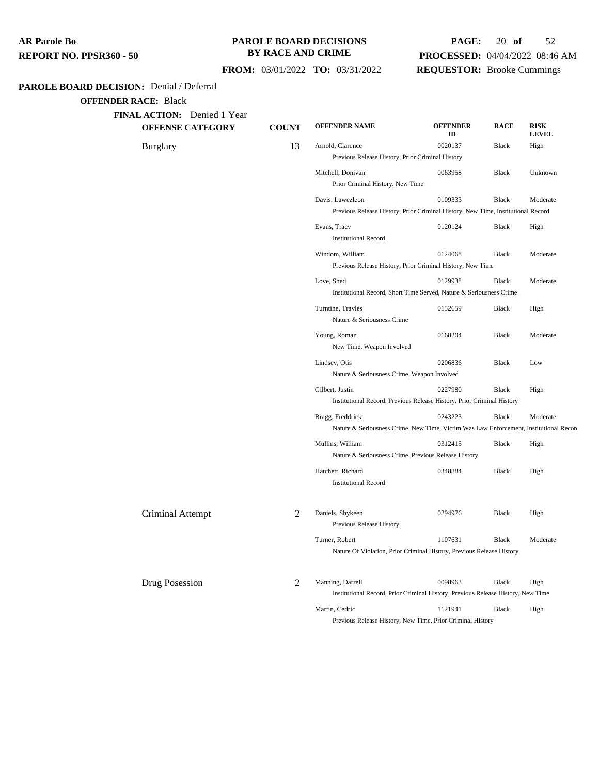## **PAROLE BOARD DECISIONS BY RACE AND CRIME**

## **PAGE:** 20 **of** 52 **PROCESSED:** 04/04/2022 08:46 AM **REQUESTOR:** Brooke Cummings

## **FROM:** 03/01/2022 **TO:** 03/31/2022

## **PAROLE BOARD DECISION:** Denial / Deferral

| FINAL ACTION: Denied 1 Year<br><b>OFFENSE CATEGORY</b> | <b>COUNT</b>   | <b>OFFENDER NAME</b>                                                                   | <b>OFFENDER</b><br>ID | <b>RACE</b> | <b>RISK</b><br><b>LEVEL</b> |
|--------------------------------------------------------|----------------|----------------------------------------------------------------------------------------|-----------------------|-------------|-----------------------------|
| <b>Burglary</b>                                        | 13             | Arnold, Clarence                                                                       | 0020137               | Black       | High                        |
|                                                        |                | Previous Release History, Prior Criminal History                                       |                       |             |                             |
|                                                        |                | Mitchell, Donivan<br>Prior Criminal History, New Time                                  | 0063958               | Black       | Unknown                     |
|                                                        |                | Davis, Lawezleon                                                                       | 0109333               | Black       | Moderate                    |
|                                                        |                | Previous Release History, Prior Criminal History, New Time, Institutional Record       |                       |             |                             |
|                                                        |                | Evans, Tracy<br><b>Institutional Record</b>                                            | 0120124               | Black       | High                        |
|                                                        |                | Windom, William                                                                        | 0124068               | Black       | Moderate                    |
|                                                        |                | Previous Release History, Prior Criminal History, New Time                             |                       |             |                             |
|                                                        |                | Love, Shed                                                                             | 0129938               | Black       | Moderate                    |
|                                                        |                | Institutional Record, Short Time Served, Nature & Seriousness Crime                    |                       |             |                             |
|                                                        |                | Turntine, Travles<br>Nature & Seriousness Crime                                        | 0152659               | Black       | High                        |
|                                                        |                | Young, Roman<br>New Time, Weapon Involved                                              | 0168204               | Black       | Moderate                    |
|                                                        |                | Lindsey, Otis                                                                          | 0206836               | Black       | Low                         |
|                                                        |                | Nature & Seriousness Crime, Weapon Involved                                            |                       |             |                             |
|                                                        |                | Gilbert, Justin                                                                        | 0227980               | Black       | High                        |
|                                                        |                | Institutional Record, Previous Release History, Prior Criminal History                 |                       |             |                             |
|                                                        |                | Bragg, Freddrick                                                                       | 0243223               | Black       | Moderate                    |
|                                                        |                | Nature & Seriousness Crime, New Time, Victim Was Law Enforcement, Institutional Record |                       |             |                             |
|                                                        |                | Mullins, William                                                                       | 0312415               | Black       | High                        |
|                                                        |                | Nature & Seriousness Crime, Previous Release History                                   |                       |             |                             |
|                                                        |                | Hatchett, Richard<br><b>Institutional Record</b>                                       | 0348884               | Black       | High                        |
| Criminal Attempt                                       | 2              | Daniels, Shykeen<br>Previous Release History                                           | 0294976               | Black       | High                        |
|                                                        |                | Turner, Robert                                                                         | 1107631               | Black       | Moderate                    |
|                                                        |                | Nature Of Violation, Prior Criminal History, Previous Release History                  |                       |             |                             |
| Drug Posession                                         | $\overline{2}$ | Manning, Darrell                                                                       | 0098963               | Black       | High                        |
|                                                        |                | Institutional Record, Prior Criminal History, Previous Release History, New Time       |                       |             |                             |
|                                                        |                | Martin, Cedric                                                                         | 1121941               | Black       | High                        |
|                                                        |                | Previous Release History, New Time, Prior Criminal History                             |                       |             |                             |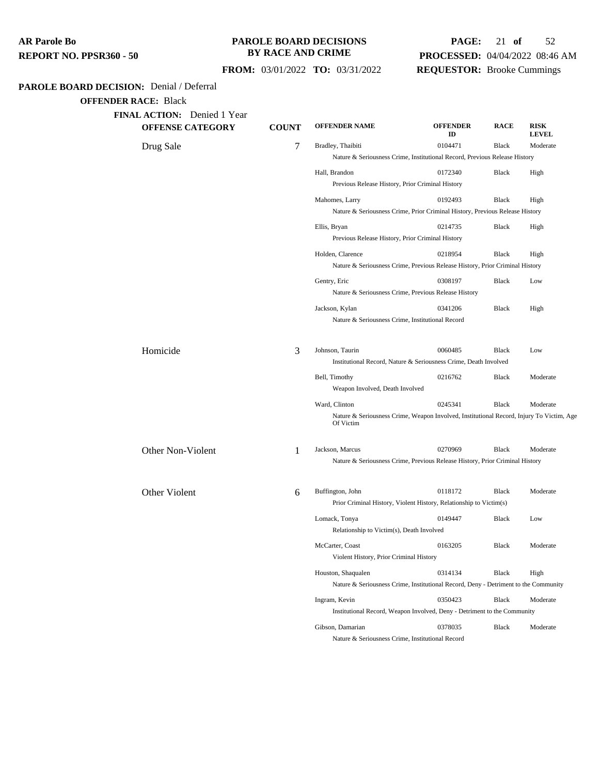#### **PAROLE BOARD DECISIONS BY RACE AND CRIME**

## **PAGE:** 21 **of** 52 **PROCESSED:** 04/04/2022 08:46 AM **REQUESTOR:** Brooke Cummings

## **FROM:** 03/01/2022 **TO:** 03/31/2022

## **PAROLE BOARD DECISION:** Denial / Deferral

| <b>OFFENSE CATEGORY</b> | <b>COUNT</b> | <b>OFFENDER NAME</b>                                       | <b>OFFENDER</b><br>ID                                                                    | <b>RACE</b>  | <b>RISK</b><br><b>LEVEL</b> |
|-------------------------|--------------|------------------------------------------------------------|------------------------------------------------------------------------------------------|--------------|-----------------------------|
| Drug Sale               | 7            | Bradley, Thaibiti                                          | 0104471                                                                                  | <b>Black</b> | Moderate                    |
|                         |              |                                                            | Nature & Seriousness Crime, Institutional Record, Previous Release History               |              |                             |
|                         |              | Hall, Brandon                                              | 0172340                                                                                  | Black        | High                        |
|                         |              | Previous Release History, Prior Criminal History           |                                                                                          |              |                             |
|                         |              | Mahomes, Larry                                             | 0192493                                                                                  | <b>Black</b> | High                        |
|                         |              |                                                            | Nature & Seriousness Crime, Prior Criminal History, Previous Release History             |              |                             |
|                         |              | Ellis, Bryan                                               | 0214735                                                                                  | Black        | High                        |
|                         |              | Previous Release History, Prior Criminal History           |                                                                                          |              |                             |
|                         |              | Holden, Clarence                                           | 0218954                                                                                  | Black        | High                        |
|                         |              |                                                            | Nature & Seriousness Crime, Previous Release History, Prior Criminal History             |              |                             |
|                         |              | Gentry, Eric                                               | 0308197                                                                                  | <b>Black</b> | Low                         |
|                         |              |                                                            | Nature & Seriousness Crime, Previous Release History                                     |              |                             |
|                         |              | Jackson, Kylan                                             | 0341206                                                                                  | <b>Black</b> | High                        |
|                         |              | Nature & Seriousness Crime, Institutional Record           |                                                                                          |              |                             |
| Homicide                | 3            | Johnson, Taurin                                            | 0060485                                                                                  | <b>Black</b> | Low                         |
|                         |              |                                                            | Institutional Record, Nature & Seriousness Crime, Death Involved                         |              |                             |
|                         |              | Bell, Timothy<br>Weapon Involved, Death Involved           | 0216762                                                                                  | <b>Black</b> | Moderate                    |
|                         |              | Ward, Clinton                                              | 0245341                                                                                  | Black        | Moderate                    |
|                         |              | Of Victim                                                  | Nature & Seriousness Crime, Weapon Involved, Institutional Record, Injury To Victim, Age |              |                             |
| Other Non-Violent       | 1            | Jackson, Marcus                                            | 0270969                                                                                  | <b>Black</b> | Moderate                    |
|                         |              |                                                            | Nature & Seriousness Crime, Previous Release History, Prior Criminal History             |              |                             |
| Other Violent           | 6            | Buffington, John                                           | 0118172                                                                                  | <b>Black</b> | Moderate                    |
|                         |              |                                                            | Prior Criminal History, Violent History, Relationship to Victim(s)                       |              |                             |
|                         |              | Lomack, Tonya                                              | 0149447                                                                                  | <b>Black</b> | Low                         |
|                         |              | Relationship to Victim(s), Death Involved                  |                                                                                          |              |                             |
|                         |              | McCarter, Coast<br>Violent History, Prior Criminal History | 0163205                                                                                  | Black        | Moderate                    |
|                         |              | Houston, Shaqualen                                         | 0314134                                                                                  | <b>Black</b> | High                        |
|                         |              |                                                            | Nature & Seriousness Crime, Institutional Record, Deny - Detriment to the Community      |              |                             |
|                         |              | Ingram, Kevin                                              | 0350423                                                                                  | <b>Black</b> | Moderate                    |
|                         |              |                                                            | Institutional Record, Weapon Involved, Deny - Detriment to the Community                 |              |                             |
|                         |              |                                                            |                                                                                          |              |                             |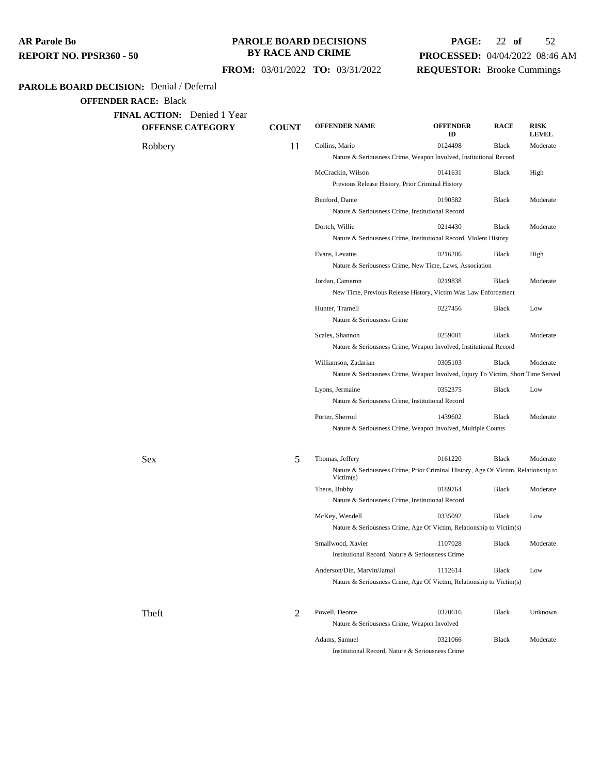#### **PAROLE BOARD DECISIONS BY RACE AND CRIME**

## **PAGE:** 22 **of** 52 **PROCESSED:** 04/04/2022 08:46 AM **REQUESTOR:** Brooke Cummings

## **FROM:** 03/01/2022 **TO:** 03/31/2022

## **PAROLE BOARD DECISION:** Denial / Deferral

**OFFENDER RACE:** Black

| <b>OFFENSE CATEGORY</b> | <b>COUNT</b> | <b>OFFENDER NAME</b>                                                                            | <b>OFFENDER</b><br>ID | <b>RACE</b>  | <b>RISK</b><br><b>LEVEL</b> |
|-------------------------|--------------|-------------------------------------------------------------------------------------------------|-----------------------|--------------|-----------------------------|
| Robbery                 | 11           | Collins, Mario                                                                                  | 0124498               | Black        | Moderate                    |
|                         |              | Nature & Seriousness Crime, Weapon Involved, Institutional Record                               |                       |              |                             |
|                         |              | McCrackin, Wilson                                                                               | 0141631               | Black        | High                        |
|                         |              | Previous Release History, Prior Criminal History                                                |                       |              |                             |
|                         |              | Benford, Dante                                                                                  | 0190582               | <b>Black</b> | Moderate                    |
|                         |              | Nature & Seriousness Crime, Institutional Record                                                |                       |              |                             |
|                         |              | Dortch, Willie                                                                                  | 0214430               | Black        | Moderate                    |
|                         |              | Nature & Seriousness Crime, Institutional Record, Violent History                               |                       |              |                             |
|                         |              | Evans, Levatus                                                                                  | 0216206               | Black        | High                        |
|                         |              | Nature & Seriousness Crime, New Time, Laws, Association                                         |                       |              |                             |
|                         |              | Jordan, Cameron                                                                                 | 0219838               | <b>Black</b> | Moderate                    |
|                         |              | New Time, Previous Release History, Victim Was Law Enforcement                                  |                       |              |                             |
|                         |              | Hunter, Tramell                                                                                 | 0227456               | <b>Black</b> | Low                         |
|                         |              | Nature & Seriousness Crime                                                                      |                       |              |                             |
|                         |              | Scales, Shannon                                                                                 | 0259001               | <b>Black</b> | Moderate                    |
|                         |              | Nature & Seriousness Crime, Weapon Involved, Institutional Record                               |                       |              |                             |
|                         |              | Williamson, Zadarian                                                                            | 0305103               | Black        | Moderate                    |
|                         |              | Nature & Seriousness Crime, Weapon Involved, Injury To Victim, Short Time Served                |                       |              |                             |
|                         |              | Lyons, Jermaine                                                                                 | 0352375               | <b>Black</b> | Low                         |
|                         |              | Nature & Seriousness Crime, Institutional Record                                                |                       |              |                             |
|                         |              | Porter, Sherrod                                                                                 | 1439602               | <b>Black</b> | Moderate                    |
|                         |              | Nature & Seriousness Crime, Weapon Involved, Multiple Counts                                    |                       |              |                             |
| <b>Sex</b>              | 5            | Thomas, Jeffery                                                                                 | 0161220               | Black        | Moderate                    |
|                         |              | Nature & Seriousness Crime, Prior Criminal History, Age Of Victim, Relationship to<br>Victim(s) |                       |              |                             |
|                         |              | Theus, Bobby                                                                                    | 0189764               | <b>Black</b> | Moderate                    |
|                         |              | Nature & Seriousness Crime, Institutional Record                                                |                       |              |                             |
|                         |              | McKey, Wendell                                                                                  | 0335092               | <b>Black</b> | Low                         |
|                         |              | Nature & Seriousness Crime, Age Of Victim, Relationship to Victim(s)                            |                       |              |                             |
|                         |              | Smallwood, Xavier                                                                               | 1107028               | Black        | Moderate                    |
|                         |              | Institutional Record, Nature & Seriousness Crime                                                |                       |              |                             |
|                         |              | Anderson/Din, Marvin/Jamal                                                                      | 1112614               | Black        | Low                         |
|                         |              | Nature & Seriousness Crime, Age Of Victim, Relationship to Victim(s)                            |                       |              |                             |
| Theft                   | 2            | Powell, Deonte                                                                                  | 0320616               | Black        | Unknown                     |
|                         |              | Nature & Seriousness Crime, Weapon Involved                                                     |                       |              |                             |
|                         |              | Adams, Samuel                                                                                   | 0321066               | Black        | Moderate                    |

Institutional Record, Nature & Seriousness Crime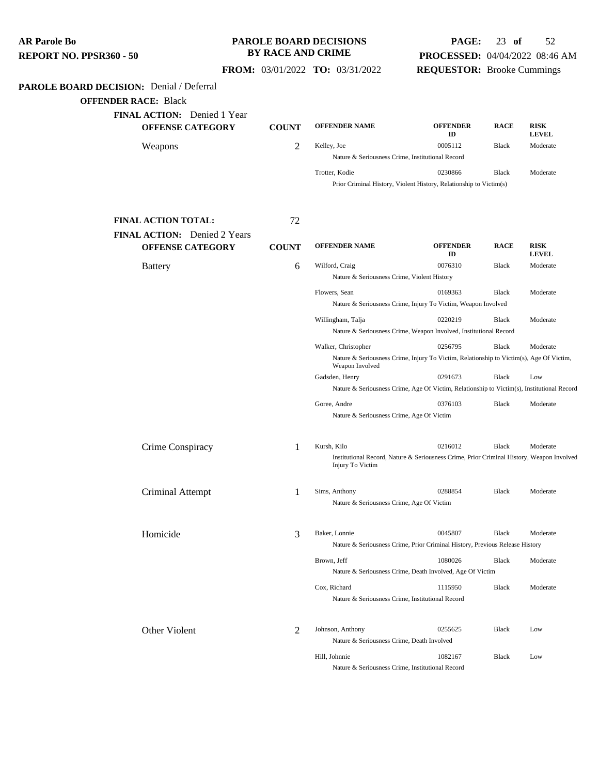**PAROLE BOARD DECISION:** Denial / Deferral **OFFENDER RACE:** Black **FINAL ACTION:** Denied 1 Year **OFFENSE CATEGORY COUNT OFFENDER NAME OFFENDER ID RACE RISK LEVEL** Weapons 2 Kelley, Joe 0005112 Black Moderate Nature & Seriousness Crime, Institutional Record Trotter, Kodie 0230866 Black Moderate Prior Criminal History, Violent History, Relationship to Victim(s) **FINAL ACTION TOTAL:** 72 **FINAL ACTION:** Denied 2 Years **OFFENSE CATEGORY COUNT OFFENDER NAME OFFENDER ID RACE RISK LEVEL** Battery **6** Wilford, Craig 6 0076310 Black Moderate Nature & Seriousness Crime, Violent History Flowers, Sean 0169363 Black Moderate Nature & Seriousness Crime, Injury To Victim, Weapon Involved Willingham, Talja 0220219 Black Moderate Nature & Seriousness Crime, Weapon Involved, Institutional Record Walker, Christopher 0256795 Black Moderate Nature & Seriousness Crime, Injury To Victim, Relationship to Victim(s), Age Of Victim, Weapon Involved Gadsden, Henry 0291673 Black Low Nature & Seriousness Crime, Age Of Victim, Relationship to Victim(s), Institutional Record Goree, Andre 0376103 Black Moderate Nature & Seriousness Crime, Age Of Victim Crime Conspiracy 1 Kursh, Kilo 0216012 Black Moderate Institutional Record, Nature & Seriousness Crime, Prior Criminal History, Weapon Involved, Injury To Victim Criminal Attempt 1 Sims, Anthony <sup>0288854</sup> Black Moderate Nature & Seriousness Crime, Age Of Victim Homicide 3 Baker, Lonnie <sup>0045807</sup> Black Moderate Nature & Seriousness Crime, Prior Criminal History, Previous Release History Brown, Jeff 1080026 Black Moderate Nature & Seriousness Crime, Death Involved, Age Of Victim Cox, Richard 1115950 Black Moderate Nature & Seriousness Crime, Institutional Record Other Violent 2 Johnson, Anthony 0255625 Black Low Nature & Seriousness Crime, Death Involved **AR Parole Bo REPORT NO. PPSR360 - 50 PAROLE BOARD DECISIONS BY RACE AND CRIME FROM:** 03/01/2022 **TO:** 03/31/2022 **PAGE:** 23 **of** 52 **PROCESSED:** 04/04/2022 08:46 AM **REQUESTOR:** Brooke Cummings

Hill, Johnnie 1082167 Black Low Nature & Seriousness Crime, Institutional Record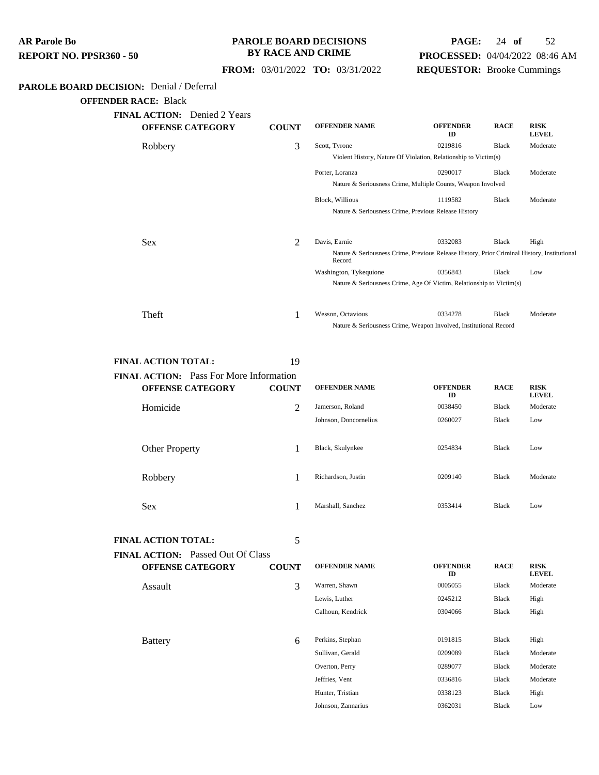| <b>AR Parole Bo</b>            |  |
|--------------------------------|--|
| <b>REPORT NO. PPSR360 - 50</b> |  |

## **PAROLE BOARD DECISIONS BY RACE AND CRIME**

## **PAGE:** 24 **of** 52 **PROCESSED:** 04/04/2022 08:46 AM **REQUESTOR:** Brooke Cummings

 **FROM:** 03/01/2022 **TO:** 03/31/2022

## **PAROLE BOARD DECISION:** Denial / Deferral

**OFFENDER RACE:** Black

| <b>FINAL ACTION:</b> Denied 2 Years<br><b>OFFENSE CATEGORY</b> | <b>COUNT</b> | <b>OFFENDER NAME</b>                                                                                  | <b>OFFENDER</b><br>ID | <b>RACE</b>  | <b>RISK</b><br><b>LEVEL</b> |
|----------------------------------------------------------------|--------------|-------------------------------------------------------------------------------------------------------|-----------------------|--------------|-----------------------------|
| Robbery                                                        | 3            | Scott, Tyrone                                                                                         | 0219816               | <b>Black</b> | Moderate                    |
|                                                                |              | Violent History, Nature Of Violation, Relationship to Victim(s)                                       |                       |              |                             |
|                                                                |              | Porter, Loranza                                                                                       | 0290017               | <b>Black</b> | Moderate                    |
|                                                                |              | Nature & Seriousness Crime, Multiple Counts, Weapon Involved                                          |                       |              |                             |
|                                                                |              | <b>Block, Willious</b>                                                                                | 1119582               | <b>Black</b> | Moderate                    |
|                                                                |              | Nature & Seriousness Crime, Previous Release History                                                  |                       |              |                             |
|                                                                |              |                                                                                                       |                       |              |                             |
| <b>Sex</b>                                                     | 2            | Davis, Earnie                                                                                         | 0332083               | <b>Black</b> | High                        |
|                                                                |              | Nature & Seriousness Crime, Previous Release History, Prior Criminal History, Institutional<br>Record |                       |              |                             |
|                                                                |              | Washington, Tykequione                                                                                | 0356843               | Black        | Low                         |
|                                                                |              | Nature & Seriousness Crime, Age Of Victim, Relationship to Victim(s)                                  |                       |              |                             |
|                                                                |              |                                                                                                       |                       |              |                             |
| Theft                                                          |              | Wesson, Octavious                                                                                     | 0334278               | Black        | Moderate                    |
|                                                                |              | Nature & Seriousness Crime, Weapon Involved, Institutional Record                                     |                       |              |                             |

#### **FINAL ACTION TOTAL:** 19

| <b>FINAL ACTION:</b> Pass For More Information |              |                       |                       |              |                             |
|------------------------------------------------|--------------|-----------------------|-----------------------|--------------|-----------------------------|
| <b>OFFENSE CATEGORY</b>                        | <b>COUNT</b> | <b>OFFENDER NAME</b>  | <b>OFFENDER</b><br>ID | <b>RACE</b>  | <b>RISK</b><br><b>LEVEL</b> |
| Homicide                                       | 2            | Jamerson, Roland      | 0038450               | Black        | Moderate                    |
|                                                |              | Johnson, Doncornelius | 0260027               | Black        | Low                         |
| <b>Other Property</b>                          |              | Black, Skulynkee      | 0254834               | <b>Black</b> | Low                         |
| Robbery                                        |              | Richardson, Justin    | 0209140               | Black        | Moderate                    |
| <b>Sex</b>                                     |              | Marshall, Sanchez     | 0353414               | <b>Black</b> | Low                         |

**FINAL ACTION TOTAL:** 5

| <b>FINAL ACTION:</b> Passed Out Of Class |              |                      |                       |              |                             |
|------------------------------------------|--------------|----------------------|-----------------------|--------------|-----------------------------|
| <b>OFFENSE CATEGORY</b>                  | <b>COUNT</b> | <b>OFFENDER NAME</b> | <b>OFFENDER</b><br>ID | <b>RACE</b>  | <b>RISK</b><br><b>LEVEL</b> |
| Assault                                  | 3            | Warren, Shawn        | 0005055               | <b>Black</b> | Moderate                    |
|                                          |              | Lewis, Luther        | 0245212               | <b>Black</b> | High                        |
|                                          |              | Calhoun, Kendrick    | 0304066               | Black        | High                        |
|                                          |              |                      |                       |              |                             |
| <b>Battery</b>                           | 6            | Perkins, Stephan     | 0191815               | <b>Black</b> | High                        |
|                                          |              | Sullivan, Gerald     | 0209089               | <b>Black</b> | Moderate                    |
|                                          |              | Overton, Perry       | 0289077               | <b>Black</b> | Moderate                    |
|                                          |              | Jeffries, Vent       | 0336816               | <b>Black</b> | Moderate                    |
|                                          |              | Hunter, Tristian     | 0338123               | <b>Black</b> | High                        |
|                                          |              | Johnson, Zannarius   | 0362031               | <b>Black</b> | Low                         |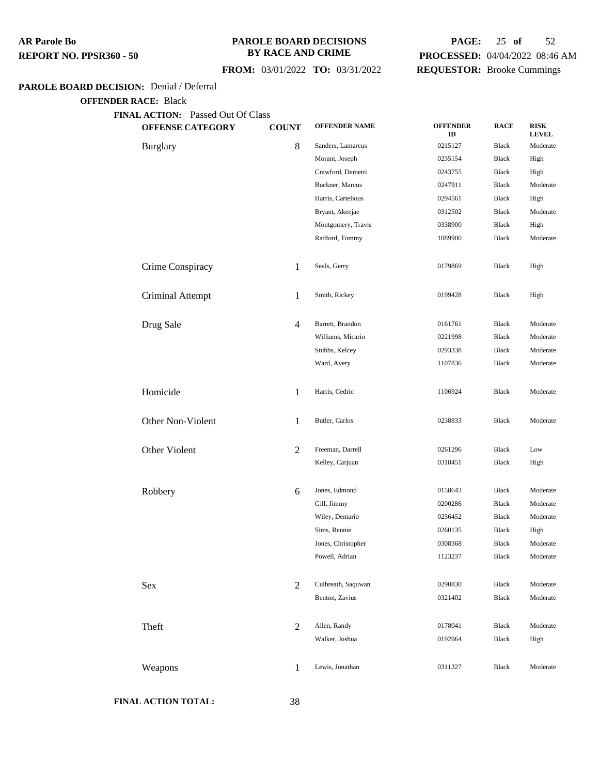#### **PAROLE BOARD DECISIONS BY RACE AND CRIME**

## **PAGE:** 25 **of** 52 **PROCESSED:** 04/04/2022 08:46 AM **REQUESTOR:** Brooke Cummings

## **FROM:** 03/01/2022 **TO:** 03/31/2022

#### **PAROLE BOARD DECISION:** Denial / Deferral

**OFFENDER RACE:** Black

| <b>OFFENSE CATEGORY</b> | <b>COUNT</b>   | <b>OFFENDER NAME</b> | <b>OFFENDER</b><br>ID | <b>RACE</b>  | <b>RISK</b><br><b>LEVEL</b> |
|-------------------------|----------------|----------------------|-----------------------|--------------|-----------------------------|
| <b>Burglary</b>         | $\,8\,$        | Sanders, Lamarcus    | 0215127               | <b>Black</b> | Moderate                    |
|                         |                | Morant, Joseph       | 0235154               | <b>Black</b> | High                        |
|                         |                | Crawford, Demetri    | 0243755               | <b>Black</b> | High                        |
|                         |                | Buckner, Marcus      | 0247911               | <b>Black</b> | Moderate                    |
|                         |                | Harris, Cartelious   | 0294561               | <b>Black</b> | High                        |
|                         |                | Bryant, Akeejae      | 0312502               | <b>Black</b> | Moderate                    |
|                         |                | Montgomery, Travis   | 0338900               | <b>Black</b> | High                        |
|                         |                | Radford, Tommy       | 1089900               | <b>Black</b> | Moderate                    |
| Crime Conspiracy        | 1              | Seals, Gerry         | 0179869               | Black        | High                        |
| Criminal Attempt        | $\mathbf{1}$   | Smith, Rickey        | 0199428               | <b>Black</b> | High                        |
| Drug Sale               | $\overline{4}$ | Barrett, Brandon     | 0161761               | <b>Black</b> | Moderate                    |
|                         |                | Williams, Micario    | 0221998               | Black        | Moderate                    |
|                         |                | Stubbs, Kelcey       | 0293338               | <b>Black</b> | Moderate                    |
|                         |                | Ward, Avery          | 1107836               | Black        | Moderate                    |
| Homicide                | $\mathbf{1}$   | Harris, Cedric       | 1106924               | Black        | Moderate                    |
| Other Non-Violent       | 1              | Butler, Carlos       | 0238833               | <b>Black</b> | Moderate                    |
| Other Violent           | $\overline{2}$ | Freeman, Darrell     | 0261296               | <b>Black</b> | Low                         |
|                         |                | Kelley, Carjuan      | 0318451               | Black        | High                        |
| Robbery                 | 6              | Jones, Edmond        | 0158643               | <b>Black</b> | Moderate                    |
|                         |                | Gill, Jimmy          | 0200286               | <b>Black</b> | Moderate                    |
|                         |                | Wiley, Demario       | 0256452               | <b>Black</b> | Moderate                    |
|                         |                | Sims, Rennie         | 0260135               | <b>Black</b> | High                        |
|                         |                | Jones, Christopher   | 0308368               | <b>Black</b> | Moderate                    |
|                         |                | Powell, Adrian       | 1123237               | Black        | Moderate                    |
| Sex                     | $\overline{2}$ | Culbreath, Saquwan   | 0290830               | Black        | Moderate                    |
|                         |                | Benton, Zavius       | 0321402               | <b>Black</b> | Moderate                    |
| Theft                   | $\overline{2}$ | Allen, Randy         | 0178041               | Black        | Moderate                    |
|                         |                | Walker, Joshua       | 0192964               | Black        | High                        |
| Weapons                 | $\mathbf{1}$   | Lewis, Jonathan      | 0311327               | <b>Black</b> | Moderate                    |
|                         |                |                      |                       |              |                             |

**FINAL ACTION TOTAL:** 38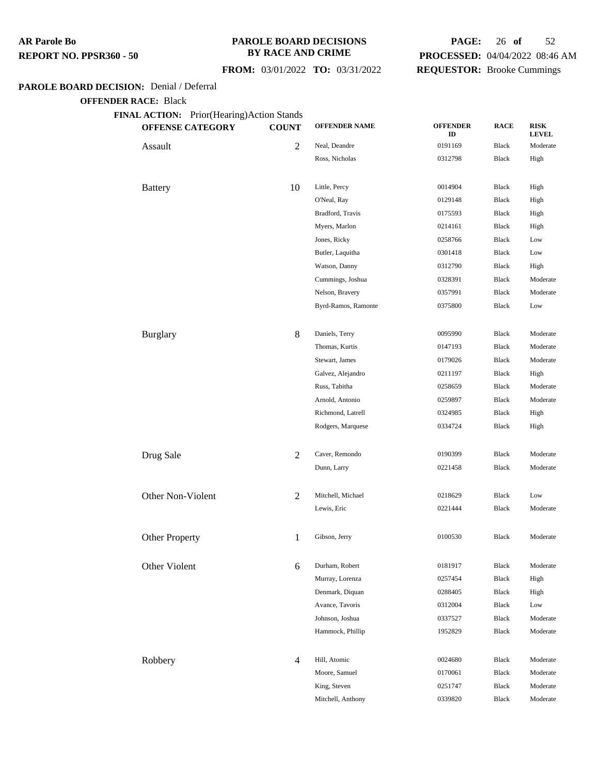#### **PAROLE BOARD DECISIONS BY RACE AND CRIME**

## **FROM:** 03/01/2022 **TO:** 03/31/2022

## **PAGE:** 26 **of** 52 **PROCESSED:** 04/04/2022 08:46 AM **REQUESTOR:** Brooke Cummings

#### **PAROLE BOARD DECISION:** Denial / Deferral

| FINAL ACTION: Prior(Hearing)Action Stands<br><b>OFFENSE CATEGORY</b> | <b>COUNT</b>   | <b>OFFENDER NAME</b> | <b>OFFENDER</b><br>ID | <b>RACE</b>  | <b>RISK</b><br><b>LEVEL</b> |
|----------------------------------------------------------------------|----------------|----------------------|-----------------------|--------------|-----------------------------|
| Assault                                                              | $\overline{2}$ | Neal, Deandre        | 0191169               | Black        | Moderate                    |
|                                                                      |                | Ross, Nicholas       | 0312798               | Black        | High                        |
| <b>Battery</b>                                                       | 10             | Little, Percy        | 0014904               | <b>Black</b> | High                        |
|                                                                      |                | O'Neal, Ray          | 0129148               | Black        | High                        |
|                                                                      |                | Bradford, Travis     | 0175593               | Black        | High                        |
|                                                                      |                | Myers, Marlon        | 0214161               | Black        | High                        |
|                                                                      |                | Jones, Ricky         | 0258766               | Black        | Low                         |
|                                                                      |                | Butler, Laquitha     | 0301418               | Black        | Low                         |
|                                                                      |                | Watson, Danny        | 0312790               | Black        | High                        |
|                                                                      |                | Cummings, Joshua     | 0328391               | Black        | Moderate                    |
|                                                                      |                | Nelson, Bravery      | 0357991               | Black        | Moderate                    |
|                                                                      |                | Byrd-Ramos, Ramonte  | 0375800               | Black        | Low                         |
| <b>Burglary</b>                                                      | $\,8\,$        | Daniels, Terry       | 0095990               | <b>Black</b> | Moderate                    |
|                                                                      |                | Thomas, Kurtis       | 0147193               | Black        | Moderate                    |
|                                                                      |                | Stewart, James       | 0179026               | <b>Black</b> | Moderate                    |
|                                                                      |                | Galvez, Alejandro    | 0211197               | <b>Black</b> | High                        |
|                                                                      |                | Russ, Tabitha        | 0258659               | Black        | Moderate                    |
|                                                                      |                | Arnold, Antonio      | 0259897               | Black        | Moderate                    |
|                                                                      |                | Richmond, Latrell    | 0324985               | Black        | High                        |
|                                                                      |                | Rodgers, Marquese    | 0334724               | <b>Black</b> | High                        |
| Drug Sale                                                            | $\overline{2}$ | Caver, Remondo       | 0190399               | <b>Black</b> | Moderate                    |
|                                                                      |                | Dunn, Larry          | 0221458               | Black        | Moderate                    |
| Other Non-Violent                                                    | 2              | Mitchell, Michael    | 0218629               | <b>Black</b> | Low                         |
|                                                                      |                | Lewis, Eric          | 0221444               | Black        | Moderate                    |
| <b>Other Property</b>                                                | $\mathbf{1}$   | Gibson, Jerry        | 0100530               | <b>Black</b> | Moderate                    |
| Other Violent                                                        | 6              | Durham, Robert       | 0181917               | Black        | Moderate                    |
|                                                                      |                | Murray, Lorenza      | 0257454               | Black        | High                        |
|                                                                      |                | Denmark, Diquan      | 0288405               | Black        | High                        |
|                                                                      |                | Avance, Tavoris      | 0312004               | Black        | Low                         |
|                                                                      |                | Johnson, Joshua      | 0337527               | Black        | Moderate                    |
|                                                                      |                | Hammock, Phillip     | 1952829               | Black        | Moderate                    |
| Robbery                                                              | $\overline{4}$ | Hill, Atomic         | 0024680               | <b>Black</b> | Moderate                    |
|                                                                      |                | Moore, Samuel        | 0170061               | Black        | Moderate                    |
|                                                                      |                | King, Steven         | 0251747               | Black        | Moderate                    |
|                                                                      |                | Mitchell, Anthony    | 0339820               | Black        | Moderate                    |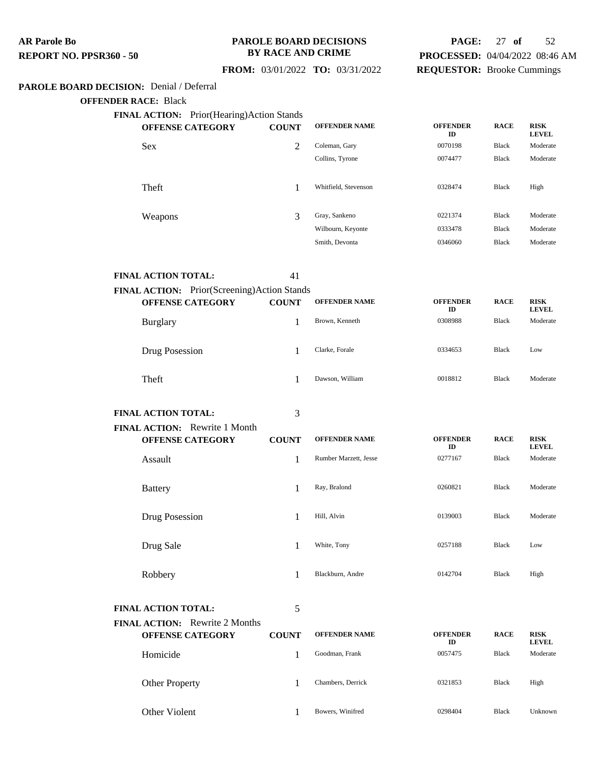#### **PAROLE BOARD DECISIONS BY RACE AND CRIME**

## **PAGE:** 27 **of** 52 **PROCESSED:** 04/04/2022 08:46 AM **REQUESTOR:** Brooke Cummings

 **FROM:** 03/01/2022 **TO:** 03/31/2022

## **PAROLE BOARD DECISION:** Denial / Deferral

**OFFENDER RACE:** Black

| <b>FINAL ACTION:</b> Prior(Hearing)Action Stands<br><b>OFFENSE CATEGORY</b> | <b>COUNT</b> | <b>OFFENDER NAME</b> | <b>OFFENDER</b><br>ID | <b>RACE</b>  | <b>RISK</b><br><b>LEVEL</b> |
|-----------------------------------------------------------------------------|--------------|----------------------|-----------------------|--------------|-----------------------------|
| <b>Sex</b>                                                                  | 2            | Coleman, Gary        | 0070198               | <b>Black</b> | Moderate                    |
|                                                                             |              | Collins, Tyrone      | 0074477               | <b>Black</b> | Moderate                    |
| <b>Theft</b>                                                                |              | Whitfield, Stevenson | 0328474               | Black        | High                        |
| Weapons                                                                     | 3            | Gray, Sankeno        | 0221374               | <b>Black</b> | Moderate                    |
|                                                                             |              | Wilbourn, Keyonte    | 0333478               | <b>Black</b> | Moderate                    |
|                                                                             |              | Smith, Devonta       | 0346060               | <b>Black</b> | Moderate                    |

**FINAL ACTION TOTAL:** 41

| FINAL ACTION: Prior(Screening)Action Stands<br><b>OFFENSE CATEGORY</b> | <b>COUNT</b> | <b>OFFENDER NAME</b> | <b>OFFENDER</b><br>ID | <b>RACE</b>  | <b>RISK</b><br><b>LEVEL</b> |
|------------------------------------------------------------------------|--------------|----------------------|-----------------------|--------------|-----------------------------|
| Burglary                                                               |              | Brown, Kenneth       | 0308988               | <b>Black</b> | Moderate                    |
| Drug Posession                                                         |              | Clarke, Forale       | 0334653               | <b>Black</b> | Low                         |
| Theft                                                                  |              | Dawson, William      | 0018812               | <b>Black</b> | Moderate                    |

**FINAL ACTION:** Rewrite 1 Month

**FINAL ACTION TOTAL:** 3

| <b>OFFENSE CATEGORY</b> | <b>COUNT</b> | <b>OFFENDER NAME</b>  | <b>OFFENDER</b><br>ID | <b>RACE</b>  | <b>RISK</b><br><b>LEVEL</b> |
|-------------------------|--------------|-----------------------|-----------------------|--------------|-----------------------------|
| Assault                 |              | Rumber Marzett, Jesse | 0277167               | Black        | Moderate                    |
| <b>Battery</b>          |              | Ray, Bralond          | 0260821               | <b>Black</b> | Moderate                    |
| Drug Posession          |              | Hill, Alvin           | 0139003               | <b>Black</b> | Moderate                    |
| Drug Sale               |              | White, Tony           | 0257188               | Black        | Low                         |
| Robbery                 |              | Blackburn, Andre      | 0142704               | <b>Black</b> | High                        |

**FINAL ACTION TOTAL:** 5

**FINAL ACTION:** Rewrite 2 Months **OFFENSE CATEGORY COUNT OFFENDER NAME OFFENDER ID RACE RISK LEVEL** Homicide 1 Goodman, Frank 0057475 Black Moderate Other Property 1 Chambers, Derrick 0321853 Black High Other Violent 1 Bowers, Winifred 0298404 Black Unknown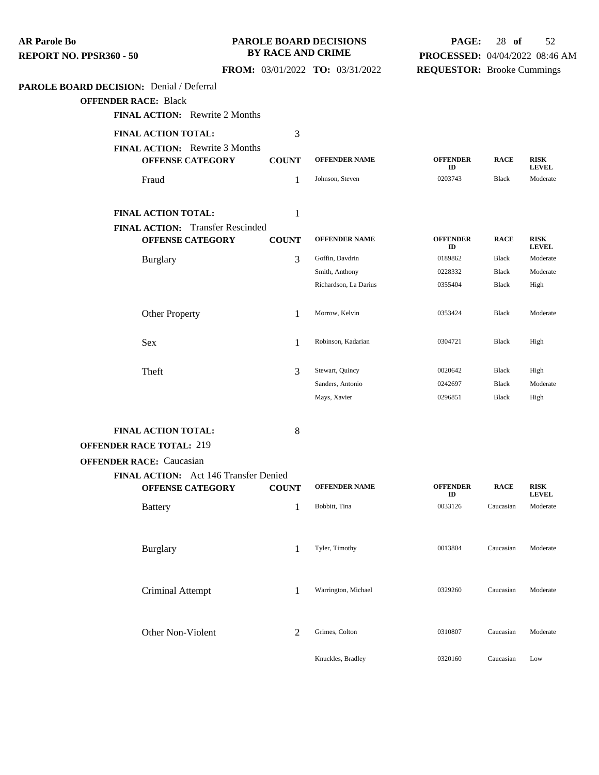| <b>AR Parole Bo</b>                             |                                                                    | <b>BY RACE AND CRIME</b> | <b>PAROLE BOARD DECISIONS</b>    | PAGE:                             | 28 of          | 52                          |
|-------------------------------------------------|--------------------------------------------------------------------|--------------------------|----------------------------------|-----------------------------------|----------------|-----------------------------|
| REPORT NO. PPSR360 - 50                         |                                                                    |                          |                                  | PROCESSED: 04/04/2022 08:46 AM    |                |                             |
|                                                 |                                                                    |                          | FROM: 03/01/2022 TO: 03/31/2022  | <b>REQUESTOR:</b> Brooke Cummings |                |                             |
| <b>PAROLE BOARD DECISION:</b> Denial / Deferral |                                                                    |                          |                                  |                                   |                |                             |
| <b>OFFENDER RACE: Black</b>                     |                                                                    |                          |                                  |                                   |                |                             |
|                                                 | <b>FINAL ACTION:</b> Rewrite 2 Months                              |                          |                                  |                                   |                |                             |
|                                                 | FINAL ACTION TOTAL:                                                | 3                        |                                  |                                   |                |                             |
|                                                 | FINAL ACTION: Rewrite 3 Months<br><b>OFFENSE CATEGORY</b>          | <b>COUNT</b>             | <b>OFFENDER NAME</b>             | <b>OFFENDER</b>                   | <b>RACE</b>    | <b>RISK</b>                 |
|                                                 | Fraud                                                              | 1                        | Johnson, Steven                  | ID<br>0203743                     | Black          | <b>LEVEL</b><br>Moderate    |
|                                                 | FINAL ACTION TOTAL:                                                | 1                        |                                  |                                   |                |                             |
|                                                 | <b>FINAL ACTION:</b> Transfer Rescinded<br><b>OFFENSE CATEGORY</b> | <b>COUNT</b>             | <b>OFFENDER NAME</b>             | <b>OFFENDER</b>                   | <b>RACE</b>    | <b>RISK</b>                 |
|                                                 | <b>Burglary</b>                                                    | 3                        | Goffin, Davdrin                  | ID<br>0189862                     | Black          | <b>LEVEL</b><br>Moderate    |
|                                                 |                                                                    |                          | Smith, Anthony                   | 0228332                           | Black          | Moderate                    |
|                                                 |                                                                    |                          | Richardson, La Darius            | 0355404                           | Black          | High                        |
|                                                 | <b>Other Property</b>                                              | 1                        | Morrow, Kelvin                   | 0353424                           | Black          | Moderate                    |
|                                                 | Sex                                                                | 1                        | Robinson, Kadarian               | 0304721                           | Black          | High                        |
|                                                 | Theft                                                              | 3                        | Stewart, Quincy                  | 0020642                           | Black          | High                        |
|                                                 |                                                                    |                          | Sanders, Antonio<br>Mays, Xavier | 0242697<br>0296851                | Black<br>Black | Moderate<br>High            |
|                                                 | FINAL ACTION TOTAL:                                                | 8                        |                                  |                                   |                |                             |
|                                                 | <b>OFFENDER RACE TOTAL: 219</b>                                    |                          |                                  |                                   |                |                             |
|                                                 | <b>OFFENDER RACE:</b> Caucasian                                    |                          |                                  |                                   |                |                             |
|                                                 | FINAL ACTION: Act 146 Transfer Denied                              |                          |                                  |                                   |                |                             |
|                                                 | <b>OFFENSE CATEGORY</b>                                            | <b>COUNT</b>             | <b>OFFENDER NAME</b>             | <b>OFFENDER</b><br>ID             | <b>RACE</b>    | <b>RISK</b><br><b>LEVEL</b> |
|                                                 | <b>Battery</b>                                                     | 1                        | Bobbitt, Tina                    | 0033126                           | Caucasian      | Moderate                    |
|                                                 | Burglary                                                           | 1                        | Tyler, Timothy                   | 0013804                           | Caucasian      | Moderate                    |
|                                                 | Criminal Attempt                                                   | 1                        | Warrington, Michael              | 0329260                           | Caucasian      | Moderate                    |
|                                                 | Other Non-Violent                                                  | 2                        | Grimes, Colton                   | 0310807                           | Caucasian      | Moderate                    |
|                                                 |                                                                    |                          | Knuckles, Bradley                | 0320160                           | Caucasian      | Low                         |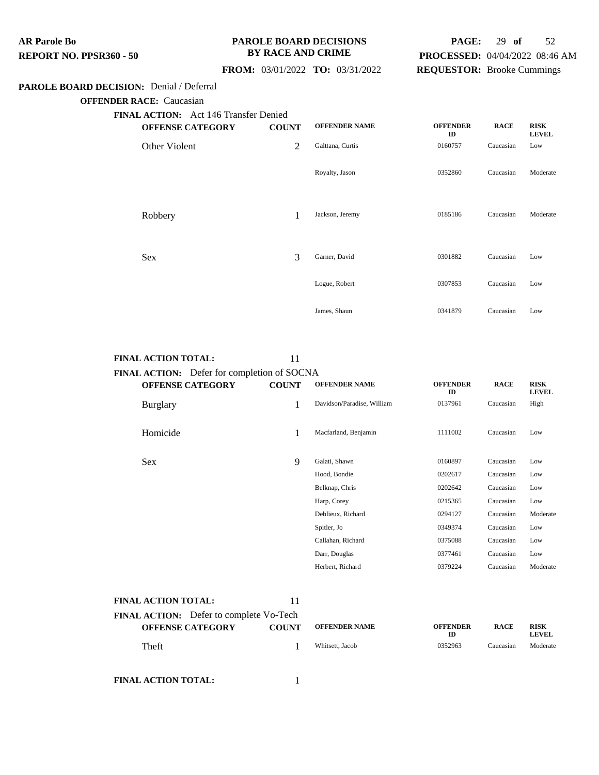#### **PAROLE BOARD DECISIONS BY RACE AND CRIME**

## **PAGE:** 29 **of** 52 **PROCESSED:** 04/04/2022 08:46 AM **REQUESTOR:** Brooke Cummings

#### **FROM:** 03/01/2022 **TO:** 03/31/2022

#### **PAROLE BOARD DECISION:** Denial / Deferral

**OFFENDER RACE:** Caucasian

| <b>FINAL ACTION:</b> Act 146 Transfer Denied |              |                      |                       |             |                             |
|----------------------------------------------|--------------|----------------------|-----------------------|-------------|-----------------------------|
| <b>OFFENSE CATEGORY</b>                      | <b>COUNT</b> | <b>OFFENDER NAME</b> | <b>OFFENDER</b><br>ID | <b>RACE</b> | <b>RISK</b><br><b>LEVEL</b> |
| Other Violent                                | 2            | Galttana, Curtis     | 0160757               | Caucasian   | Low                         |
|                                              |              | Royalty, Jason       | 0352860               | Caucasian   | Moderate                    |
| Robbery                                      | 1            | Jackson, Jeremy      | 0185186               | Caucasian   | Moderate                    |
| <b>Sex</b>                                   | 3            | Garner, David        | 0301882               | Caucasian   | Low                         |
|                                              |              | Logue, Robert        | 0307853               | Caucasian   | Low                         |
|                                              |              | James, Shaun         | 0341879               | Caucasian   | Low                         |

#### **FINAL ACTION TOTAL:** 11

**FINAL ACTION:** Defer for completion of SOCNA **OFFENSE CATEGORY COUNT OFFENDER NAME OFFENDER ID RACE RISK LEVEL** Burglary 1 Davidson/Paradise, William <sup>0137961</sup> Caucasian High Homicide 1 Macfarland, Benjamin 1111002 Caucasian Low Sex 9 Galati, Shawn <sup>0160897</sup> Caucasian Low Hood, Bondie 0202617 Caucasian Low Belknap, Chris 0202642 Caucasian Low Harp, Corey 0215365 Caucasian Low Deblieux, Richard 0294127 Caucasian Moderate Spitler, Jo 0349374 Caucasian Low Callahan, Richard 0375088 Caucasian Low Darr, Douglas 0377461 Caucasian Low Herbert, Richard 0379224 Caucasian Moderate

| <b>FINAL ACTION TOTAL:</b>                                                | 11           |                      |                              |             |                             |
|---------------------------------------------------------------------------|--------------|----------------------|------------------------------|-------------|-----------------------------|
| <b>FINAL ACTION:</b> Defer to complete Vo-Tech<br><b>OFFENSE CATEGORY</b> | <b>COUNT</b> | <b>OFFENDER NAME</b> | <b>OFFENDER</b><br><b>ID</b> | <b>RACE</b> | <b>RISK</b><br><b>LEVEL</b> |
| Theft                                                                     |              | Whitsett, Jacob      | 0352963                      | Caucasian   | Moderate                    |

**FINAL ACTION TOTAL:** 1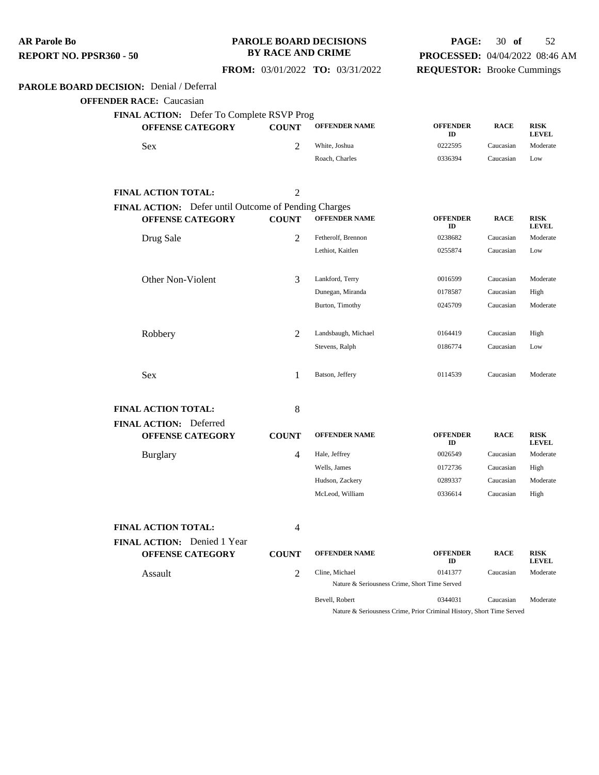**PAROLE BOARD DECISION:** Denial / Deferral **OFFENDER RACE:** Caucasian **FINAL ACTION:** Defer To Complete RSVP Prog **OFFENSE CATEGORY COUNT OFFENDER NAME OFFENDER ID RACE RISK LEVEL** Sex 2 White, Joshua 0222595 Caucasian Moderate Roach, Charles 0336394 Caucasian Low **FINAL ACTION TOTAL:** 2 **FINAL ACTION:** Defer until Outcome of Pending Charges **OFFENSE CATEGORY COUNT OFFENDER NAME OFFENDER ID RACE RISK LEVEL** Drug Sale 2 Fetherolf, Brennon <sup>0238682</sup> Caucasian Moderate Lethiot, Kaitlen 0255874 Caucasian Low Other Non-Violent 3 Lankford, Terry <sup>0016599</sup> Caucasian Moderate Dunegan, Miranda 0178587 Caucasian High Burton, Timothy 0245709 Caucasian Moderate Robbery 2 Landsbaugh, Michael 0164419 Caucasian High Stevens, Ralph 0186774 Caucasian Low Sex 20114539 Caucasian Moderate 1 Batson, Jeffery 20114539 Caucasian Moderate **FINAL ACTION TOTAL:** 8 **FINAL ACTION:** Deferred **OFFENSE CATEGORY COUNT OFFENDER NAME OFFENDER ID RACE RISK LEVEL** Burglary 4 Hale, Jeffrey <sup>0026549</sup> Caucasian Moderate Wells, James 0172736 Caucasian High Hudson, Zackery 0289337 Caucasian Moderate McLeod, William 0336614 Caucasian High **FINAL ACTION TOTAL:** 4 **FINAL ACTION:** Denied 1 Year **OFFENSE CATEGORY COUNT OFFENDER NAME OFFENDER ID RACE RISK LEVEL** Assault **2** Cline, Michael 0141377 Caucasian Moderate Nature & Seriousness Crime, Short Time Served **AR Parole Bo REPORT NO. PPSR360 - 50 PAROLE BOARD DECISIONS BY RACE AND CRIME FROM:** 03/01/2022 **TO:** 03/31/2022 **PAGE:** 30 **of** 52 **PROCESSED:** 04/04/2022 08:46 AM **REQUESTOR:** Brooke Cummings

> Bevell, Robert 0344031 Caucasian Moderate Nature & Seriousness Crime, Prior Criminal History, Short Time Served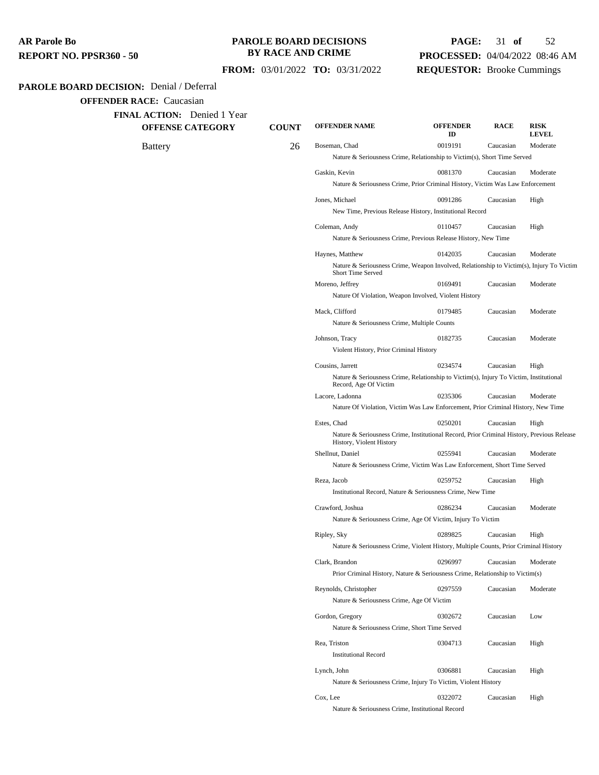#### **PAROLE BOARD DECISIONS BY RACE AND CRIME**

## **PAGE:** 31 **of** 52 **PROCESSED:** 04/04/2022 08:46 AM **REQUESTOR:** Brooke Cummings

#### **FROM:** 03/01/2022 **TO:** 03/31/2022

#### **PAROLE BOARD DECISION:** Denial / Deferral

**OFFENDER RACE:** Caucasian

**FINAL ACTION:** Denied 1 Year

**OFFENSE CATEGORY COUNT OFFENDER NAME OFFENDER ID RACE RISK LEVEL** Battery **26 Boseman, Chad** 0019191 Caucasian Moderate Nature & Seriousness Crime, Relationship to Victim(s), Short Time Served Gaskin, Kevin 0081370 Caucasian Moderate Nature & Seriousness Crime, Prior Criminal History, Victim Was Law Enforcement Jones, Michael 0091286 Caucasian High New Time, Previous Release History, Institutional Record Coleman, Andy 0110457 Caucasian High Nature & Seriousness Crime, Previous Release History, New Time Haynes, Matthew 0142035 Caucasian Moderate Nature & Seriousness Crime, Weapon Involved, Relationship to Victim(s), Injury To Victim, Short Time Served Moreno, Jeffrey 0169491 Caucasian Moderate Nature Of Violation, Weapon Involved, Violent History Mack, Clifford 0179485 Caucasian Moderate Nature & Seriousness Crime, Multiple Counts Johnson, Tracy 0182735 Caucasian Moderate Violent History, Prior Criminal History Cousins, Jarrett 0234574 Caucasian High Nature & Seriousness Crime, Relationship to Victim(s), Injury To Victim, Institutional Record, Age Of Victim Lacore, Ladonna 0235306 Caucasian Moderate Nature Of Violation, Victim Was Law Enforcement, Prior Criminal History, New Time Estes, Chad 0250201 Caucasian High Nature & Seriousness Crime, Institutional Record, Prior Criminal History, Previous Release History, Violent History Shellnut, Daniel 0255941 Caucasian Moderate Nature & Seriousness Crime, Victim Was Law Enforcement, Short Time Served Reza, Jacob 0259752 Caucasian High Institutional Record, Nature & Seriousness Crime, New Time Crawford, Joshua 0286234 Caucasian Moderate Nature & Seriousness Crime, Age Of Victim, Injury To Victim Ripley, Sky 0289825 Caucasian High Nature & Seriousness Crime, Violent History, Multiple Counts, Prior Criminal History Clark, Brandon 0296997 Caucasian Moderate Prior Criminal History, Nature & Seriousness Crime, Relationship to Victim(s) Reynolds, Christopher 0297559 Caucasian Moderate Nature & Seriousness Crime, Age Of Victim Gordon, Gregory 0302672 Caucasian Low Nature & Seriousness Crime, Short Time Served Rea, Triston 0304713 Caucasian High Institutional Record Lynch, John 0306881 Caucasian High Nature & Seriousness Crime, Injury To Victim, Violent History Cox, Lee 0322072 Caucasian High Nature & Seriousness Crime, Institutional Record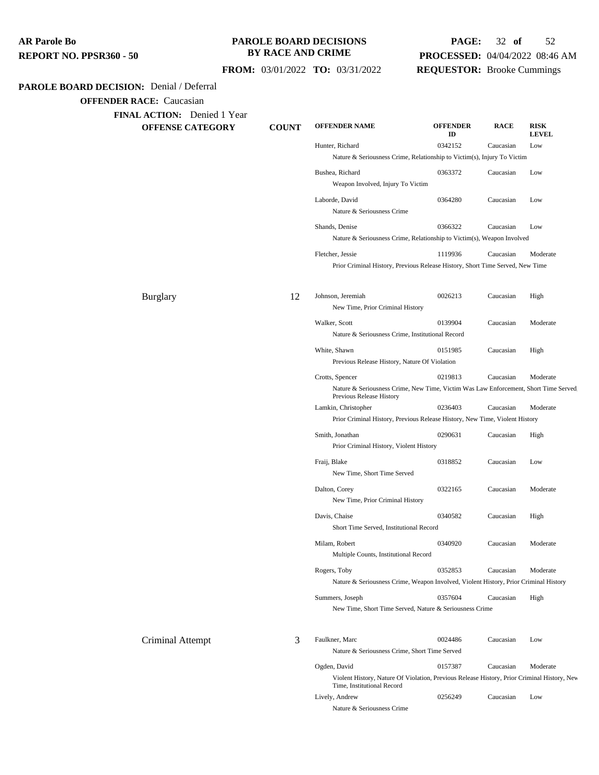**PAROLE BOARD DECISION:** Denial / Deferral **OFFENDER RACE:** Caucasian **FINAL ACTION:** Denied 1 Year **OFFENSE CATEGORY COUNT OFFENDER NAME OFFENDER ID RACE RISK LEVEL** Hunter, Richard 0342152 Caucasian Low Nature & Seriousness Crime, Relationship to Victim(s), Injury To Victim Bushea, Richard 0363372 Caucasian Low Weapon Involved, Injury To Victim Laborde, David 0364280 Caucasian Low Nature & Seriousness Crime Shands, Denise 0366322 Caucasian Low Nature & Seriousness Crime, Relationship to Victim(s), Weapon Involved Fletcher, Jessie 1119936 Caucasian Moderate Prior Criminal History, Previous Release History, Short Time Served, New Time Burglary 12 Johnson, Jeremiah 0026213 Caucasian High New Time, Prior Criminal History Walker, Scott 0139904 Caucasian Moderate Nature & Seriousness Crime, Institutional Record White, Shawn 0151985 Caucasian High Previous Release History, Nature Of Violation Crotts, Spencer 0219813 Caucasian Moderate Nature & Seriousness Crime, New Time, Victim Was Law Enforcement, Short Time Served, Previous Release History Lamkin, Christopher 0236403 Caucasian Moderate Prior Criminal History, Previous Release History, New Time, Violent History Smith, Jonathan 0290631 Caucasian High Prior Criminal History, Violent History Fraij, Blake 0318852 Caucasian Low New Time, Short Time Served Dalton, Corey 0322165 Caucasian Moderate New Time, Prior Criminal History Davis, Chaise 0340582 Caucasian High Short Time Served, Institutional Record Milam, Robert 0340920 Caucasian Moderate Multiple Counts, Institutional Record Rogers, Toby 0352853 Caucasian Moderate Nature & Seriousness Crime, Weapon Involved, Violent History, Prior Criminal History Summers, Joseph 0357604 Caucasian High New Time, Short Time Served, Nature & Seriousness Crime Criminal Attempt 3 Faulkner, Marc <sup>0024486</sup> Caucasian Low Nature & Seriousness Crime, Short Time Served Ogden, David 0157387 Caucasian Moderate Violent History, Nature Of Violation, Previous Release History, Prior Criminal History, New Time, Institutional Record Lively, Andrew 0256249 Caucasian Low Nature & Seriousness Crime **AR Parole Bo REPORT NO. PPSR360 - 50 PAROLE BOARD DECISIONS BY RACE AND CRIME FROM:** 03/01/2022 **TO:** 03/31/2022 **PAGE:** 32 **of** 52 **PROCESSED:** 04/04/2022 08:46 AM **REQUESTOR:** Brooke Cummings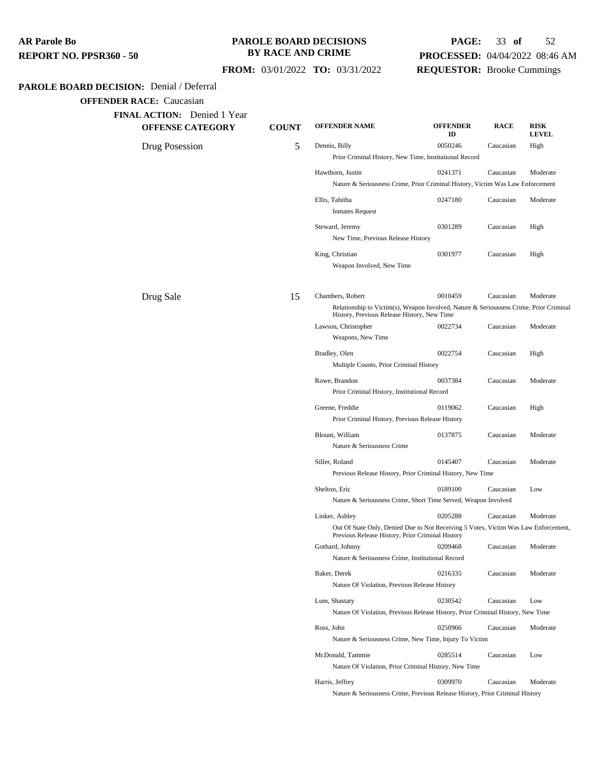| AR Parole Bo            |  |
|-------------------------|--|
| REPORT NO. PPSR360 - 50 |  |

## **PAROLE BOARD DECISIONS BY RACE AND CRIME**

## **PAGE:** 33 **of** 52 **PROCESSED:** 04/04/2022 08:46 AM **REQUESTOR:** Brooke Cummings

| <b>PAROLE BOARD DECISION:</b> Denial / Deferral               |              |                                                                                                                                                           |                       |             |                             |
|---------------------------------------------------------------|--------------|-----------------------------------------------------------------------------------------------------------------------------------------------------------|-----------------------|-------------|-----------------------------|
| <b>OFFENDER RACE:</b> Caucasian                               |              |                                                                                                                                                           |                       |             |                             |
| <b>FINAL ACTION:</b> Denied 1 Year<br><b>OFFENSE CATEGORY</b> | <b>COUNT</b> | <b>OFFENDER NAME</b>                                                                                                                                      | <b>OFFENDER</b><br>ID | <b>RACE</b> | <b>RISK</b><br><b>LEVEL</b> |
| Drug Posession                                                | 5            | Dennis, Billy<br>Prior Criminal History, New Time, Institutional Record                                                                                   | 0050246               | Caucasian   | High                        |
|                                                               |              | Hawthorn, Justin<br>Nature & Seriousness Crime, Prior Criminal History, Victim Was Law Enforcement                                                        | 0241371               | Caucasian   | Moderate                    |
|                                                               |              | Ellis, Tabitha<br><b>Inmates Request</b>                                                                                                                  | 0247180               | Caucasian   | Moderate                    |
|                                                               |              | Steward, Jeremy<br>New Time, Previous Release History                                                                                                     | 0301289               | Caucasian   | High                        |
|                                                               |              | King, Christian<br>Weapon Involved, New Time                                                                                                              | 0301977               | Caucasian   | High                        |
| Drug Sale                                                     | 15           | Chambers, Robert<br>Relationship to Victim(s), Weapon Involved, Nature & Seriousness Crime, Prior Criminal<br>History, Previous Release History, New Time | 0010459               | Caucasian   | Moderate                    |
|                                                               |              | Lawson, Christopher<br>Weapons, New Time                                                                                                                  | 0022734               | Caucasian   | Moderate                    |
|                                                               |              | Bradley, Olen<br>Multiple Counts, Prior Criminal History                                                                                                  | 0022754               | Caucasian   | High                        |
|                                                               |              | Rowe, Brandon<br>Prior Criminal History, Institutional Record                                                                                             | 0037384               | Caucasian   | Moderate                    |
|                                                               |              | Greene, Freddie<br>Prior Criminal History, Previous Release History                                                                                       | 0119062               | Caucasian   | High                        |
|                                                               |              | Blount, William<br>Nature & Seriousness Crime                                                                                                             | 0137875               | Caucasian   | Moderate                    |
|                                                               |              | Siller, Roland<br>Previous Release History, Prior Criminal History, New Time                                                                              | 0145407               | Caucasian   | Moderate                    |
|                                                               |              | Shelton, Eric<br>Nature & Seriousness Crime, Short Time Served, Weapon Involved                                                                           | 0189100               | Caucasian   | Low                         |
|                                                               |              | Linker, Ashley<br>Out Of State Only, Denied Due to Not Receiving 5 Votes, Victim Was Law Enforcement,<br>Previous Release History, Prior Criminal History | 0205288               | Caucasian   | Moderate                    |
|                                                               |              | Gothard, Johnny<br>Nature & Seriousness Crime, Institutional Record                                                                                       | 0209468               | Caucasian   | Moderate                    |
|                                                               |              | Baker, Derek<br>Nature Of Violation, Previous Release History                                                                                             | 0216335               | Caucasian   | Moderate                    |
|                                                               |              | Lum, Shastaty<br>Nature Of Violation, Previous Release History, Prior Criminal History, New Time                                                          | 0230542               | Caucasian   | Low                         |
|                                                               |              | Ross, John<br>Nature & Seriousness Crime, New Time, Injury To Victim                                                                                      | 0250966               | Caucasian   | Moderate                    |
|                                                               |              | McDonald, Tammie<br>Nature Of Violation, Prior Criminal History, New Time                                                                                 | 0285514               | Caucasian   | Low                         |
|                                                               |              | Harris, Jeffrey<br>Nature & Seriousness Crime, Previous Release History, Prior Criminal History                                                           | 0309970               | Caucasian   | Moderate                    |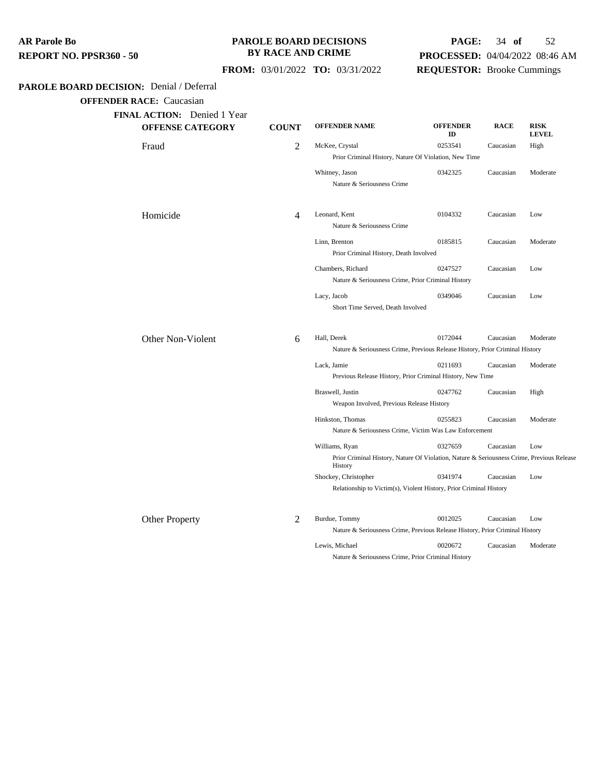| AR Parole Bo            |  |
|-------------------------|--|
| REPORT NO. PPSR360 - 50 |  |

## **PAROLE BOARD DECISIONS BY RACE AND CRIME**

## **PAGE:** 34 **of** 52 **PROCESSED:** 04/04/2022 08:46 AM **REQUESTOR:** Brooke Cummings

 **FROM:** 03/01/2022 **TO:** 03/31/2022

## **PAROLE BOARD DECISION:** Denial / Deferral

| <b>OFFENSE CATEGORY</b> | <b>COUNT</b> | <b>OFFENDER NAME</b>                                                                                 | <b>OFFENDER</b><br>ID | <b>RACE</b> | <b>RISK</b><br><b>LEVEL</b> |
|-------------------------|--------------|------------------------------------------------------------------------------------------------------|-----------------------|-------------|-----------------------------|
| Fraud                   | 2            | McKee, Crystal                                                                                       | 0253541               | Caucasian   | High                        |
|                         |              | Prior Criminal History, Nature Of Violation, New Time                                                |                       |             |                             |
|                         |              | Whitney, Jason<br>Nature & Seriousness Crime                                                         | 0342325               | Caucasian   | Moderate                    |
| Homicide                | 4            | Leonard, Kent<br>Nature & Seriousness Crime                                                          | 0104332               | Caucasian   | Low                         |
|                         |              |                                                                                                      |                       |             |                             |
|                         |              | Linn, Brenton<br>Prior Criminal History, Death Involved                                              | 0185815               | Caucasian   | Moderate                    |
|                         |              | Chambers, Richard<br>Nature & Seriousness Crime, Prior Criminal History                              | 0247527               | Caucasian   | Low                         |
|                         |              | Lacy, Jacob<br>Short Time Served, Death Involved                                                     | 0349046               | Caucasian   | Low                         |
| Other Non-Violent       | 6            | Hall, Derek                                                                                          | 0172044               | Caucasian   | Moderate                    |
|                         |              | Nature & Seriousness Crime, Previous Release History, Prior Criminal History                         |                       |             |                             |
|                         |              | Lack, Jamie                                                                                          | 0211693               | Caucasian   | Moderate                    |
|                         |              | Previous Release History, Prior Criminal History, New Time                                           |                       |             |                             |
|                         |              | Braswell, Justin<br>Weapon Involved, Previous Release History                                        | 0247762               | Caucasian   | High                        |
|                         |              | Hinkston, Thomas<br>Nature & Seriousness Crime, Victim Was Law Enforcement                           | 0255823               | Caucasian   | Moderate                    |
|                         |              | Williams, Ryan                                                                                       | 0327659               | Caucasian   | Low                         |
|                         |              | Prior Criminal History, Nature Of Violation, Nature & Seriousness Crime, Previous Release<br>History |                       |             |                             |
|                         |              | Shockey, Christopher                                                                                 | 0341974               | Caucasian   | Low                         |
|                         |              | Relationship to Victim(s), Violent History, Prior Criminal History                                   |                       |             |                             |
| <b>Other Property</b>   | 2            | Burdue, Tommy                                                                                        | 0012025               | Caucasian   | Low                         |
|                         |              | Nature & Seriousness Crime, Previous Release History, Prior Criminal History                         |                       |             |                             |
|                         |              | Lewis, Michael                                                                                       | 0020672               | Caucasian   | Moderate                    |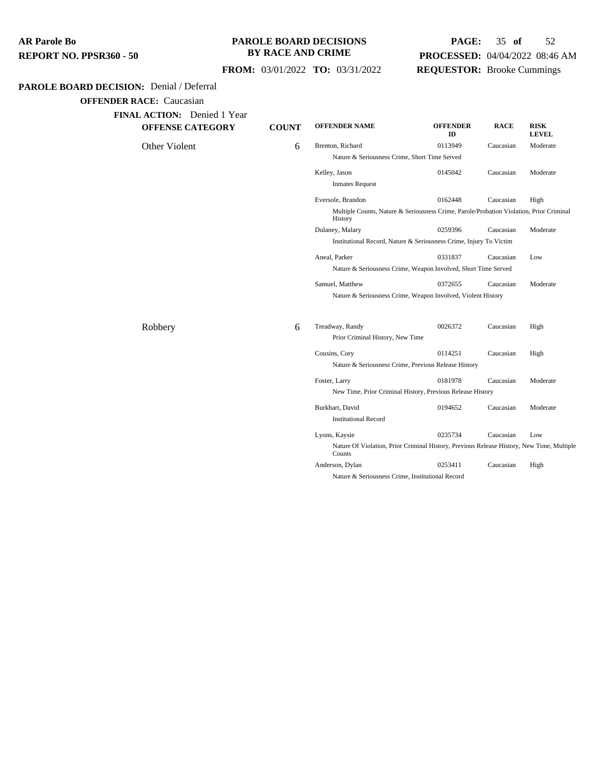## **PAROLE BOARD DECISIONS BY RACE AND CRIME**

## **PAGE:** 35 **of** 52 **PROCESSED:** 04/04/2022 08:46 AM **REQUESTOR:** Brooke Cummings

## **FROM:** 03/01/2022 **TO:** 03/31/2022

## **PAROLE BOARD DECISION:** Denial / Deferral

| <b>OFFENSE CATEGORY</b> | <b>COUNT</b> | <b>OFFENDER NAME</b>                                       | <b>OFFENDER</b><br>ID                                                                     | <b>RACE</b> | <b>RISK</b><br><b>LEVEL</b> |  |  |
|-------------------------|--------------|------------------------------------------------------------|-------------------------------------------------------------------------------------------|-------------|-----------------------------|--|--|
| Other Violent           | 6            | Brenton, Richard                                           | 0113949                                                                                   | Caucasian   | Moderate                    |  |  |
|                         |              | Nature & Seriousness Crime, Short Time Served              |                                                                                           |             |                             |  |  |
|                         |              | Kelley, Jason                                              | 0145042                                                                                   | Caucasian   | Moderate                    |  |  |
|                         |              | <b>Inmates Request</b>                                     |                                                                                           |             |                             |  |  |
|                         |              | Eversole, Brandon                                          | 0162448                                                                                   | Caucasian   | High                        |  |  |
|                         |              | History                                                    | Multiple Counts, Nature & Seriousness Crime, Parole/Probation Violation, Prior Criminal   |             |                             |  |  |
|                         |              | Dulaney, Malary                                            | 0259396                                                                                   | Caucasian   | Moderate                    |  |  |
|                         |              |                                                            | Institutional Record, Nature & Seriousness Crime, Injury To Victim                        |             |                             |  |  |
|                         |              | Aneal, Parker                                              | 0331837                                                                                   | Caucasian   | Low                         |  |  |
|                         |              |                                                            | Nature & Seriousness Crime, Weapon Involved, Short Time Served                            |             |                             |  |  |
|                         |              | Samuel, Matthew                                            | 0372655                                                                                   | Caucasian   | Moderate                    |  |  |
|                         |              |                                                            | Nature & Seriousness Crime, Weapon Involved, Violent History                              |             |                             |  |  |
| Robbery                 | 6            | Treadway, Randy                                            | 0026372                                                                                   | Caucasian   | High                        |  |  |
|                         |              | Prior Criminal History, New Time                           |                                                                                           |             |                             |  |  |
|                         |              | Cousins, Cory                                              | 0114251                                                                                   | Caucasian   | High                        |  |  |
|                         |              |                                                            | Nature & Seriousness Crime, Previous Release History                                      |             |                             |  |  |
|                         |              | Foster, Larry                                              | 0181978                                                                                   | Caucasian   | Moderate                    |  |  |
|                         |              | New Time, Prior Criminal History, Previous Release History |                                                                                           |             |                             |  |  |
|                         |              | Burkhart, David                                            | 0194652                                                                                   | Caucasian   | Moderate                    |  |  |
|                         |              | <b>Institutional Record</b>                                |                                                                                           |             |                             |  |  |
|                         |              | Lyons, Kaysie                                              | 0235734                                                                                   | Caucasian   | Low                         |  |  |
|                         |              |                                                            | Nature Of Violation, Prior Criminal History, Previous Release History, New Time, Multiple |             |                             |  |  |
|                         |              | Counts                                                     |                                                                                           |             |                             |  |  |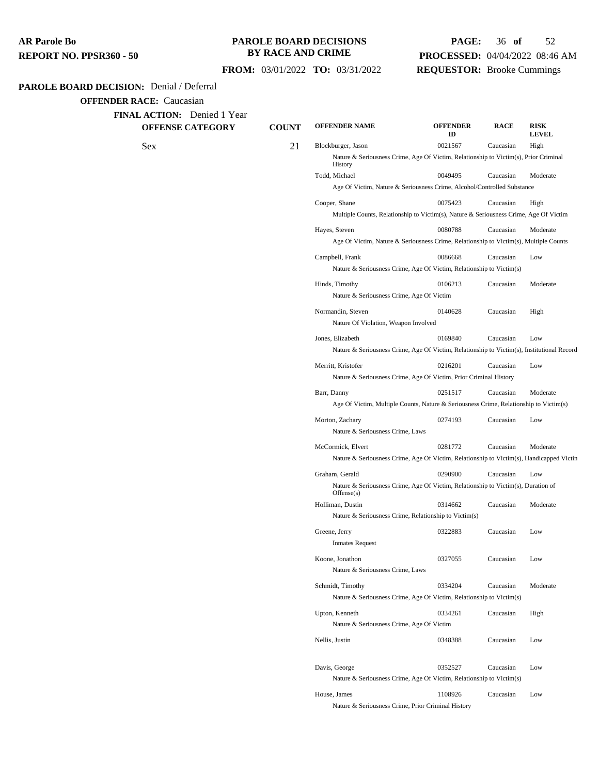#### **PAROLE BOARD DECISIONS BY RACE AND CRIME**

## **PAGE:** 36 **of** 52 **PROCESSED:** 04/04/2022 08:46 AM **REQUESTOR:** Brooke Cummings

#### **FROM:** 03/01/2022 **TO:** 03/31/2022

#### **PAROLE BOARD DECISION:** Denial / Deferral

**OFFENDER RACE:** Caucasian

**FINAL ACTION:** Denied 1 Year **OFFENSE CATEGORY COUNT OFFENDER NAME OFFENDER ID RACE RISK LEVEL** Sex 21 Blockburger, Jason <sup>0021567</sup> Caucasian High Nature & Seriousness Crime, Age Of Victim, Relationship to Victim(s), Prior Criminal **History** Todd, Michael 0049495 Caucasian Moderate Age Of Victim, Nature & Seriousness Crime, Alcohol/Controlled Substance Cooper, Shane 0075423 Caucasian High Multiple Counts, Relationship to Victim(s), Nature & Seriousness Crime, Age Of Victim Hayes, Steven 0080788 Caucasian Moderate Age Of Victim, Nature & Seriousness Crime, Relationship to Victim(s), Multiple Counts Campbell, Frank 0086668 Caucasian Low Nature & Seriousness Crime, Age Of Victim, Relationship to Victim(s) Hinds, Timothy 0106213 Caucasian Moderate Nature & Seriousness Crime, Age Of Victim Normandin, Steven 0140628 Caucasian High Nature Of Violation, Weapon Involved Jones, Elizabeth 0169840 Caucasian Low Nature & Seriousness Crime, Age Of Victim, Relationship to Victim(s), Institutional Record Merritt, Kristofer 0216201 Caucasian Low Nature & Seriousness Crime, Age Of Victim, Prior Criminal History Barr, Danny 0251517 Caucasian Moderate Age Of Victim, Multiple Counts, Nature & Seriousness Crime, Relationship to Victim(s) Morton, Zachary 0274193 Caucasian Low Nature & Seriousness Crime, Laws McCormick, Elvert 0281772 Caucasian Moderate Nature & Seriousness Crime, Age Of Victim, Relationship to Victim(s), Handicapped Victim Graham, Gerald 0290900 Caucasian Low Nature & Seriousness Crime, Age Of Victim, Relationship to Victim(s), Duration of Offense(s) Holliman, Dustin 0314662 Caucasian Moderate Nature & Seriousness Crime, Relationship to Victim(s) Greene, Jerry 0322883 Caucasian Low Inmates Request Koone, Jonathon 0327055 Caucasian Low Nature & Seriousness Crime, Laws Schmidt, Timothy 0334204 Caucasian Moderate Nature & Seriousness Crime, Age Of Victim, Relationship to Victim(s) Upton, Kenneth 0334261 Caucasian High Nature & Seriousness Crime, Age Of Victim Nellis, Justin 200348388 Caucasian Low Davis, George 0352527 Caucasian Low Nature & Seriousness Crime, Age Of Victim, Relationship to Victim(s)

> House, James 1108926 Caucasian Low Nature & Seriousness Crime, Prior Criminal History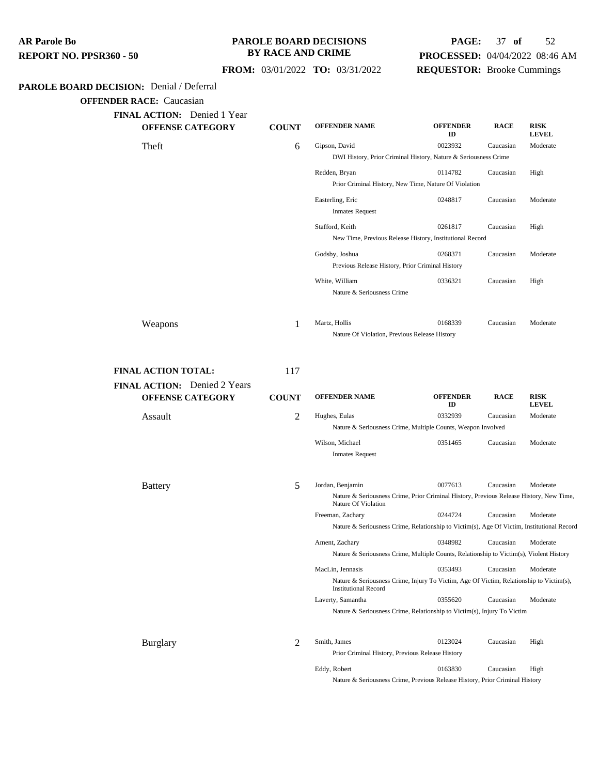**PAROLE BOARD DECISION:** Denial / Deferral **AR Parole Bo REPORT NO. PPSR360 - 50 PAROLE BOARD DECISIONS BY RACE AND CRIME FROM:** 03/01/2022 **TO:** 03/31/2022

## **PAGE:** 37 **of** 52 **PROCESSED:** 04/04/2022 08:46 AM **REQUESTOR:** Brooke Cummings

**OFFENDER RACE:** Caucasian

| <b>OFFENSE CATEGORY</b>      | <b>COUNT</b> | <b>OFFENDER NAME</b>                                                                                                   | <b>OFFENDER</b><br>ID | <b>RACE</b> | <b>RISK</b><br><b>LEVEL</b> |
|------------------------------|--------------|------------------------------------------------------------------------------------------------------------------------|-----------------------|-------------|-----------------------------|
| Theft                        | 6            | Gipson, David                                                                                                          | 0023932               | Caucasian   | Moderate                    |
|                              |              | DWI History, Prior Criminal History, Nature & Seriousness Crime                                                        |                       |             |                             |
|                              |              | Redden, Bryan                                                                                                          | 0114782               | Caucasian   | High                        |
|                              |              | Prior Criminal History, New Time, Nature Of Violation                                                                  |                       |             |                             |
|                              |              | Easterling, Eric<br><b>Inmates Request</b>                                                                             | 0248817               | Caucasian   | Moderate                    |
|                              |              | Stafford, Keith                                                                                                        | 0261817               | Caucasian   | High                        |
|                              |              | New Time, Previous Release History, Institutional Record                                                               |                       |             |                             |
|                              |              | Godsby, Joshua                                                                                                         | 0268371               | Caucasian   | Moderate                    |
|                              |              | Previous Release History, Prior Criminal History                                                                       |                       |             |                             |
|                              |              | White, William                                                                                                         | 0336321               | Caucasian   | High                        |
|                              |              | Nature & Seriousness Crime                                                                                             |                       |             |                             |
| Weapons                      | 1            | Martz, Hollis                                                                                                          | 0168339               | Caucasian   | Moderate                    |
|                              |              | Nature Of Violation, Previous Release History                                                                          |                       |             |                             |
|                              |              |                                                                                                                        |                       |             |                             |
| <b>FINAL ACTION TOTAL:</b>   | 117          |                                                                                                                        |                       |             |                             |
| FINAL ACTION: Denied 2 Years |              |                                                                                                                        |                       |             |                             |
| <b>OFFENSE CATEGORY</b>      | <b>COUNT</b> | <b>OFFENDER NAME</b>                                                                                                   | <b>OFFENDER</b><br>ID | <b>RACE</b> | <b>RISK</b><br><b>LEVEL</b> |
| Assault                      | 2            | Hughes, Eulas                                                                                                          | 0332939               | Caucasian   | Moderate                    |
|                              |              | Nature & Seriousness Crime, Multiple Counts, Weapon Involved                                                           |                       |             |                             |
|                              |              | Wilson, Michael                                                                                                        | 0351465               | Caucasian   | Moderate                    |
|                              |              | <b>Inmates Request</b>                                                                                                 |                       |             |                             |
| <b>Battery</b>               | 5            | Jordan, Benjamin                                                                                                       | 0077613               | Caucasian   | Moderate                    |
|                              |              | Nature & Seriousness Crime, Prior Criminal History, Previous Release History, New Time,<br>Nature Of Violation         |                       |             |                             |
|                              |              | Freeman, Zachary                                                                                                       | 0244724               | Caucasian   | Moderate                    |
|                              |              | Nature & Seriousness Crime, Relationship to Victim(s), Age Of Victim, Institutional Record                             |                       |             |                             |
|                              |              | Ament, Zachary                                                                                                         | 0348982               | Caucasian   | Moderate                    |
|                              |              | Nature & Seriousness Crime, Multiple Counts, Relationship to Victim(s), Violent History                                |                       |             |                             |
|                              |              | MacLin, Jennasis                                                                                                       | 0353493               | Caucasian   | Moderate                    |
|                              |              | Nature & Seriousness Crime, Injury To Victim, Age Of Victim, Relationship to Victim(s),<br><b>Institutional Record</b> |                       |             |                             |
|                              |              | Laverty, Samantha                                                                                                      | 0355620               | Caucasian   | Moderate                    |
|                              |              | Nature & Seriousness Crime, Relationship to Victim(s), Injury To Victim                                                |                       |             |                             |
|                              |              |                                                                                                                        |                       |             |                             |
| <b>Burglary</b>              | 2            | Smith, James                                                                                                           | 0123024               | Caucasian   | High                        |
|                              |              | Prior Criminal History, Previous Release History                                                                       |                       |             |                             |

Nature & Seriousness Crime, Previous Release History, Prior Criminal History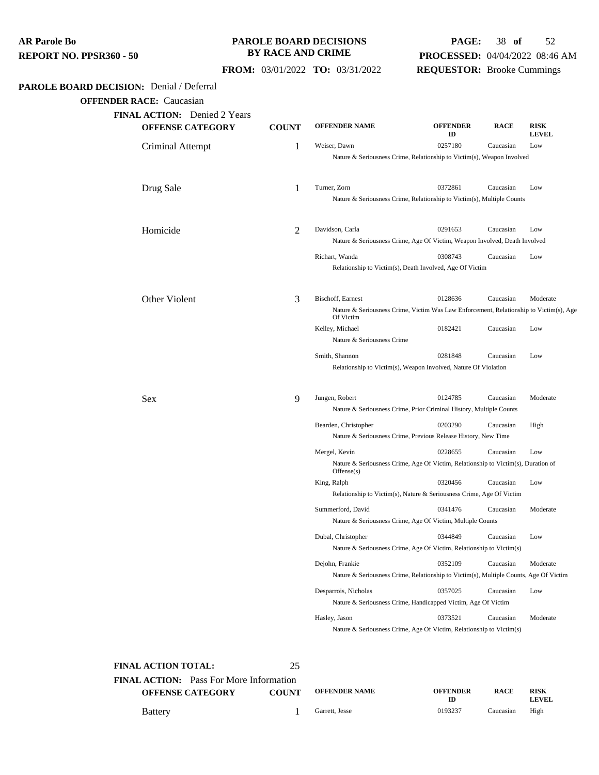#### **PAROLE BOARD DECISIONS BY RACE AND CRIME**

## **PAGE:** 38 **of** 52 **PROCESSED:** 04/04/2022 08:46 AM **REQUESTOR:** Brooke Cummings

 **FROM:** 03/01/2022 **TO:** 03/31/2022

## **PAROLE BOARD DECISION:** Denial / Deferral

**OFFENDER RACE:** Caucasian

| <b>FINAL ACTION:</b> Denied 2 Years<br><b>OFFENSE CATEGORY</b> | <b>COUNT</b> | <b>OFFENDER NAME</b>                                                   | <b>OFFENDER</b><br>ID                                                                  | <b>RACE</b> | <b>RISK</b><br><b>LEVEL</b> |  |  |
|----------------------------------------------------------------|--------------|------------------------------------------------------------------------|----------------------------------------------------------------------------------------|-------------|-----------------------------|--|--|
| Criminal Attempt                                               | 1            | Weiser, Dawn                                                           | 0257180                                                                                | Caucasian   | Low                         |  |  |
|                                                                |              | Nature & Seriousness Crime, Relationship to Victim(s), Weapon Involved |                                                                                        |             |                             |  |  |
| Drug Sale                                                      | 1            | Turner, Zorn                                                           | 0372861                                                                                | Caucasian   | Low                         |  |  |
|                                                                |              |                                                                        | Nature & Seriousness Crime, Relationship to Victim(s), Multiple Counts                 |             |                             |  |  |
| Homicide                                                       | 2            | Davidson, Carla                                                        | 0291653                                                                                | Caucasian   | Low                         |  |  |
|                                                                |              |                                                                        | Nature & Seriousness Crime, Age Of Victim, Weapon Involved, Death Involved             |             |                             |  |  |
|                                                                |              | Richart, Wanda                                                         | 0308743                                                                                | Caucasian   | Low                         |  |  |
|                                                                |              |                                                                        | Relationship to Victim(s), Death Involved, Age Of Victim                               |             |                             |  |  |
| Other Violent                                                  | 3            | Bischoff, Earnest                                                      | 0128636                                                                                | Caucasian   | Moderate                    |  |  |
|                                                                |              | Of Victim                                                              | Nature & Seriousness Crime, Victim Was Law Enforcement, Relationship to Victim(s), Age |             |                             |  |  |
|                                                                |              | Kelley, Michael                                                        | 0182421                                                                                | Caucasian   | Low                         |  |  |
|                                                                |              | Nature & Seriousness Crime                                             |                                                                                        |             |                             |  |  |
|                                                                |              | Smith, Shannon                                                         | 0281848<br>Relationship to Victim(s), Weapon Involved, Nature Of Violation             | Caucasian   | Low                         |  |  |
|                                                                |              |                                                                        |                                                                                        |             |                             |  |  |
| Sex                                                            | 9            | Jungen, Robert                                                         | 0124785<br>Nature & Seriousness Crime, Prior Criminal History, Multiple Counts         | Caucasian   | Moderate                    |  |  |
|                                                                |              | Bearden, Christopher                                                   | 0203290                                                                                | Caucasian   | High                        |  |  |
|                                                                |              |                                                                        | Nature & Seriousness Crime, Previous Release History, New Time                         |             |                             |  |  |
|                                                                |              | Mergel, Kevin                                                          | 0228655                                                                                | Caucasian   | Low                         |  |  |
|                                                                |              | Offense(s)                                                             | Nature & Seriousness Crime, Age Of Victim, Relationship to Victim(s), Duration of      |             |                             |  |  |
|                                                                |              | King, Ralph                                                            | 0320456                                                                                | Caucasian   | Low                         |  |  |
|                                                                |              |                                                                        | Relationship to Victim(s), Nature & Seriousness Crime, Age Of Victim                   |             |                             |  |  |
|                                                                |              | Summerford, David                                                      | 0341476<br>Nature & Seriousness Crime, Age Of Victim, Multiple Counts                  | Caucasian   | Moderate                    |  |  |
|                                                                |              | Dubal, Christopher                                                     | 0344849                                                                                | Caucasian   | Low                         |  |  |
|                                                                |              |                                                                        | Nature & Seriousness Crime, Age Of Victim, Relationship to Victim(s)                   |             |                             |  |  |
|                                                                |              | Dejohn, Frankie                                                        | 0352109                                                                                | Caucasian   | Moderate                    |  |  |
|                                                                |              |                                                                        | Nature & Seriousness Crime, Relationship to Victim(s), Multiple Counts, Age Of Victim  |             |                             |  |  |
|                                                                |              | Desparrois, Nicholas                                                   | 0357025                                                                                | Caucasian   | Low                         |  |  |
|                                                                |              |                                                                        | Nature & Seriousness Crime, Handicapped Victim, Age Of Victim                          |             |                             |  |  |
|                                                                |              | Hasley, Jason                                                          | 0373521                                                                                | Caucasian   | Moderate                    |  |  |
|                                                                |              |                                                                        | Nature & Seriousness Crime, Age Of Victim, Relationship to Victim(s)                   |             |                             |  |  |

#### **FINAL ACTION TOTAL:** 25

| <b>FINAL ACTION:</b> Pass For More Information |              |                      |                 |
|------------------------------------------------|--------------|----------------------|-----------------|
| <b>OFFENSE CATEGORY</b>                        | <b>COUNT</b> | <b>OFFENDER NAME</b> | <b>OFFENDER</b> |
| $\mathbf{D}$ attains                           |              | Corrott Josep        | 0102227         |

| <b>OFFENSE CATEGORY</b> | <b>COUNT</b> | <b>OFFENDER NAME</b> | <b>OFFENDER</b><br>ID | <b>RACE</b> | <b>RISK</b><br>LEVEL. |
|-------------------------|--------------|----------------------|-----------------------|-------------|-----------------------|
| Battery                 |              | Garrett, Jesse       | 0193237               | Caucasian   | High                  |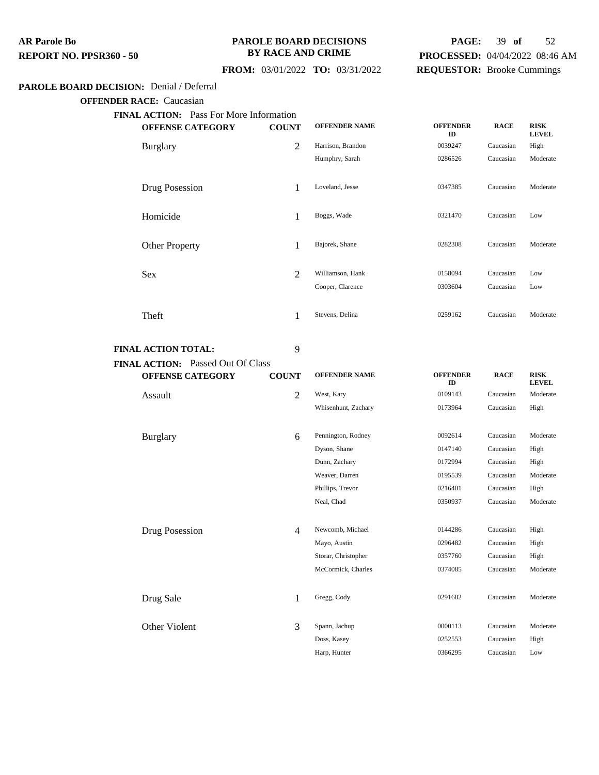#### **PAROLE BOARD DECISIONS BY RACE AND CRIME**

## **PAGE:** 39 **of** 52 **PROCESSED:** 04/04/2022 08:46 AM **REQUESTOR:** Brooke Cummings

## **FROM:** 03/01/2022 **TO:** 03/31/2022

## **PAROLE BOARD DECISION:** Denial / Deferral

**OFFENDER RACE:** Caucasian

| <b>FINAL ACTION:</b> Pass For More Information |                |                      |                       |             |                             |
|------------------------------------------------|----------------|----------------------|-----------------------|-------------|-----------------------------|
| <b>OFFENSE CATEGORY</b>                        | <b>COUNT</b>   | <b>OFFENDER NAME</b> | <b>OFFENDER</b><br>ID | <b>RACE</b> | <b>RISK</b><br><b>LEVEL</b> |
| <b>Burglary</b>                                | 2              | Harrison, Brandon    | 0039247               | Caucasian   | High                        |
|                                                |                | Humphry, Sarah       | 0286526               | Caucasian   | Moderate                    |
| Drug Posession                                 | 1              | Loveland, Jesse      | 0347385               | Caucasian   | Moderate                    |
| Homicide                                       | 1              | Boggs, Wade          | 0321470               | Caucasian   | Low                         |
| <b>Other Property</b>                          | 1              | Bajorek, Shane       | 0282308               | Caucasian   | Moderate                    |
| <b>Sex</b>                                     | $\overline{2}$ | Williamson, Hank     | 0158094               | Caucasian   | Low                         |
|                                                |                | Cooper, Clarence     | 0303604               | Caucasian   | Low                         |
| Theft                                          | 1              | Stevens, Delina      | 0259162               | Caucasian   | Moderate                    |

## **FINAL ACTION:** Passed Out Of Class

**FINAL ACTION TOTAL:** 9

| <b>OFFENSE CATEGORY</b> | <b>COUNT</b> | <b>OFFENDER NAME</b> | <b>OFFENDER</b><br>ID | <b>RACE</b> | <b>RISK</b><br><b>LEVEL</b> |
|-------------------------|--------------|----------------------|-----------------------|-------------|-----------------------------|
| Assault                 | 2            | West, Kary           | 0109143               | Caucasian   | Moderate                    |
|                         |              | Whisenhunt, Zachary  | 0173964               | Caucasian   | High                        |
| <b>Burglary</b>         | 6            | Pennington, Rodney   | 0092614               | Caucasian   | Moderate                    |
|                         |              | Dyson, Shane         | 0147140               | Caucasian   | High                        |
|                         |              | Dunn, Zachary        | 0172994               | Caucasian   | High                        |
|                         |              | Weaver, Darren       | 0195539               | Caucasian   | Moderate                    |
|                         |              | Phillips, Trevor     | 0216401               | Caucasian   | High                        |
|                         |              | Neal, Chad           | 0350937               | Caucasian   | Moderate                    |
| Drug Posession          | 4            | Newcomb, Michael     | 0144286               | Caucasian   | High                        |
|                         |              | Mayo, Austin         | 0296482               | Caucasian   | High                        |
|                         |              | Storar, Christopher  | 0357760               | Caucasian   | High                        |
|                         |              | McCormick, Charles   | 0374085               | Caucasian   | Moderate                    |
| Drug Sale               | $\mathbf{1}$ | Gregg, Cody          | 0291682               | Caucasian   | Moderate                    |
| Other Violent           | 3            | Spann, Jachup        | 0000113               | Caucasian   | Moderate                    |
|                         |              | Doss, Kasey          | 0252553               | Caucasian   | High                        |

Harp, Hunter 0366295 Caucasian Low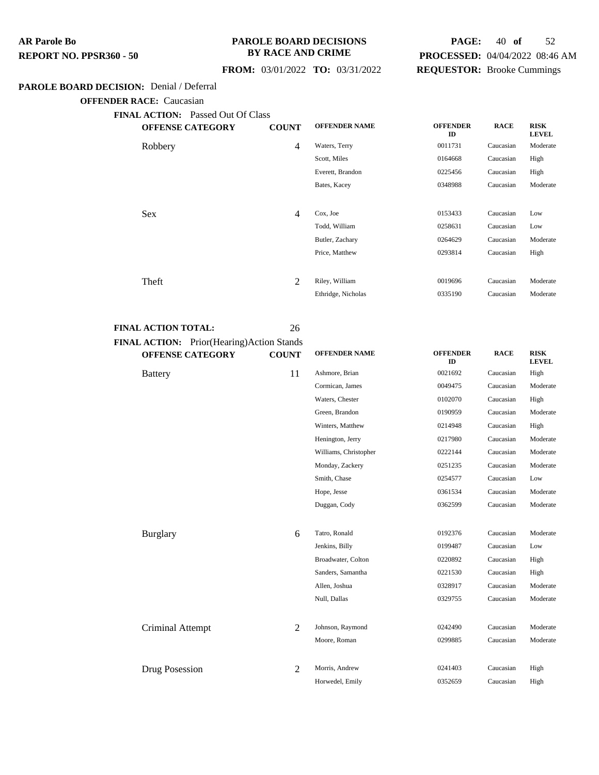#### **PAROLE BOARD DECISIONS BY RACE AND CRIME**

## **PAGE:** 40 **of** 52 **PROCESSED:** 04/04/2022 08:46 AM **REQUESTOR:** Brooke Cummings

## **FROM:** 03/01/2022 **TO:** 03/31/2022

### **PAROLE BOARD DECISION:** Denial / Deferral

**OFFENDER RACE:** Caucasian

| <b>FINAL ACTION:</b> Passed Out Of Class |              |                      |                       |             |                             |
|------------------------------------------|--------------|----------------------|-----------------------|-------------|-----------------------------|
| <b>OFFENSE CATEGORY</b>                  | <b>COUNT</b> | <b>OFFENDER NAME</b> | <b>OFFENDER</b><br>ID | <b>RACE</b> | <b>RISK</b><br><b>LEVEL</b> |
| Robbery                                  | 4            | Waters, Terry        | 0011731               | Caucasian   | Moderate                    |
|                                          |              | Scott, Miles         | 0164668               | Caucasian   | High                        |
|                                          |              | Everett, Brandon     | 0225456               | Caucasian   | High                        |
|                                          |              | Bates, Kacey         | 0348988               | Caucasian   | Moderate                    |
|                                          |              |                      |                       |             |                             |
| <b>Sex</b>                               | 4            | Cox, Joe             | 0153433               | Caucasian   | Low                         |
|                                          |              | Todd, William        | 0258631               | Caucasian   | Low                         |
|                                          |              | Butler, Zachary      | 0264629               | Caucasian   | Moderate                    |
|                                          |              | Price, Matthew       | 0293814               | Caucasian   | High                        |
|                                          | 2            | Riley, William       | 0019696               | Caucasian   | Moderate                    |
| Theft                                    |              |                      |                       |             |                             |
|                                          |              | Ethridge, Nicholas   | 0335190               | Caucasian   | Moderate                    |

#### **FINAL ACTION TOTAL:** 26

# **FINAL ACTION:** Prior(Hearing)Action Stands

| <b>OFFENSE CATEGORY</b> | <b>COUNT</b>   | <b>OFFENDER NAME</b>  | <b>OFFENDER</b><br>ID | <b>RACE</b> | <b>RISK</b><br><b>LEVEL</b> |
|-------------------------|----------------|-----------------------|-----------------------|-------------|-----------------------------|
| <b>Battery</b>          | 11             | Ashmore, Brian        | 0021692               | Caucasian   | High                        |
|                         |                | Cormican, James       | 0049475               | Caucasian   | Moderate                    |
|                         |                | Waters, Chester       | 0102070               | Caucasian   | High                        |
|                         |                | Green, Brandon        | 0190959               | Caucasian   | Moderate                    |
|                         |                | Winters, Matthew      | 0214948               | Caucasian   | High                        |
|                         |                | Henington, Jerry      | 0217980               | Caucasian   | Moderate                    |
|                         |                | Williams, Christopher | 0222144               | Caucasian   | Moderate                    |
|                         |                | Monday, Zackery       | 0251235               | Caucasian   | Moderate                    |
|                         |                | Smith, Chase          | 0254577               | Caucasian   | Low                         |
|                         |                | Hope, Jesse           | 0361534               | Caucasian   | Moderate                    |
|                         |                | Duggan, Cody          | 0362599               | Caucasian   | Moderate                    |
| Burglary                | 6              | Tatro, Ronald         | 0192376               | Caucasian   | Moderate                    |
|                         |                | Jenkins, Billy        | 0199487               | Caucasian   | Low                         |
|                         |                | Broadwater, Colton    | 0220892               | Caucasian   | High                        |
|                         |                | Sanders, Samantha     | 0221530               | Caucasian   | High                        |
|                         |                | Allen, Joshua         | 0328917               | Caucasian   | Moderate                    |
|                         |                | Null, Dallas          | 0329755               | Caucasian   | Moderate                    |
| Criminal Attempt        | $\mathfrak{D}$ | Johnson, Raymond      | 0242490               | Caucasian   | Moderate                    |
|                         |                | Moore, Roman          | 0299885               | Caucasian   | Moderate                    |
| Drug Posession          | 2              | Morris, Andrew        | 0241403               | Caucasian   | High                        |
|                         |                | Horwedel, Emily       | 0352659               | Caucasian   | High                        |
|                         |                |                       |                       |             |                             |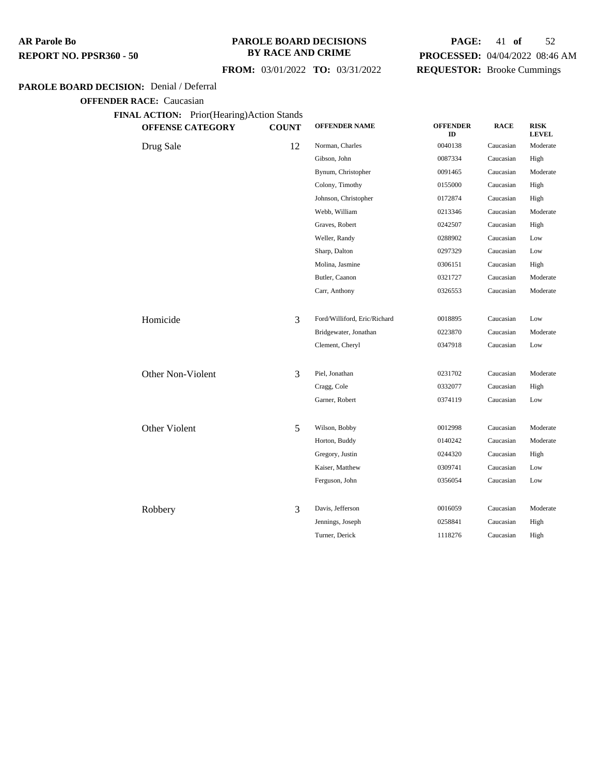#### **PAROLE BOARD DECISIONS BY RACE AND CRIME**

## **FROM:** 03/01/2022 **TO:** 03/31/2022

## **PAGE:** 41 **of** 52 **PROCESSED:** 04/04/2022 08:46 AM **REQUESTOR:** Brooke Cummings

## **PAROLE BOARD DECISION:** Denial / Deferral

**OFFENDER RACE:** Caucasian

**FINAL ACTION:** Prior(Hearing)Action Stands

| <b>OFFENSE CATEGORY</b> | <b>COUNT</b> | <b>OFFENDER NAME</b>         | <b>OFFENDER</b><br>ID | <b>RACE</b> | <b>RISK</b><br><b>LEVEL</b> |
|-------------------------|--------------|------------------------------|-----------------------|-------------|-----------------------------|
| Drug Sale               | 12           | Norman, Charles              | 0040138               | Caucasian   | Moderate                    |
|                         |              | Gibson, John                 | 0087334               | Caucasian   | High                        |
|                         |              | Bynum, Christopher           | 0091465               | Caucasian   | Moderate                    |
|                         |              | Colony, Timothy              | 0155000               | Caucasian   | High                        |
|                         |              | Johnson, Christopher         | 0172874               | Caucasian   | High                        |
|                         |              | Webb, William                | 0213346               | Caucasian   | Moderate                    |
|                         |              | Graves, Robert               | 0242507               | Caucasian   | High                        |
|                         |              | Weller, Randy                | 0288902               | Caucasian   | Low                         |
|                         |              | Sharp, Dalton                | 0297329               | Caucasian   | Low                         |
|                         |              | Molina, Jasmine              | 0306151               | Caucasian   | High                        |
|                         |              | Butler, Caanon               | 0321727               | Caucasian   | Moderate                    |
|                         |              | Carr, Anthony                | 0326553               | Caucasian   | Moderate                    |
| Homicide                | 3            | Ford/Williford, Eric/Richard | 0018895               | Caucasian   | Low                         |
|                         |              | Bridgewater, Jonathan        | 0223870               | Caucasian   | Moderate                    |
|                         |              | Clement, Cheryl              | 0347918               | Caucasian   | Low                         |
|                         |              |                              |                       |             |                             |
| Other Non-Violent       | 3            | Piel, Jonathan               | 0231702               | Caucasian   | Moderate                    |
|                         |              | Cragg, Cole                  | 0332077               | Caucasian   | High                        |
|                         |              | Garner, Robert               | 0374119               | Caucasian   | Low                         |
| Other Violent           | 5            | Wilson, Bobby                | 0012998               | Caucasian   | Moderate                    |
|                         |              | Horton, Buddy                | 0140242               | Caucasian   | Moderate                    |
|                         |              | Gregory, Justin              | 0244320               | Caucasian   | High                        |
|                         |              | Kaiser, Matthew              | 0309741               | Caucasian   | Low                         |
|                         |              | Ferguson, John               | 0356054               | Caucasian   | Low                         |
|                         |              |                              |                       |             |                             |
| Robbery                 | 3            | Davis, Jefferson             | 0016059               | Caucasian   | Moderate                    |
|                         |              | Jennings, Joseph             | 0258841               | Caucasian   | High                        |
|                         |              | Turner, Derick               | 1118276               | Caucasian   | High                        |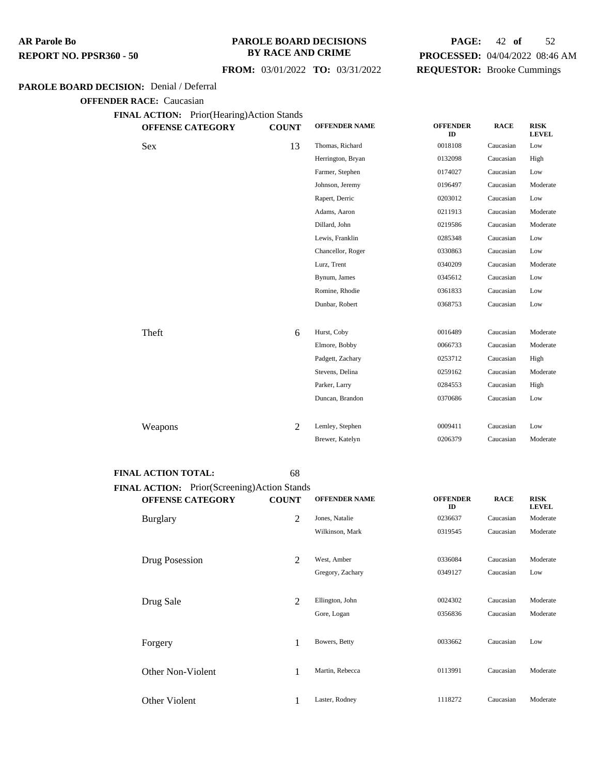#### **PAROLE BOARD DECISIONS BY RACE AND CRIME**

#### **FROM:** 03/01/2022 **TO:** 03/31/2022

## **PAGE:** 42 **of** 52 **PROCESSED:** 04/04/2022 08:46 AM **REQUESTOR:** Brooke Cummings

#### **PAROLE BOARD DECISION:** Denial / Deferral

**OFFENDER RACE:** Caucasian

**FINAL ACTION:** Prior(Hearing)Action Stands

| <b>AL ACTION:</b> Prior(Hearing)Action Stands<br><b>OFFENSE CATEGORY</b> | <b>COUNT</b>   | <b>OFFENDER NAME</b> | <b>OFFENDER</b><br>ID | <b>RACE</b> | <b>RISK</b><br><b>LEVEL</b> |
|--------------------------------------------------------------------------|----------------|----------------------|-----------------------|-------------|-----------------------------|
| Sex                                                                      | 13             | Thomas, Richard      | 0018108               | Caucasian   | Low                         |
|                                                                          |                | Herrington, Bryan    | 0132098               | Caucasian   | High                        |
|                                                                          |                | Farmer, Stephen      | 0174027               | Caucasian   | Low                         |
|                                                                          |                | Johnson, Jeremy      | 0196497               | Caucasian   | Moderate                    |
|                                                                          |                | Rapert, Derric       | 0203012               | Caucasian   | Low                         |
|                                                                          |                | Adams, Aaron         | 0211913               | Caucasian   | Moderate                    |
|                                                                          |                | Dillard, John        | 0219586               | Caucasian   | Moderate                    |
|                                                                          |                | Lewis, Franklin      | 0285348               | Caucasian   | Low                         |
|                                                                          |                | Chancellor, Roger    | 0330863               | Caucasian   | Low                         |
|                                                                          |                | Lurz, Trent          | 0340209               | Caucasian   | Moderate                    |
|                                                                          |                | Bynum, James         | 0345612               | Caucasian   | Low                         |
|                                                                          |                | Romine, Rhodie       | 0361833               | Caucasian   | Low                         |
|                                                                          |                | Dunbar, Robert       | 0368753               | Caucasian   | Low                         |
| Theft                                                                    | 6              | Hurst, Coby          | 0016489               | Caucasian   | Moderate                    |
|                                                                          |                | Elmore, Bobby        | 0066733               | Caucasian   | Moderate                    |
|                                                                          |                | Padgett, Zachary     | 0253712               | Caucasian   | High                        |
|                                                                          |                |                      |                       | Caucasian   | Moderate                    |
|                                                                          |                | Stevens, Delina      | 0259162               |             |                             |
|                                                                          |                | Parker, Larry        | 0284553               | Caucasian   | High                        |
|                                                                          |                | Duncan, Brandon      | 0370686               | Caucasian   | Low                         |
| Weapons                                                                  | $\mathfrak{D}$ | Lemley, Stephen      | 0009411               | Caucasian   | Low                         |
|                                                                          |                | Brewer, Katelyn      | 0206379               | Caucasian   | Moderate                    |

#### **FINAL ACTION TOTAL:** 68

**FINAL ACTION:** Prior(Screening)Action Stands **OFFENSE CATEGORY COUNT OFFENDER NAME OFFENDER ID RACE RISK LEVEL** Burglary 2 Jones, Natalie <sup>0236637</sup> Caucasian Moderate Wilkinson, Mark 0319545 Caucasian Moderate Drug Posession 2 West, Amber <sup>0336084</sup> Caucasian Moderate Gregory, Zachary 0349127 Caucasian Low Drug Sale 2 Ellington, John <sup>0024302</sup> Caucasian Moderate Gore, Logan 0356836 Caucasian Moderate Forgery 1 Bowers, Betty <sup>0033662</sup> Caucasian Low Other Non-Violent 1 Martin, Rebecca 0113991 Caucasian Moderate Other Violent 1118272 Caucasian Moderate 1118272 Caucasian Moderate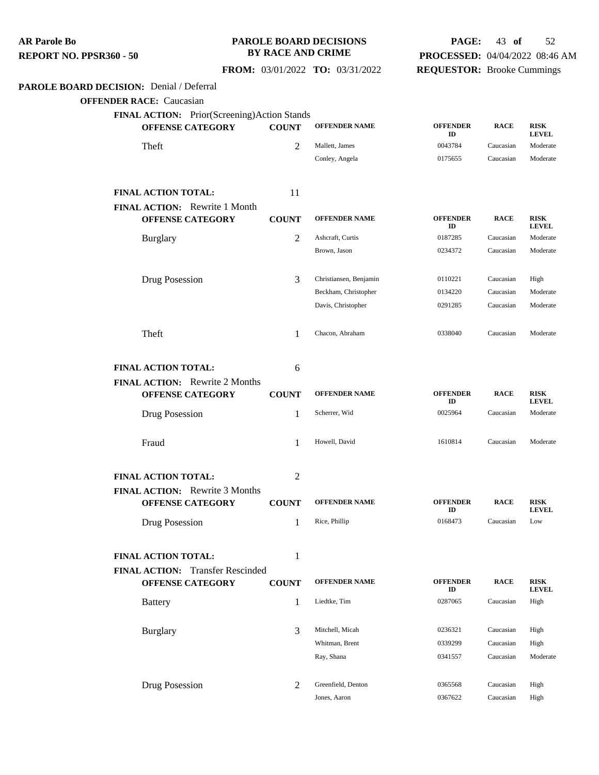#### **PAROLE BOARD DECISIONS BY RACE AND CRIME**

## **PAGE:** 43 **of** 52 **PROCESSED:** 04/04/2022 08:46 AM **REQUESTOR:** Brooke Cummings

 **FROM:** 03/01/2022 **TO:** 03/31/2022

## **PAROLE BOARD DECISION:** Denial / Deferral

| FINAL ACTION: Prior(Screening)Action Stands<br><b>OFFENSE CATEGORY</b> | <b>COUNT</b>   | <b>OFFENDER NAME</b>   | <b>OFFENDER</b><br>ID | <b>RACE</b> | <b>RISK</b><br><b>LEVEL</b> |
|------------------------------------------------------------------------|----------------|------------------------|-----------------------|-------------|-----------------------------|
| Theft                                                                  | 2              | Mallett, James         | 0043784               | Caucasian   | Moderate                    |
|                                                                        |                | Conley, Angela         | 0175655               | Caucasian   | Moderate                    |
| <b>FINAL ACTION TOTAL:</b>                                             | 11             |                        |                       |             |                             |
| FINAL ACTION: Rewrite 1 Month                                          |                |                        |                       |             |                             |
| <b>OFFENSE CATEGORY</b>                                                | <b>COUNT</b>   | <b>OFFENDER NAME</b>   | <b>OFFENDER</b><br>ID | <b>RACE</b> | <b>RISK</b><br><b>LEVEL</b> |
| <b>Burglary</b>                                                        | $\overline{c}$ | Ashcraft, Curtis       | 0187285               | Caucasian   | Moderate                    |
|                                                                        |                | Brown, Jason           | 0234372               | Caucasian   | Moderate                    |
| Drug Posession                                                         | 3              | Christiansen, Benjamin | 0110221               | Caucasian   | High                        |
|                                                                        |                | Beckham, Christopher   | 0134220               | Caucasian   | Moderate                    |
|                                                                        |                | Davis, Christopher     | 0291285               | Caucasian   | Moderate                    |
| Theft                                                                  | 1              | Chacon, Abraham        | 0338040               | Caucasian   | Moderate                    |
| <b>FINAL ACTION TOTAL:</b>                                             | 6              |                        |                       |             |                             |
| <b>FINAL ACTION:</b> Rewrite 2 Months<br><b>OFFENSE CATEGORY</b>       | <b>COUNT</b>   | <b>OFFENDER NAME</b>   | <b>OFFENDER</b>       | <b>RACE</b> | <b>RISK</b>                 |
| Drug Posession                                                         | 1              | Scherrer, Wid          | ID<br>0025964         | Caucasian   | <b>LEVEL</b><br>Moderate    |
| Fraud                                                                  | 1              | Howell, David          | 1610814               | Caucasian   | Moderate                    |
| <b>FINAL ACTION TOTAL:</b>                                             | 2              |                        |                       |             |                             |
| FINAL ACTION: Rewrite 3 Months                                         |                |                        |                       |             |                             |
| <b>OFFENSE CATEGORY</b>                                                | <b>COUNT</b>   | <b>OFFENDER NAME</b>   | <b>OFFENDER</b><br>ID | <b>RACE</b> | <b>RISK</b><br><b>LEVEL</b> |
| Drug Posession                                                         | 1              | Rice, Phillip          | 0168473               | Caucasian   | Low                         |
| FINAL ACTION TOTAL:                                                    | 1              |                        |                       |             |                             |
| <b>FINAL ACTION:</b> Transfer Rescinded                                |                |                        |                       |             |                             |
| <b>OFFENSE CATEGORY</b>                                                | <b>COUNT</b>   | <b>OFFENDER NAME</b>   | <b>OFFENDER</b><br>ID | <b>RACE</b> | <b>RISK</b><br><b>LEVEL</b> |
| <b>Battery</b>                                                         | 1              | Liedtke, Tim           | 0287065               | Caucasian   | High                        |
| <b>Burglary</b>                                                        | 3              | Mitchell, Micah        | 0236321               | Caucasian   | High                        |
|                                                                        |                | Whitman, Brent         | 0339299               | Caucasian   | High                        |
|                                                                        |                | Ray, Shana             | 0341557               | Caucasian   | Moderate                    |
| Drug Posession                                                         | 2              | Greenfield, Denton     | 0365568               | Caucasian   | High                        |
|                                                                        |                | Jones, Aaron           | 0367622               | Caucasian   | High                        |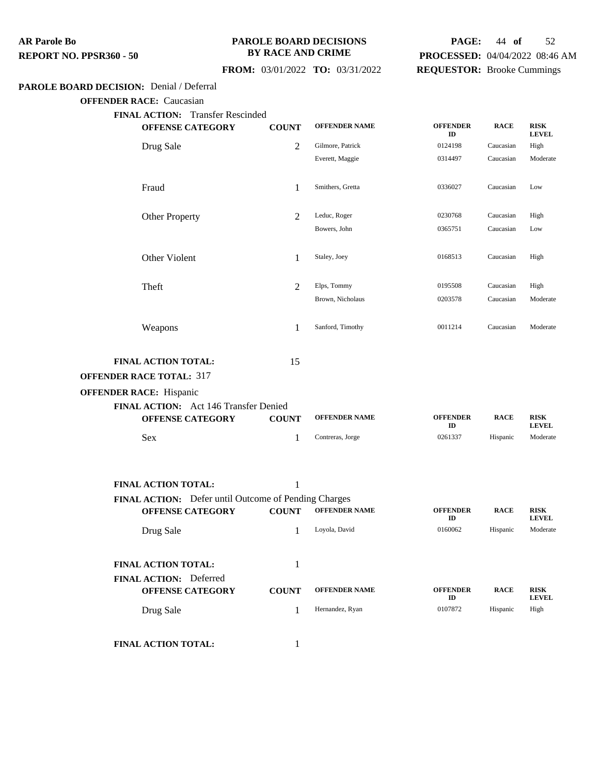#### **PAROLE BOARD DECISIONS BY RACE AND CRIME**

## **PAGE:** 44 **of** 52 **PROCESSED:** 04/04/2022 08:46 AM **REQUESTOR:** Brooke Cummings

## **FROM:** 03/01/2022 **TO:** 03/31/2022

#### **PAROLE BOARD DECISION:** Denial / Deferral

**OFFENDER RACE:** Caucasian

| UFFENDER RAUE; Uaucasiaii                            |                |                      |                       |             |                             |
|------------------------------------------------------|----------------|----------------------|-----------------------|-------------|-----------------------------|
| FINAL ACTION: Transfer Rescinded                     |                |                      |                       |             |                             |
| <b>OFFENSE CATEGORY</b>                              | <b>COUNT</b>   | <b>OFFENDER NAME</b> | <b>OFFENDER</b><br>ID | <b>RACE</b> | <b>RISK</b><br><b>LEVEL</b> |
| Drug Sale                                            | 2              | Gilmore, Patrick     | 0124198               | Caucasian   | High                        |
|                                                      |                | Everett, Maggie      | 0314497               | Caucasian   | Moderate                    |
| Fraud                                                | 1              | Smithers, Gretta     | 0336027               | Caucasian   | Low                         |
| Other Property                                       | 2              | Leduc, Roger         | 0230768               | Caucasian   | High                        |
|                                                      |                | Bowers, John         | 0365751               | Caucasian   | Low                         |
| Other Violent                                        | 1              | Staley, Joey         | 0168513               | Caucasian   | High                        |
| Theft                                                | $\overline{2}$ | Elps, Tommy          | 0195508               | Caucasian   | High                        |
|                                                      |                | Brown, Nicholaus     | 0203578               | Caucasian   | Moderate                    |
| Weapons                                              | 1              | Sanford, Timothy     | 0011214               | Caucasian   | Moderate                    |
| FINAL ACTION TOTAL:                                  | 15             |                      |                       |             |                             |
| <b>OFFENDER RACE TOTAL: 317</b>                      |                |                      |                       |             |                             |
| <b>OFFENDER RACE: Hispanic</b>                       |                |                      |                       |             |                             |
| FINAL ACTION: Act 146 Transfer Denied                |                |                      |                       |             |                             |
| <b>OFFENSE CATEGORY</b>                              | <b>COUNT</b>   | <b>OFFENDER NAME</b> | <b>OFFENDER</b><br>ID | <b>RACE</b> | <b>RISK</b><br><b>LEVEL</b> |
| Sex                                                  | 1              | Contreras, Jorge     | 0261337               | Hispanic    | Moderate                    |
|                                                      |                |                      |                       |             |                             |
| <b>FINAL ACTION TOTAL:</b>                           | 1              |                      |                       |             |                             |
| FINAL ACTION: Defer until Outcome of Pending Charges |                |                      |                       |             |                             |
| <b>OFFENSE CATEGORY</b>                              | <b>COUNT</b>   | <b>OFFENDER NAME</b> | <b>OFFENDER</b><br>ID | <b>RACE</b> | <b>RISK</b><br><b>LEVEL</b> |
| Drug Sale                                            | 1              | Loyola, David        | 0160062               | Hispanic    | Moderate                    |
| <b>FINAL ACTION TOTAL:</b>                           | 1              |                      |                       |             |                             |
| FINAL ACTION: Deferred                               |                |                      |                       |             |                             |

| <b>OFFENSE CATEGORY</b> | COUNT | <b>OFFENDER NAME</b> | <b>OFFENDER</b><br>ID | <b>RACE</b> | <b>RISK</b><br><b>LEVEL</b> |
|-------------------------|-------|----------------------|-----------------------|-------------|-----------------------------|
| Drug Sale               |       | Hernandez, Ryan      | 0107872               | Hispanic    | High                        |

**FINAL ACTION TOTAL:** 1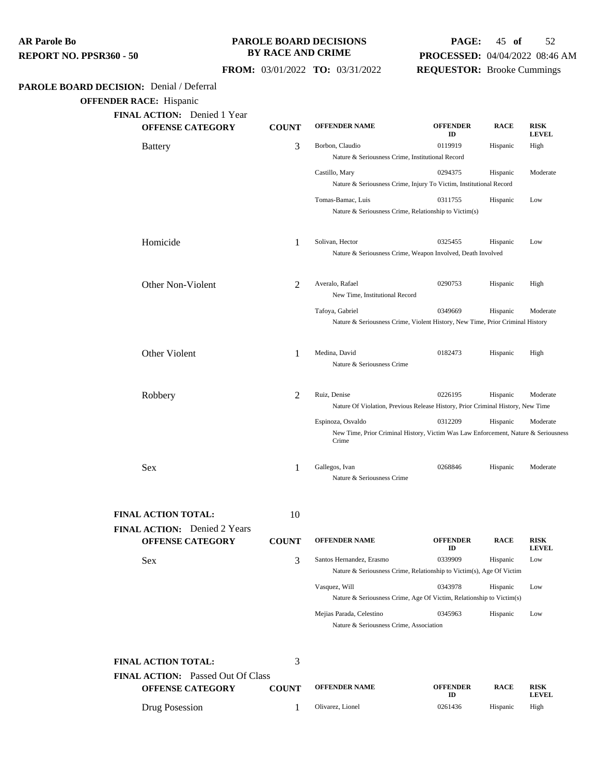## **PAROLE BOARD DECISIONS BY RACE AND CRIME**

## **PAGE:** 45 **of** 52 **PROCESSED:** 04/04/2022 08:46 AM **REQUESTOR:** Brooke Cummings

 **FROM:** 03/01/2022 **TO:** 03/31/2022

## **PAROLE BOARD DECISION:** Denial / Deferral

**OFFENDER RACE:** Hispanic

| <b>OFFENSE CATEGORY</b>                                         | <b>COUNT</b> | <b>OFFENDER NAME</b>                                                                                             | <b>OFFENDER</b><br>ID | <b>RACE</b> | <b>RISK</b><br><b>LEVEL</b> |
|-----------------------------------------------------------------|--------------|------------------------------------------------------------------------------------------------------------------|-----------------------|-------------|-----------------------------|
| <b>Battery</b>                                                  | 3            | Borbon, Claudio<br>Nature & Seriousness Crime, Institutional Record                                              | 0119919               | Hispanic    | High                        |
|                                                                 |              | Castillo, Mary<br>Nature & Seriousness Crime, Injury To Victim, Institutional Record                             | 0294375               | Hispanic    | Moderate                    |
|                                                                 |              | Tomas-Bamac, Luis<br>Nature & Seriousness Crime, Relationship to Victim(s)                                       | 0311755               | Hispanic    | Low                         |
| Homicide                                                        | 1            | Solivan, Hector<br>Nature & Seriousness Crime, Weapon Involved, Death Involved                                   | 0325455               | Hispanic    | Low                         |
| Other Non-Violent                                               | 2            | Averalo, Rafael<br>New Time, Institutional Record                                                                | 0290753               | Hispanic    | High                        |
|                                                                 |              | Tafoya, Gabriel<br>Nature & Seriousness Crime, Violent History, New Time, Prior Criminal History                 | 0349669               | Hispanic    | Moderate                    |
| Other Violent                                                   | 1            | Medina, David<br>Nature & Seriousness Crime                                                                      | 0182473               | Hispanic    | High                        |
| Robbery                                                         | 2            | Ruiz, Denise<br>Nature Of Violation, Previous Release History, Prior Criminal History, New Time                  | 0226195               | Hispanic    | Moderate                    |
|                                                                 |              | Espinoza, Osvaldo<br>New Time, Prior Criminal History, Victim Was Law Enforcement, Nature & Seriousness<br>Crime | 0312209               | Hispanic    | Moderate                    |
| Sex                                                             | 1            | Gallegos, Ivan<br>Nature & Seriousness Crime                                                                     | 0268846               | Hispanic    | Moderate                    |
| <b>FINAL ACTION TOTAL:</b>                                      | 10           |                                                                                                                  |                       |             |                             |
| FINAL ACTION: Denied 2 Years<br><b>OFFENSE CATEGORY</b>         | <b>COUNT</b> | <b>OFFENDER NAME</b>                                                                                             | <b>OFFENDER</b><br>ID | <b>RACE</b> | <b>RISK</b><br><b>LEVEL</b> |
| Sex                                                             | 3            | Santos Hernandez, Erasmo<br>Nature & Seriousness Crime, Relationship to Victim(s), Age Of Victim                 | 0339909               | Hispanic    | Low                         |
|                                                                 |              | Vasquez, Will<br>Nature & Seriousness Crime, Age Of Victim, Relationship to Victim(s)                            | 0343978               | Hispanic    | Low                         |
|                                                                 |              | Mejias Parada, Celestino<br>Nature & Seriousness Crime, Association                                              | 0345963               | Hispanic    | Low                         |
|                                                                 |              |                                                                                                                  |                       |             |                             |
| <b>FINAL ACTION TOTAL:</b><br>FINAL ACTION: Passed Out Of Class | 3            |                                                                                                                  |                       |             |                             |

Drug Posession 1 Olivarez, Lionel 0261436 Hispanic High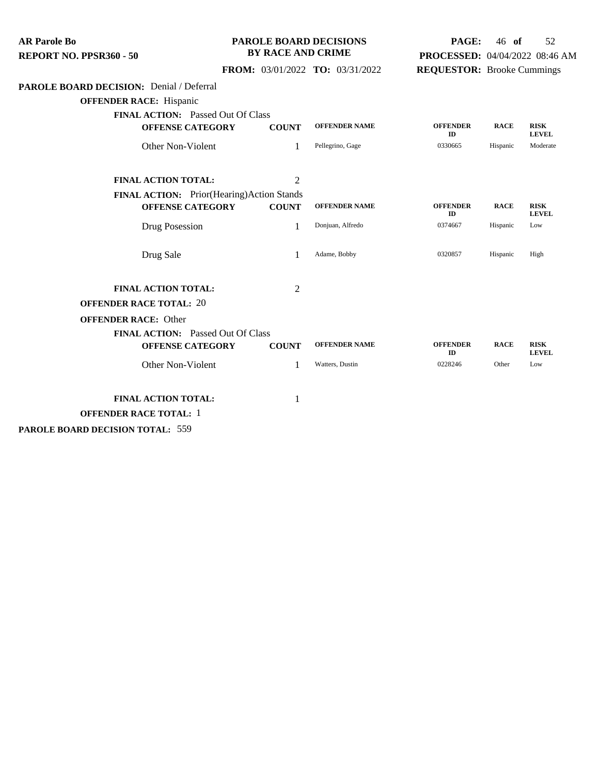| <b>AR Parole Bo</b><br>REPORT NO. PPSR360 - 50               |                                                           | <b>PAROLE BOARD DECISIONS</b><br><b>BY RACE AND CRIME</b> |                      |                                   | 46 of       | 52<br>PROCESSED: 04/04/2022 08:46 AM |
|--------------------------------------------------------------|-----------------------------------------------------------|-----------------------------------------------------------|----------------------|-----------------------------------|-------------|--------------------------------------|
|                                                              | FROM: 03/01/2022 TO: 03/31/2022                           |                                                           |                      | <b>REQUESTOR:</b> Brooke Cummings |             |                                      |
| PAROLE BOARD DECISION: Denial / Deferral                     |                                                           |                                                           |                      |                                   |             |                                      |
| <b>OFFENDER RACE:</b> Hispanic                               |                                                           |                                                           |                      |                                   |             |                                      |
| FINAL ACTION: Passed Out Of Class<br><b>OFFENSE CATEGORY</b> | <b>COUNT</b>                                              |                                                           | <b>OFFENDER NAME</b> | <b>OFFENDER</b><br>ID             | <b>RACE</b> | <b>RISK</b><br><b>LEVEL</b>          |
| Other Non-Violent                                            |                                                           | Pellegrino, Gage<br>1                                     |                      | 0330665                           | Hispanic    | Moderate                             |
| <b>FINAL ACTION TOTAL:</b>                                   |                                                           | $\overline{2}$                                            |                      |                                   |             |                                      |
| <b>OFFENSE CATEGORY</b>                                      | FINAL ACTION: Prior(Hearing)Action Stands<br><b>COUNT</b> |                                                           | <b>OFFENDER NAME</b> | <b>OFFENDER</b><br>ID             | <b>RACE</b> | <b>RISK</b><br><b>LEVEL</b>          |
| Drug Posession                                               |                                                           | 1<br>Donjuan, Alfredo                                     |                      | 0374667                           | Hispanic    | Low                                  |
| Drug Sale                                                    |                                                           | Adame, Bobby<br>1                                         |                      | 0320857                           | Hispanic    | High                                 |
| FINAL ACTION TOTAL:                                          |                                                           | $\overline{2}$                                            |                      |                                   |             |                                      |
| <b>OFFENDER RACE TOTAL: 20</b>                               |                                                           |                                                           |                      |                                   |             |                                      |
| <b>OFFENDER RACE: Other</b>                                  |                                                           |                                                           |                      |                                   |             |                                      |
| FINAL ACTION: Passed Out Of Class<br><b>OFFENSE CATEGORY</b> | <b>COUNT</b>                                              |                                                           | <b>OFFENDER NAME</b> | <b>OFFENDER</b><br>ID             | <b>RACE</b> | <b>RISK</b><br><b>LEVEL</b>          |
| Other Non-Violent                                            |                                                           | 1<br>Watters, Dustin                                      |                      | 0228246                           | Other       | Low                                  |
| <b>FINAL ACTION TOTAL:</b>                                   |                                                           | 1                                                         |                      |                                   |             |                                      |
| <b>OFFENDER RACE TOTAL: 1</b>                                |                                                           |                                                           |                      |                                   |             |                                      |

**PAROLE BOARD DECISION TOTAL:** 559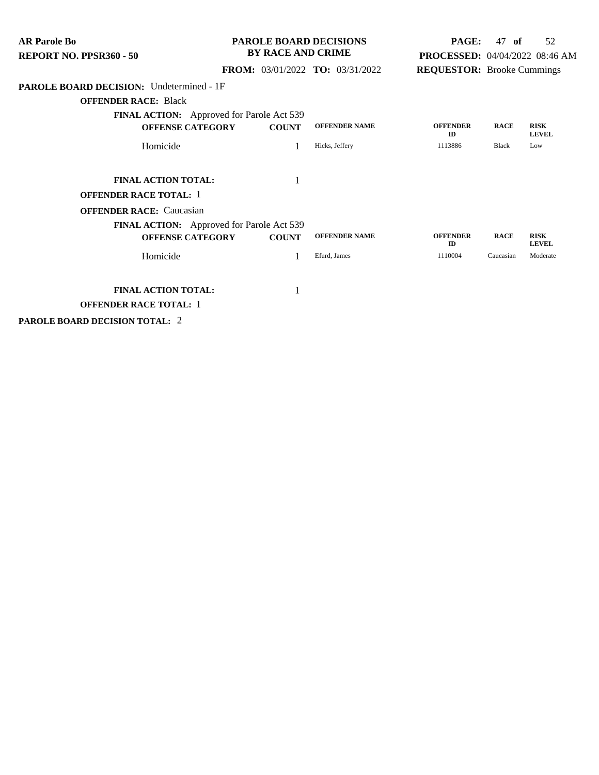| <b>AR Parole Bo</b><br><b>REPORT NO. PPSR360 - 50</b> | <b>PAROLE BOARD DECISIONS</b><br><b>BY RACE AND CRIME</b> |              | <b>PAGE:</b><br>PROCESSED: 04/04/2022 08:46 AM | 47<br>- of                        | 52          |                             |
|-------------------------------------------------------|-----------------------------------------------------------|--------------|------------------------------------------------|-----------------------------------|-------------|-----------------------------|
|                                                       |                                                           |              | <b>FROM:</b> 03/01/2022 <b>TO:</b> 03/31/2022  | <b>REQUESTOR:</b> Brooke Cummings |             |                             |
| <b>PAROLE BOARD DECISION:</b> Undetermined - 1F       |                                                           |              |                                                |                                   |             |                             |
| <b>OFFENDER RACE: Black</b>                           |                                                           |              |                                                |                                   |             |                             |
| <b>FINAL ACTION:</b> Approved for Parole Act 539      |                                                           |              |                                                |                                   |             |                             |
| <b>OFFENSE CATEGORY</b>                               |                                                           | <b>COUNT</b> | <b>OFFENDER NAME</b>                           | <b>OFFENDER</b><br>ID             | <b>RACE</b> | <b>RISK</b><br><b>LEVEL</b> |
| Homicide                                              |                                                           |              | Hicks, Jeffery                                 | 1113886                           | Black       | Low                         |
| <b>FINAL ACTION TOTAL:</b>                            |                                                           | 1            |                                                |                                   |             |                             |
| <b>OFFENDER RACE TOTAL: 1</b>                         |                                                           |              |                                                |                                   |             |                             |
| <b>OFFENDER RACE:</b> Caucasian                       |                                                           |              |                                                |                                   |             |                             |
| <b>FINAL ACTION:</b> Approved for Parole Act 539      |                                                           |              |                                                |                                   |             |                             |
| <b>OFFENSE CATEGORY</b>                               |                                                           | <b>COUNT</b> | <b>OFFENDER NAME</b>                           | <b>OFFENDER</b><br>ID             | <b>RACE</b> | <b>RISK</b><br><b>LEVEL</b> |
| Homicide                                              |                                                           |              | Efurd, James                                   | 1110004                           | Caucasian   | Moderate                    |
| <b>FINAL ACTION TOTAL:</b>                            |                                                           |              |                                                |                                   |             |                             |
| <b>OFFENDER RACE TOTAL: 1</b>                         |                                                           |              |                                                |                                   |             |                             |

**PAROLE BOARD DECISION TOTAL:** 2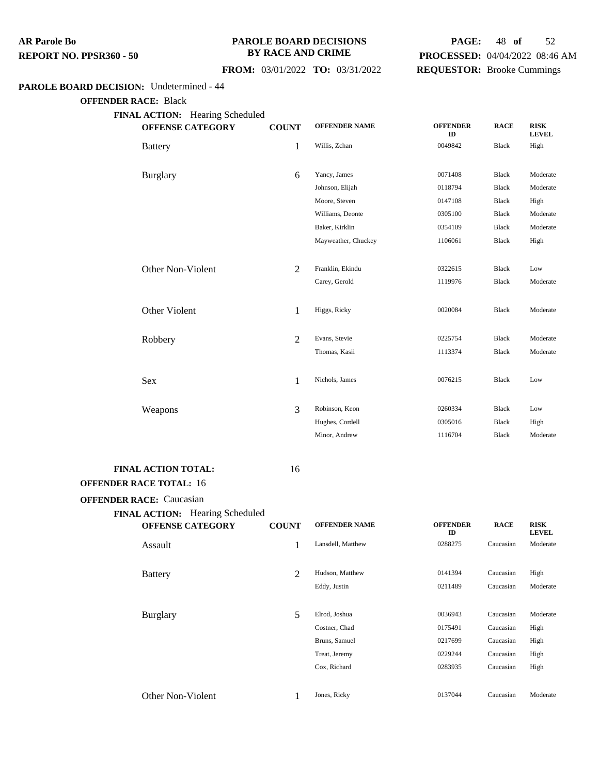#### **PAROLE BOARD DECISIONS BY RACE AND CRIME**

## **FROM:** 03/01/2022 **TO:** 03/31/2022

## **PAGE:** 48 **of** 52 **PROCESSED:** 04/04/2022 08:46 AM

## **REQUESTOR:** Brooke Cummings

#### **PAROLE BOARD DECISION:** Undetermined - 44

**OFFENDER RACE:** Black

| FINAL ACTION: Hearing Scheduled<br><b>OFFENSE CATEGORY</b> | <b>COUNT</b> | <b>OFFENDER NAME</b> | <b>OFFENDER</b><br>ID | <b>RACE</b>  | <b>RISK</b><br><b>LEVEL</b> |
|------------------------------------------------------------|--------------|----------------------|-----------------------|--------------|-----------------------------|
| <b>Battery</b>                                             | $\mathbf{1}$ | Willis, Zchan        | 0049842               | <b>Black</b> | High                        |
| <b>Burglary</b>                                            | 6            | Yancy, James         | 0071408               | <b>Black</b> | Moderate                    |
|                                                            |              | Johnson, Elijah      | 0118794               | Black        | Moderate                    |
|                                                            |              | Moore, Steven        | 0147108               | Black        | High                        |
|                                                            |              | Williams, Deonte     | 0305100               | <b>Black</b> | Moderate                    |
|                                                            |              | Baker, Kirklin       | 0354109               | Black        | Moderate                    |
|                                                            |              | Mayweather, Chuckey  | 1106061               | Black        | High                        |
| Other Non-Violent                                          | 2            | Franklin, Ekindu     | 0322615               | <b>Black</b> | Low                         |
|                                                            |              | Carey, Gerold        | 1119976               | Black        | Moderate                    |
| Other Violent                                              | $\mathbf{1}$ | Higgs, Ricky         | 0020084               | <b>Black</b> | Moderate                    |
| Robbery                                                    | 2            | Evans, Stevie        | 0225754               | <b>Black</b> | Moderate                    |
|                                                            |              | Thomas, Kasii        | 1113374               | Black        | Moderate                    |
| Sex                                                        | 1            | Nichols, James       | 0076215               | Black        | Low                         |
| Weapons                                                    | 3            | Robinson, Keon       | 0260334               | <b>Black</b> | Low                         |
|                                                            |              | Hughes, Cordell      | 0305016               | Black        | High                        |
|                                                            |              | Minor, Andrew        | 1116704               | Black        | Moderate                    |
|                                                            |              |                      |                       |              |                             |

## **FINAL ACTION TOTAL:** 16

## **OFFENDER RACE TOTAL:** 16 **OFFENDER RACE:** Caucasian

| <b>FINAL ACTION:</b><br><b>OFFENSE CATEGORY</b> | <b>Hearing Scheduled</b><br><b>COUNT</b> | <b>OFFENDER NAME</b>                                                             | <b>OFFENDER</b><br>ID                               | <b>RACE</b>                                                   | <b>RISK</b><br><b>LEVEL</b>              |
|-------------------------------------------------|------------------------------------------|----------------------------------------------------------------------------------|-----------------------------------------------------|---------------------------------------------------------------|------------------------------------------|
| Assault                                         |                                          | Lansdell, Matthew                                                                | 0288275                                             | Caucasian                                                     | Moderate                                 |
| <b>Battery</b>                                  | 2                                        | Hudson, Matthew<br>Eddy, Justin                                                  | 0141394<br>0211489                                  | Caucasian<br>Caucasian                                        | High<br>Moderate                         |
| <b>Burglary</b>                                 | 5                                        | Elrod, Joshua<br>Costner, Chad<br>Bruns, Samuel<br>Treat, Jeremy<br>Cox, Richard | 0036943<br>0175491<br>0217699<br>0229244<br>0283935 | Caucasian<br>Caucasian<br>Caucasian<br>Caucasian<br>Caucasian | Moderate<br>High<br>High<br>High<br>High |
| Other Non-Violent                               |                                          | Jones, Ricky                                                                     | 0137044                                             | Caucasian                                                     | Moderate                                 |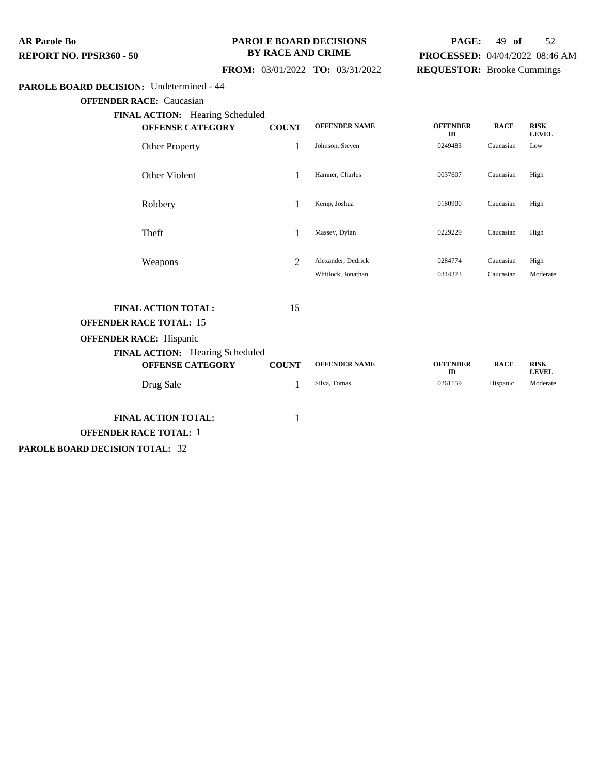#### **PAROLE BOARD DECISIONS BY RACE AND CRIME**

## **PAGE:** 49 **of** 52 **PROCESSED:** 04/04/2022 08:46 AM **REQUESTOR:** Brooke Cummings

## **FROM:** 03/01/2022 **TO:** 03/31/2022

#### **PAROLE BOARD DECISION:** Undetermined - 44

**OFFENDER RACE:** Caucasian

| FINAL ACTION: Hearing Scheduled                                                                                                                              |                    |                                          |                       |                        |                             |
|--------------------------------------------------------------------------------------------------------------------------------------------------------------|--------------------|------------------------------------------|-----------------------|------------------------|-----------------------------|
| <b>OFFENSE CATEGORY</b>                                                                                                                                      | <b>COUNT</b>       | <b>OFFENDER NAME</b>                     | <b>OFFENDER</b><br>ID | <b>RACE</b>            | <b>RISK</b><br><b>LEVEL</b> |
| <b>Other Property</b>                                                                                                                                        | $\mathbf{1}$       | Johnson, Steven                          | 0249483               | Caucasian              | Low                         |
| Other Violent                                                                                                                                                | 1                  | Hamner, Charles                          | 0037607               | Caucasian              | High                        |
| Robbery                                                                                                                                                      | 1                  | Kemp, Joshua                             | 0180900               | Caucasian              | High                        |
| Theft                                                                                                                                                        | 1                  | Massey, Dylan                            | 0229229               | Caucasian              | High                        |
| Weapons                                                                                                                                                      | 2                  | Alexander, Dedrick<br>Whitlock, Jonathan | 0284774<br>0344373    | Caucasian<br>Caucasian | High<br>Moderate            |
| <b>FINAL ACTION TOTAL:</b><br><b>OFFENDER RACE TOTAL: 15</b><br><b>OFFENDER RACE: Hispanic</b><br>FINAL ACTION: Hearing Scheduled<br><b>OFFENSE CATEGORY</b> | 15<br><b>COUNT</b> | <b>OFFENDER NAME</b>                     | <b>OFFENDER</b>       | <b>RACE</b>            | <b>RISK</b>                 |
|                                                                                                                                                              |                    |                                          | ID                    |                        | <b>LEVEL</b>                |
| Drug Sale                                                                                                                                                    | $\mathbf{1}$       | Silva, Tomas                             | 0261159               | Hispanic               | Moderate                    |
| FINAL ACTION TOTAL:<br>OFFENDER RACE TOTAL: 1                                                                                                                | 1                  |                                          |                       |                        |                             |

**PAROLE BOARD DECISION TOTAL:** 32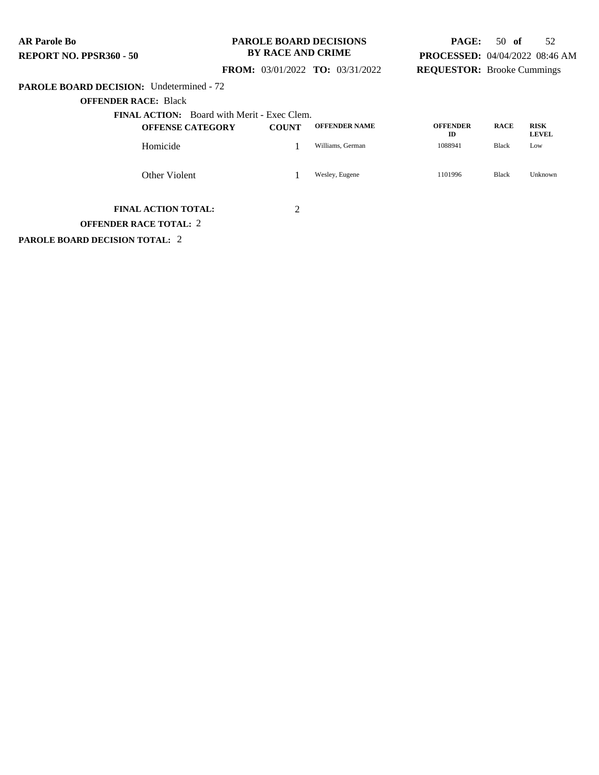#### **PAROLE BOARD DECISIONS BY RACE AND CRIME**

## **PAGE:** 50 **of** 52 **PROCESSED:** 04/04/2022 08:46 AM **REQUESTOR:** Brooke Cummings

## **FROM:** 03/01/2022 **TO:** 03/31/2022

#### **PAROLE BOARD DECISION:** Undetermined - 72

**OFFENDER RACE:** Black

|               | <b>FINAL ACTION:</b> Board with Merit - Exec Clem. |              |                      |                       |              |                             |
|---------------|----------------------------------------------------|--------------|----------------------|-----------------------|--------------|-----------------------------|
|               | <b>OFFENSE CATEGORY</b>                            | <b>COUNT</b> | <b>OFFENDER NAME</b> | <b>OFFENDER</b><br>ID | <b>RACE</b>  | <b>RISK</b><br><b>LEVEL</b> |
| Homicide      |                                                    |              | Williams, German     | 1088941               | <b>Black</b> | Low                         |
| Other Violent |                                                    |              | Wesley, Eugene       | 1101996               | <b>Black</b> | Unknown                     |

## **FINAL ACTION TOTAL:** 2

**OFFENDER RACE TOTAL:** 2

**PAROLE BOARD DECISION TOTAL:** 2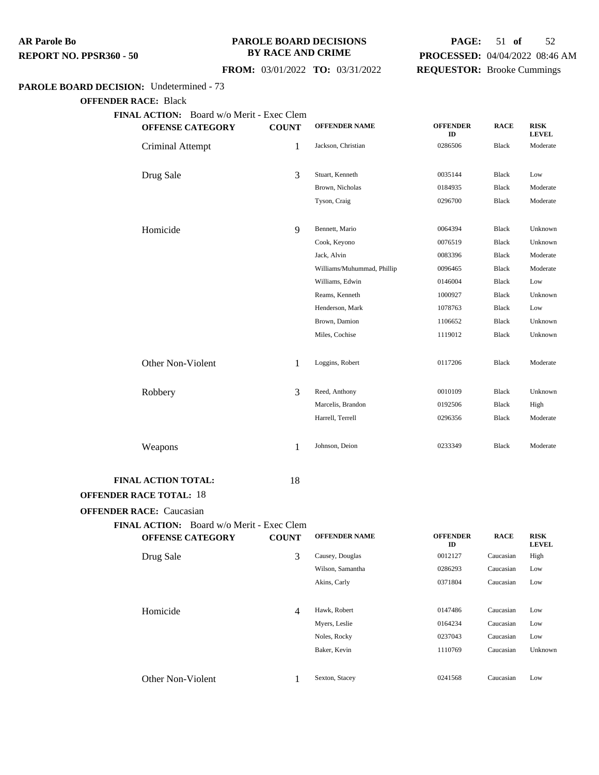#### **PAROLE BOARD DECISIONS BY RACE AND CRIME**

#### **FROM:** 03/01/2022 **TO:** 03/31/2022

## **PAGE:** 51 **of** 52 **PROCESSED:** 04/04/2022 08:46 AM **REQUESTOR:** Brooke Cummings

#### **PAROLE BOARD DECISION:** Undetermined - 73

**OFFENDER RACE:** Black

**FINAL ACTION:** Board w/o Merit - Exec Clem

|                                 | <b>HOIM.</b> Dome W/O Ment<br><b>OFFENSE CATEGORY</b> | <b>COUNT</b> | <b>OFFENDER NAME</b>       | <b>OFFENDER</b><br>ID | <b>RACE</b>  | <b>RISK</b><br><b>LEVEL</b> |
|---------------------------------|-------------------------------------------------------|--------------|----------------------------|-----------------------|--------------|-----------------------------|
| Criminal Attempt                |                                                       | 1            | Jackson, Christian         | 0286506               | Black        | Moderate                    |
|                                 |                                                       |              |                            |                       |              |                             |
| Drug Sale                       |                                                       | 3            | Stuart, Kenneth            | 0035144               | Black        | Low                         |
|                                 |                                                       |              | Brown, Nicholas            | 0184935               | <b>Black</b> | Moderate                    |
|                                 |                                                       |              | Tyson, Craig               | 0296700               | Black        | Moderate                    |
|                                 |                                                       |              |                            |                       |              |                             |
| Homicide                        |                                                       | 9            | Bennett, Mario             | 0064394               | Black        | Unknown                     |
|                                 |                                                       |              | Cook, Keyono               | 0076519               | <b>Black</b> | Unknown                     |
|                                 |                                                       |              | Jack, Alvin                | 0083396               | Black        | Moderate                    |
|                                 |                                                       |              | Williams/Muhummad, Phillip | 0096465               | <b>Black</b> | Moderate                    |
|                                 |                                                       |              | Williams, Edwin            | 0146004               | <b>Black</b> | Low                         |
|                                 |                                                       |              | Reams, Kenneth             | 1000927               | <b>Black</b> | Unknown                     |
|                                 |                                                       |              | Henderson, Mark            | 1078763               | <b>Black</b> | Low                         |
|                                 |                                                       |              | Brown, Damion              | 1106652               | Black        | Unknown                     |
|                                 |                                                       |              | Miles, Cochise             | 1119012               | Black        | Unknown                     |
|                                 |                                                       |              |                            |                       |              |                             |
| Other Non-Violent               |                                                       | 1            | Loggins, Robert            | 0117206               | <b>Black</b> | Moderate                    |
|                                 |                                                       |              |                            |                       |              |                             |
| Robbery                         |                                                       | 3            | Reed, Anthony              | 0010109               | <b>Black</b> | Unknown                     |
|                                 |                                                       |              | Marcelis, Brandon          | 0192506               | Black        | High                        |
|                                 |                                                       |              | Harrell, Terrell           | 0296356               | <b>Black</b> | Moderate                    |
|                                 |                                                       |              |                            |                       |              |                             |
| Weapons                         |                                                       | 1            | Johnson, Deion             | 0233349               | <b>Black</b> | Moderate                    |
|                                 |                                                       |              |                            |                       |              |                             |
| <b>FINAL ACTION TOTAL:</b>      |                                                       | 18           |                            |                       |              |                             |
| <b>OFFENDER RACE TOTAL: 18</b>  |                                                       |              |                            |                       |              |                             |
| <b>OFFENDER RACE: Caucasian</b> |                                                       |              |                            |                       |              |                             |
|                                 |                                                       |              |                            |                       |              |                             |

**FINAL ACTION:** Board w/o Merit - Exec Clem **OFFENSE CATEGORY COUNT OFFENDER NAME OFFENDER ID RACE RISK LEVEL** Drug Sale **3** Causey, Douglas 0012127 Caucasian High Wilson, Samantha 0286293 Caucasian Low Akins, Carly 0371804 Caucasian Low Homicide **120 Caucasian** 4 Hawk, Robert 10147486 Caucasian Low Myers, Leslie 0164234 Caucasian Low Noles, Rocky 0237043 Caucasian Low Baker, Kevin 1110769 Caucasian Unknown Other Non-Violent 1 Sexton, Stacey <sup>0241568</sup> Caucasian Low